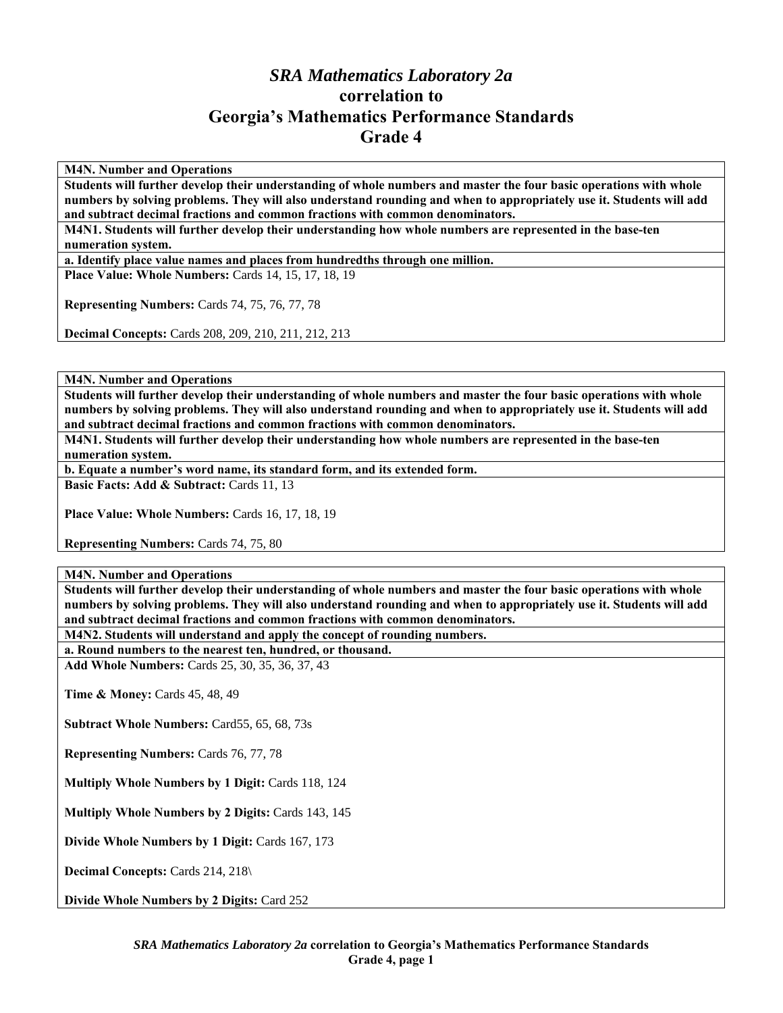## *SRA Mathematics Laboratory 2a*  **correlation to Georgia's Mathematics Performance Standards Grade 4**

**M4N. Number and Operations** 

**Students will further develop their understanding of whole numbers and master the four basic operations with whole numbers by solving problems. They will also understand rounding and when to appropriately use it. Students will add and subtract decimal fractions and common fractions with common denominators.** 

**M4N1. Students will further develop their understanding how whole numbers are represented in the base-ten numeration system.** 

**a. Identify place value names and places from hundredths through one million.** 

**Place Value: Whole Numbers: Cards 14, 15, 17, 18, 19** 

**Representing Numbers:** Cards 74, 75, 76, 77, 78

**Decimal Concepts:** Cards 208, 209, 210, 211, 212, 213

**M4N. Number and Operations** 

**Students will further develop their understanding of whole numbers and master the four basic operations with whole numbers by solving problems. They will also understand rounding and when to appropriately use it. Students will add and subtract decimal fractions and common fractions with common denominators.** 

**M4N1. Students will further develop their understanding how whole numbers are represented in the base-ten numeration system.** 

**b. Equate a number's word name, its standard form, and its extended form.** 

**Basic Facts: Add & Subtract: Cards 11, 13** 

Place Value: Whole Numbers: Cards 16, 17, 18, 19

**Representing Numbers:** Cards 74, 75, 80

**M4N. Number and Operations** 

**Students will further develop their understanding of whole numbers and master the four basic operations with whole numbers by solving problems. They will also understand rounding and when to appropriately use it. Students will add and subtract decimal fractions and common fractions with common denominators.** 

**M4N2. Students will understand and apply the concept of rounding numbers.** 

**a. Round numbers to the nearest ten, hundred, or thousand. Add Whole Numbers:** Cards 25, 30, 35, 36, 37, 43

**Time & Money: Cards 45, 48, 49** 

**Subtract Whole Numbers:** Card55, 65, 68, 73s

**Representing Numbers:** Cards 76, 77, 78

**Multiply Whole Numbers by 1 Digit:** Cards 118, 124

**Multiply Whole Numbers by 2 Digits:** Cards 143, 145

**Divide Whole Numbers by 1 Digit:** Cards 167, 173

**Decimal Concepts:** Cards 214, 218\

**Divide Whole Numbers by 2 Digits:** Card 252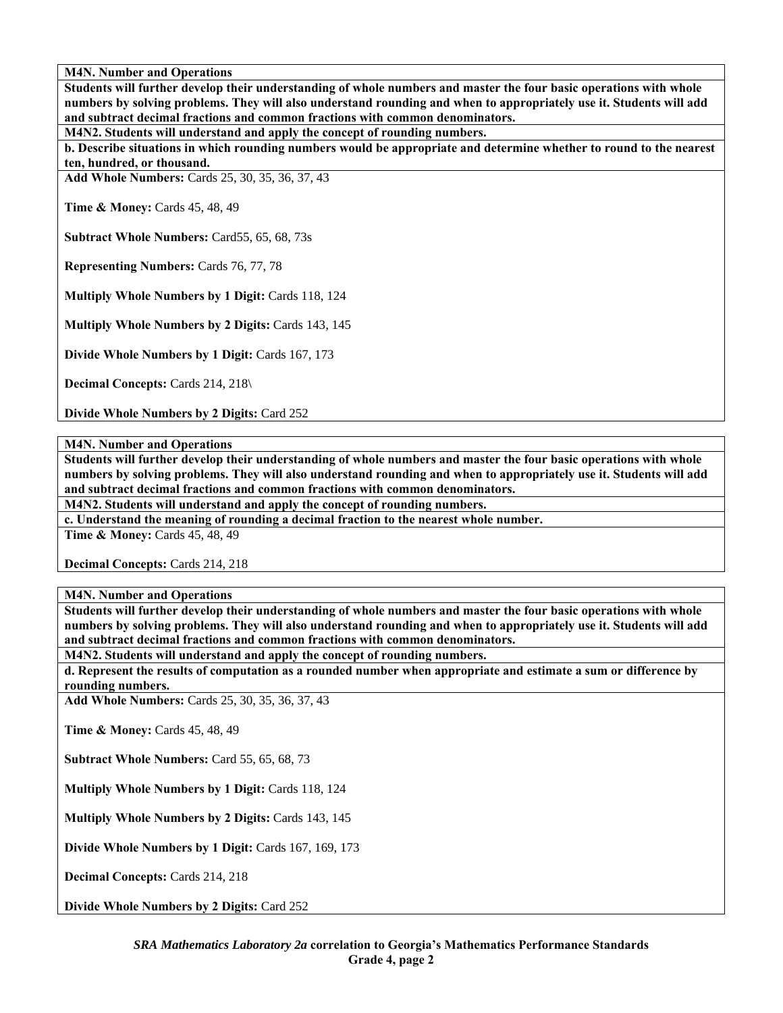**Students will further develop their understanding of whole numbers and master the four basic operations with whole numbers by solving problems. They will also understand rounding and when to appropriately use it. Students will add and subtract decimal fractions and common fractions with common denominators.** 

**M4N2. Students will understand and apply the concept of rounding numbers.** 

**b. Describe situations in which rounding numbers would be appropriate and determine whether to round to the nearest ten, hundred, or thousand.** 

**Add Whole Numbers:** Cards 25, 30, 35, 36, 37, 43

**Time & Money: Cards 45, 48, 49** 

**Subtract Whole Numbers:** Card55, 65, 68, 73s

**Representing Numbers:** Cards 76, 77, 78

**Multiply Whole Numbers by 1 Digit:** Cards 118, 124

**Multiply Whole Numbers by 2 Digits:** Cards 143, 145

**Divide Whole Numbers by 1 Digit:** Cards 167, 173

**Decimal Concepts: Cards 214, 218\** 

**Divide Whole Numbers by 2 Digits:** Card 252

**M4N. Number and Operations** 

**Students will further develop their understanding of whole numbers and master the four basic operations with whole numbers by solving problems. They will also understand rounding and when to appropriately use it. Students will add and subtract decimal fractions and common fractions with common denominators.** 

**M4N2. Students will understand and apply the concept of rounding numbers.** 

**c. Understand the meaning of rounding a decimal fraction to the nearest whole number.** 

**Time & Money:** Cards 45, 48, 49

**Decimal Concepts:** Cards 214, 218

**M4N. Number and Operations** 

**Students will further develop their understanding of whole numbers and master the four basic operations with whole numbers by solving problems. They will also understand rounding and when to appropriately use it. Students will add and subtract decimal fractions and common fractions with common denominators.** 

**M4N2. Students will understand and apply the concept of rounding numbers.** 

**d. Represent the results of computation as a rounded number when appropriate and estimate a sum or difference by rounding numbers.** 

**Add Whole Numbers:** Cards 25, 30, 35, 36, 37, 43

**Time & Money: Cards 45, 48, 49** 

**Subtract Whole Numbers:** Card 55, 65, 68, 73

**Multiply Whole Numbers by 1 Digit:** Cards 118, 124

**Multiply Whole Numbers by 2 Digits:** Cards 143, 145

**Divide Whole Numbers by 1 Digit:** Cards 167, 169, 173

**Decimal Concepts:** Cards 214, 218

**Divide Whole Numbers by 2 Digits:** Card 252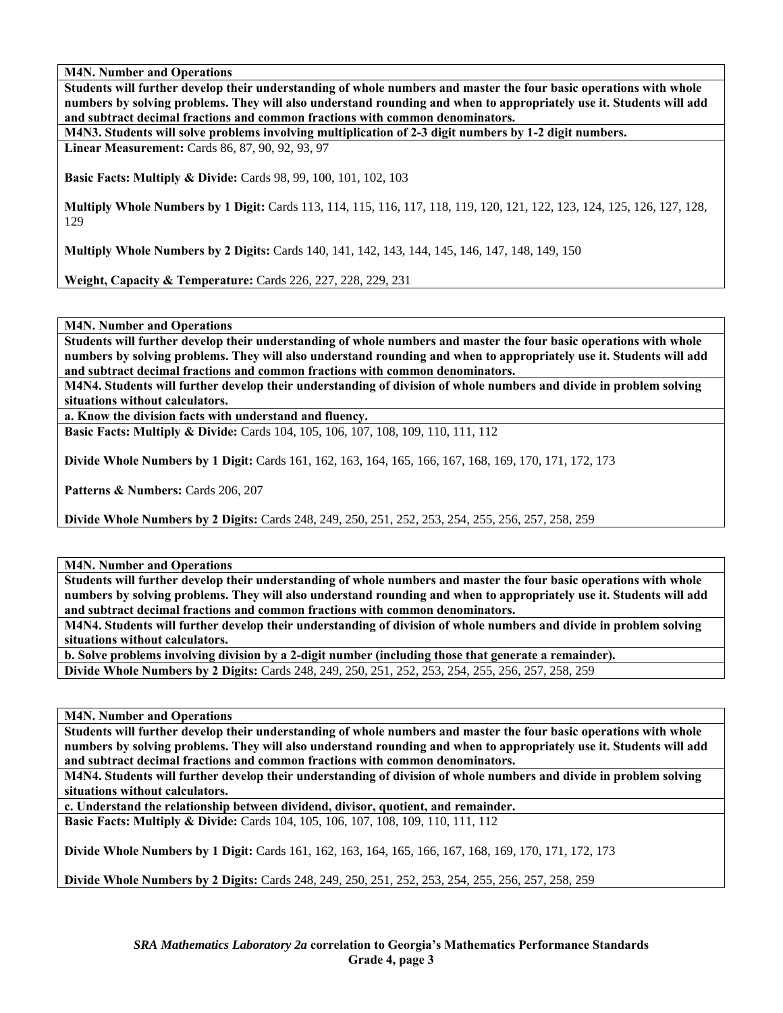**Students will further develop their understanding of whole numbers and master the four basic operations with whole numbers by solving problems. They will also understand rounding and when to appropriately use it. Students will add and subtract decimal fractions and common fractions with common denominators.** 

**M4N3. Students will solve problems involving multiplication of 2-3 digit numbers by 1-2 digit numbers.** 

**Linear Measurement:** Cards 86, 87, 90, 92, 93, 97

**Basic Facts: Multiply & Divide:** Cards 98, 99, 100, 101, 102, 103

**Multiply Whole Numbers by 1 Digit:** Cards 113, 114, 115, 116, 117, 118, 119, 120, 121, 122, 123, 124, 125, 126, 127, 128, 129

**Multiply Whole Numbers by 2 Digits:** Cards 140, 141, 142, 143, 144, 145, 146, 147, 148, 149, 150

**Weight, Capacity & Temperature:** Cards 226, 227, 228, 229, 231

**M4N. Number and Operations** 

**Students will further develop their understanding of whole numbers and master the four basic operations with whole numbers by solving problems. They will also understand rounding and when to appropriately use it. Students will add and subtract decimal fractions and common fractions with common denominators.** 

**M4N4. Students will further develop their understanding of division of whole numbers and divide in problem solving situations without calculators.** 

**a. Know the division facts with understand and fluency.** 

**Basic Facts: Multiply & Divide:** Cards 104, 105, 106, 107, 108, 109, 110, 111, 112

**Divide Whole Numbers by 1 Digit:** Cards 161, 162, 163, 164, 165, 166, 167, 168, 169, 170, 171, 172, 173

Patterns & Numbers: Cards 206, 207

**Divide Whole Numbers by 2 Digits:** Cards 248, 249, 250, 251, 252, 253, 254, 255, 256, 257, 258, 259

**M4N. Number and Operations** 

**Students will further develop their understanding of whole numbers and master the four basic operations with whole numbers by solving problems. They will also understand rounding and when to appropriately use it. Students will add and subtract decimal fractions and common fractions with common denominators.** 

**M4N4. Students will further develop their understanding of division of whole numbers and divide in problem solving situations without calculators.** 

**b. Solve problems involving division by a 2-digit number (including those that generate a remainder). Divide Whole Numbers by 2 Digits:** Cards 248, 249, 250, 251, 252, 253, 254, 255, 256, 257, 258, 259

**M4N. Number and Operations** 

**Students will further develop their understanding of whole numbers and master the four basic operations with whole numbers by solving problems. They will also understand rounding and when to appropriately use it. Students will add and subtract decimal fractions and common fractions with common denominators.** 

**M4N4. Students will further develop their understanding of division of whole numbers and divide in problem solving situations without calculators.** 

**c. Understand the relationship between dividend, divisor, quotient, and remainder.** 

**Basic Facts: Multiply & Divide:** Cards 104, 105, 106, 107, 108, 109, 110, 111, 112

**Divide Whole Numbers by 1 Digit:** Cards 161, 162, 163, 164, 165, 166, 167, 168, 169, 170, 171, 172, 173

**Divide Whole Numbers by 2 Digits:** Cards 248, 249, 250, 251, 252, 253, 254, 255, 256, 257, 258, 259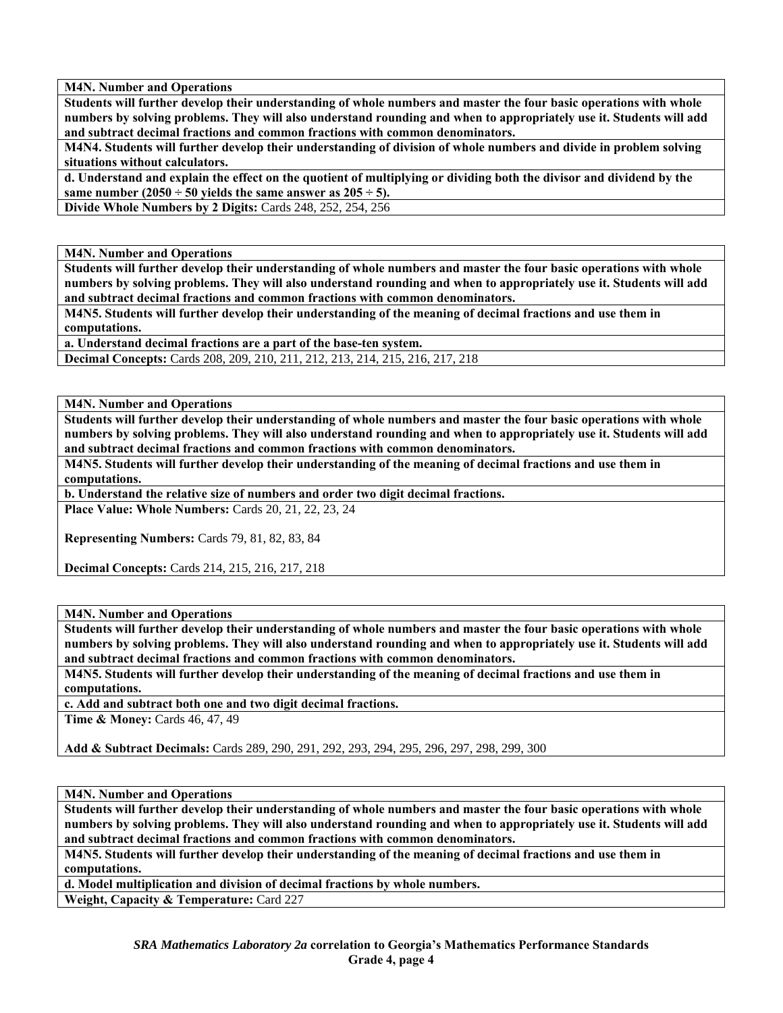**Students will further develop their understanding of whole numbers and master the four basic operations with whole numbers by solving problems. They will also understand rounding and when to appropriately use it. Students will add and subtract decimal fractions and common fractions with common denominators.** 

**M4N4. Students will further develop their understanding of division of whole numbers and divide in problem solving situations without calculators.** 

**d. Understand and explain the effect on the quotient of multiplying or dividing both the divisor and dividend by the**  same number  $(2050 \div 50)$  yields the same answer as  $205 \div 5$ ).

**Divide Whole Numbers by 2 Digits:** Cards 248, 252, 254, 256

**M4N. Number and Operations** 

**Students will further develop their understanding of whole numbers and master the four basic operations with whole numbers by solving problems. They will also understand rounding and when to appropriately use it. Students will add and subtract decimal fractions and common fractions with common denominators.** 

**M4N5. Students will further develop their understanding of the meaning of decimal fractions and use them in computations.** 

**a. Understand decimal fractions are a part of the base-ten system.** 

**Decimal Concepts:** Cards 208, 209, 210, 211, 212, 213, 214, 215, 216, 217, 218

**M4N. Number and Operations** 

**Students will further develop their understanding of whole numbers and master the four basic operations with whole numbers by solving problems. They will also understand rounding and when to appropriately use it. Students will add and subtract decimal fractions and common fractions with common denominators.** 

**M4N5. Students will further develop their understanding of the meaning of decimal fractions and use them in computations.** 

**b. Understand the relative size of numbers and order two digit decimal fractions. Place Value: Whole Numbers:** Cards 20, 21, 22, 23, 24

**Representing Numbers:** Cards 79, 81, 82, 83, 84

**Decimal Concepts:** Cards 214, 215, 216, 217, 218

**M4N. Number and Operations** 

**Students will further develop their understanding of whole numbers and master the four basic operations with whole numbers by solving problems. They will also understand rounding and when to appropriately use it. Students will add and subtract decimal fractions and common fractions with common denominators.** 

**M4N5. Students will further develop their understanding of the meaning of decimal fractions and use them in computations.** 

**c. Add and subtract both one and two digit decimal fractions.** 

**Time & Money: Cards 46, 47, 49** 

**Add & Subtract Decimals:** Cards 289, 290, 291, 292, 293, 294, 295, 296, 297, 298, 299, 300

**M4N. Number and Operations** 

**Students will further develop their understanding of whole numbers and master the four basic operations with whole numbers by solving problems. They will also understand rounding and when to appropriately use it. Students will add and subtract decimal fractions and common fractions with common denominators.** 

**M4N5. Students will further develop their understanding of the meaning of decimal fractions and use them in computations.** 

**d. Model multiplication and division of decimal fractions by whole numbers.** 

**Weight, Capacity & Temperature:** Card 227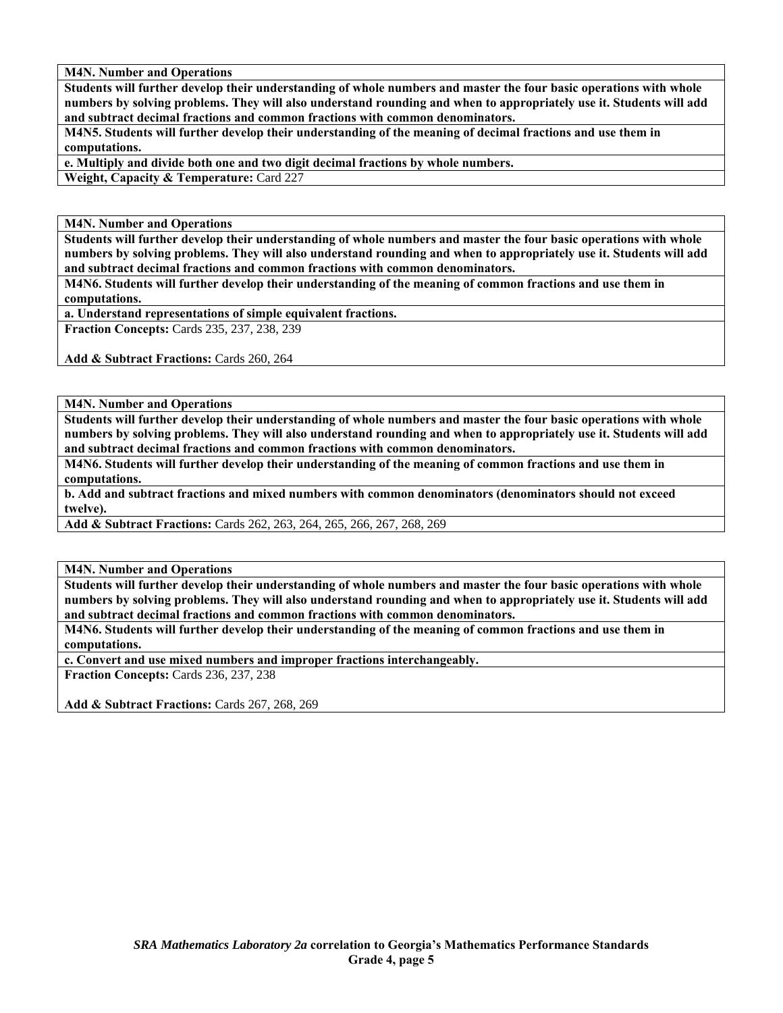**Students will further develop their understanding of whole numbers and master the four basic operations with whole numbers by solving problems. They will also understand rounding and when to appropriately use it. Students will add and subtract decimal fractions and common fractions with common denominators.** 

**M4N5. Students will further develop their understanding of the meaning of decimal fractions and use them in computations.** 

**e. Multiply and divide both one and two digit decimal fractions by whole numbers.** 

**Weight, Capacity & Temperature:** Card 227

**M4N. Number and Operations** 

**Students will further develop their understanding of whole numbers and master the four basic operations with whole numbers by solving problems. They will also understand rounding and when to appropriately use it. Students will add and subtract decimal fractions and common fractions with common denominators.** 

**M4N6. Students will further develop their understanding of the meaning of common fractions and use them in computations.** 

**a. Understand representations of simple equivalent fractions.** 

**Fraction Concepts:** Cards 235, 237, 238, 239

Add & Subtract Fractions: Cards 260, 264

**M4N. Number and Operations** 

**Students will further develop their understanding of whole numbers and master the four basic operations with whole numbers by solving problems. They will also understand rounding and when to appropriately use it. Students will add and subtract decimal fractions and common fractions with common denominators.** 

**M4N6. Students will further develop their understanding of the meaning of common fractions and use them in computations.** 

**b. Add and subtract fractions and mixed numbers with common denominators (denominators should not exceed twelve).** 

**Add & Subtract Fractions:** Cards 262, 263, 264, 265, 266, 267, 268, 269

**M4N. Number and Operations** 

**Students will further develop their understanding of whole numbers and master the four basic operations with whole numbers by solving problems. They will also understand rounding and when to appropriately use it. Students will add and subtract decimal fractions and common fractions with common denominators.** 

**M4N6. Students will further develop their understanding of the meaning of common fractions and use them in computations.** 

**c. Convert and use mixed numbers and improper fractions interchangeably.** 

**Fraction Concepts:** Cards 236, 237, 238

**Add & Subtract Fractions:** Cards 267, 268, 269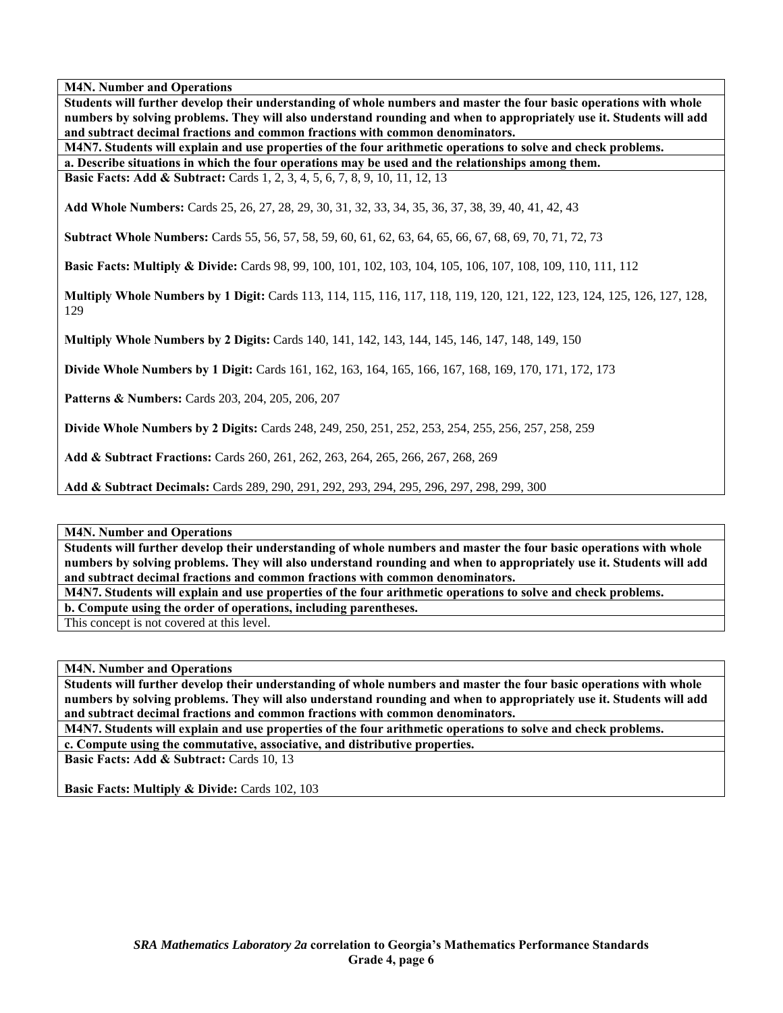**Students will further develop their understanding of whole numbers and master the four basic operations with whole numbers by solving problems. They will also understand rounding and when to appropriately use it. Students will add and subtract decimal fractions and common fractions with common denominators.** 

**M4N7. Students will explain and use properties of the four arithmetic operations to solve and check problems. a. Describe situations in which the four operations may be used and the relationships among them.** 

**Basic Facts: Add & Subtract:** Cards 1, 2, 3, 4, 5, 6, 7, 8, 9, 10, 11, 12, 13

**Add Whole Numbers:** Cards 25, 26, 27, 28, 29, 30, 31, 32, 33, 34, 35, 36, 37, 38, 39, 40, 41, 42, 43

**Subtract Whole Numbers:** Cards 55, 56, 57, 58, 59, 60, 61, 62, 63, 64, 65, 66, 67, 68, 69, 70, 71, 72, 73

**Basic Facts: Multiply & Divide:** Cards 98, 99, 100, 101, 102, 103, 104, 105, 106, 107, 108, 109, 110, 111, 112

**Multiply Whole Numbers by 1 Digit:** Cards 113, 114, 115, 116, 117, 118, 119, 120, 121, 122, 123, 124, 125, 126, 127, 128, 129

**Multiply Whole Numbers by 2 Digits:** Cards 140, 141, 142, 143, 144, 145, 146, 147, 148, 149, 150

**Divide Whole Numbers by 1 Digit:** Cards 161, 162, 163, 164, 165, 166, 167, 168, 169, 170, 171, 172, 173

**Patterns & Numbers:** Cards 203, 204, 205, 206, 207

**Divide Whole Numbers by 2 Digits:** Cards 248, 249, 250, 251, 252, 253, 254, 255, 256, 257, 258, 259

**Add & Subtract Fractions:** Cards 260, 261, 262, 263, 264, 265, 266, 267, 268, 269

**Add & Subtract Decimals:** Cards 289, 290, 291, 292, 293, 294, 295, 296, 297, 298, 299, 300

**M4N. Number and Operations** 

**Students will further develop their understanding of whole numbers and master the four basic operations with whole numbers by solving problems. They will also understand rounding and when to appropriately use it. Students will add and subtract decimal fractions and common fractions with common denominators.** 

**M4N7. Students will explain and use properties of the four arithmetic operations to solve and check problems.** 

**b. Compute using the order of operations, including parentheses.** 

This concept is not covered at this level.

**M4N. Number and Operations** 

**Students will further develop their understanding of whole numbers and master the four basic operations with whole numbers by solving problems. They will also understand rounding and when to appropriately use it. Students will add and subtract decimal fractions and common fractions with common denominators.** 

**M4N7. Students will explain and use properties of the four arithmetic operations to solve and check problems.** 

**c. Compute using the commutative, associative, and distributive properties.** 

**Basic Facts: Add & Subtract: Cards 10, 13** 

**Basic Facts: Multiply & Divide: Cards 102, 103**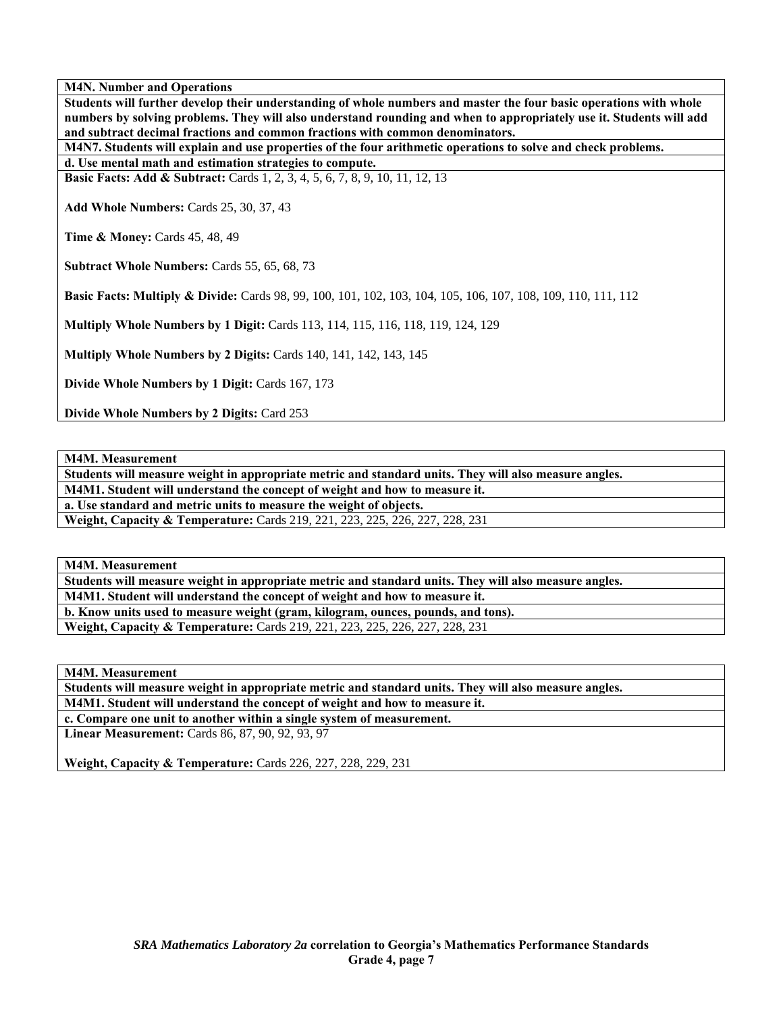**Students will further develop their understanding of whole numbers and master the four basic operations with whole numbers by solving problems. They will also understand rounding and when to appropriately use it. Students will add and subtract decimal fractions and common fractions with common denominators.** 

**M4N7. Students will explain and use properties of the four arithmetic operations to solve and check problems.** 

**d. Use mental math and estimation strategies to compute.** 

**Basic Facts: Add & Subtract:** Cards 1, 2, 3, 4, 5, 6, 7, 8, 9, 10, 11, 12, 13

**Add Whole Numbers:** Cards 25, 30, 37, 43

**Time & Money: Cards 45, 48, 49** 

**Subtract Whole Numbers:** Cards 55, 65, 68, 73

**Basic Facts: Multiply & Divide:** Cards 98, 99, 100, 101, 102, 103, 104, 105, 106, 107, 108, 109, 110, 111, 112

**Multiply Whole Numbers by 1 Digit:** Cards 113, 114, 115, 116, 118, 119, 124, 129

**Multiply Whole Numbers by 2 Digits:** Cards 140, 141, 142, 143, 145

**Divide Whole Numbers by 1 Digit:** Cards 167, 173

**Divide Whole Numbers by 2 Digits:** Card 253

**M4M. Measurement** 

**Students will measure weight in appropriate metric and standard units. They will also measure angles.** 

**M4M1. Student will understand the concept of weight and how to measure it.** 

**a. Use standard and metric units to measure the weight of objects.** 

**Weight, Capacity & Temperature:** Cards 219, 221, 223, 225, 226, 227, 228, 231

**M4M. Measurement** 

**Students will measure weight in appropriate metric and standard units. They will also measure angles.** 

**M4M1. Student will understand the concept of weight and how to measure it.** 

**b. Know units used to measure weight (gram, kilogram, ounces, pounds, and tons).** 

**Weight, Capacity & Temperature:** Cards 219, 221, 223, 225, 226, 227, 228, 231

**M4M. Measurement** 

**Students will measure weight in appropriate metric and standard units. They will also measure angles.** 

**M4M1. Student will understand the concept of weight and how to measure it.** 

**c. Compare one unit to another within a single system of measurement.** 

**Linear Measurement:** Cards 86, 87, 90, 92, 93, 97

**Weight, Capacity & Temperature:** Cards 226, 227, 228, 229, 231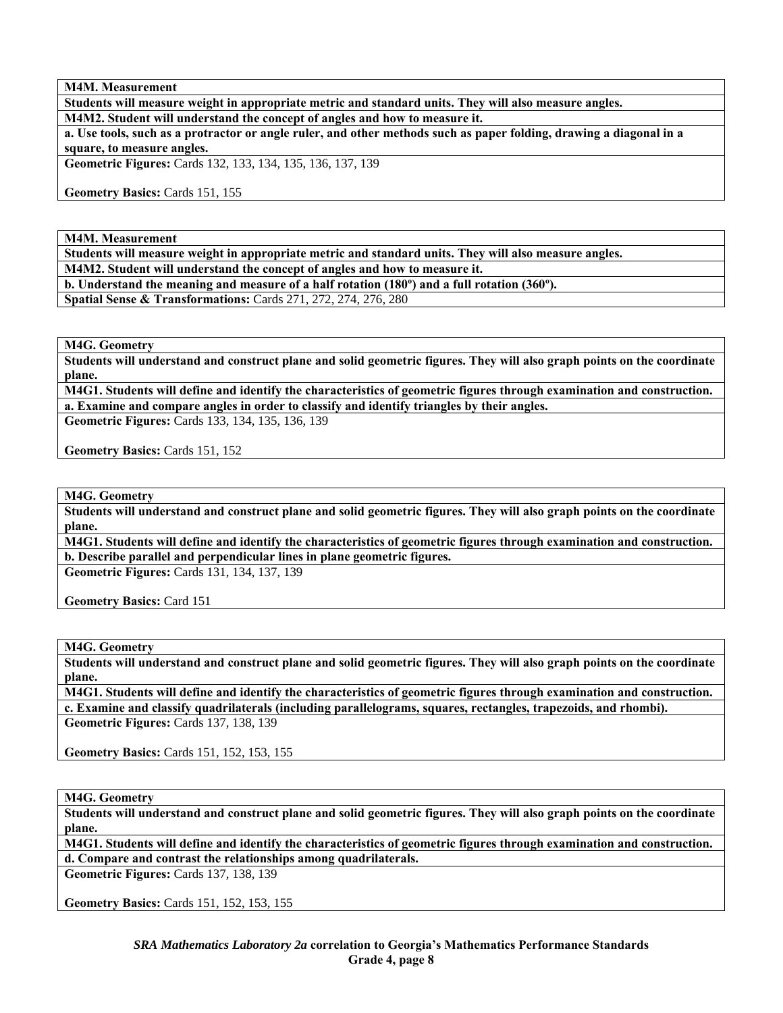**M4M. Measurement** 

**Students will measure weight in appropriate metric and standard units. They will also measure angles. M4M2. Student will understand the concept of angles and how to measure it.** 

**a. Use tools, such as a protractor or angle ruler, and other methods such as paper folding, drawing a diagonal in a square, to measure angles.** 

**Geometric Figures:** Cards 132, 133, 134, 135, 136, 137, 139

**Geometry Basics:** Cards 151, 155

**M4M. Measurement** 

**Students will measure weight in appropriate metric and standard units. They will also measure angles.** 

**M4M2. Student will understand the concept of angles and how to measure it.** 

**b. Understand the meaning and measure of a half rotation (180º) and a full rotation (360º).** 

**Spatial Sense & Transformations:** Cards 271, 272, 274, 276, 280

**M4G. Geometry** 

**Students will understand and construct plane and solid geometric figures. They will also graph points on the coordinate plane.** 

**M4G1. Students will define and identify the characteristics of geometric figures through examination and construction. a. Examine and compare angles in order to classify and identify triangles by their angles.** 

**Geometric Figures:** Cards 133, 134, 135, 136, 139

**Geometry Basics:** Cards 151, 152

**M4G. Geometry** 

**Students will understand and construct plane and solid geometric figures. They will also graph points on the coordinate plane.** 

**M4G1. Students will define and identify the characteristics of geometric figures through examination and construction. b. Describe parallel and perpendicular lines in plane geometric figures.** 

**Geometric Figures:** Cards 131, 134, 137, 139

**Geometry Basics:** Card 151

**M4G. Geometry** 

**Students will understand and construct plane and solid geometric figures. They will also graph points on the coordinate plane.** 

**M4G1. Students will define and identify the characteristics of geometric figures through examination and construction. c. Examine and classify quadrilaterals (including parallelograms, squares, rectangles, trapezoids, and rhombi). Geometric Figures:** Cards 137, 138, 139

**Geometry Basics:** Cards 151, 152, 153, 155

**M4G. Geometry** 

**Students will understand and construct plane and solid geometric figures. They will also graph points on the coordinate plane.** 

**M4G1. Students will define and identify the characteristics of geometric figures through examination and construction. d. Compare and contrast the relationships among quadrilaterals.** 

**Geometric Figures:** Cards 137, 138, 139

**Geometry Basics:** Cards 151, 152, 153, 155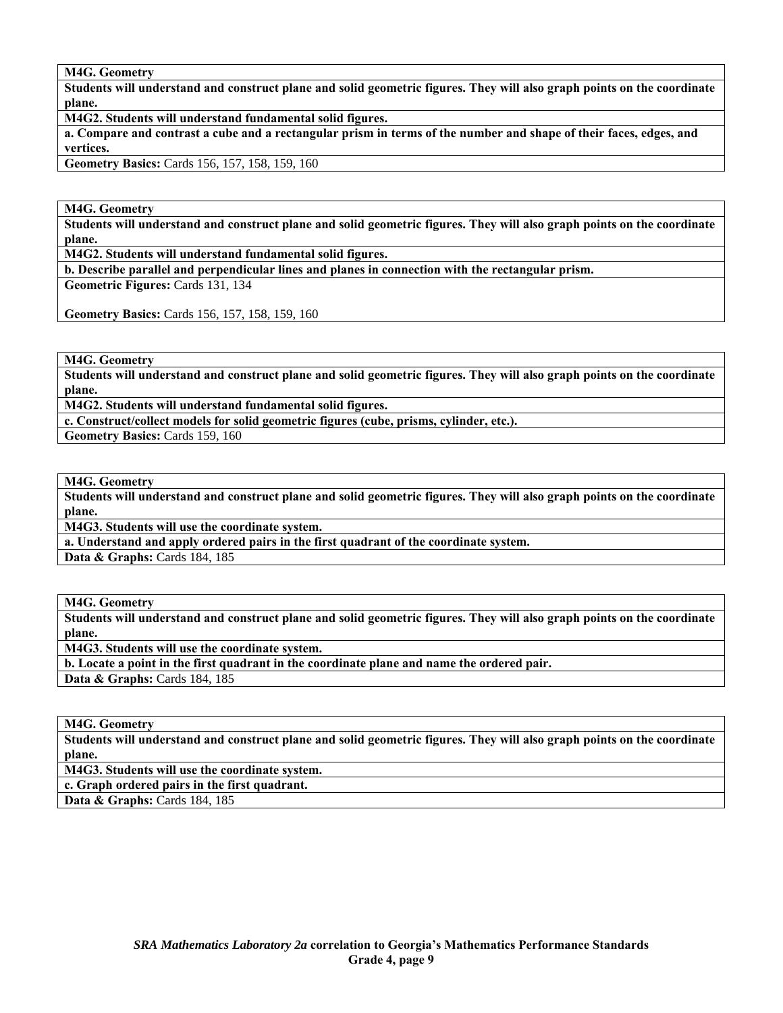**M4G. Geometry** 

**Students will understand and construct plane and solid geometric figures. They will also graph points on the coordinate plane.** 

**M4G2. Students will understand fundamental solid figures.** 

**a. Compare and contrast a cube and a rectangular prism in terms of the number and shape of their faces, edges, and vertices.** 

**Geometry Basics:** Cards 156, 157, 158, 159, 160

**M4G. Geometry** 

**Students will understand and construct plane and solid geometric figures. They will also graph points on the coordinate plane.** 

**M4G2. Students will understand fundamental solid figures.** 

**b. Describe parallel and perpendicular lines and planes in connection with the rectangular prism.** 

**Geometric Figures:** Cards 131, 134

**Geometry Basics:** Cards 156, 157, 158, 159, 160

**M4G. Geometry** 

**Students will understand and construct plane and solid geometric figures. They will also graph points on the coordinate plane.** 

**M4G2. Students will understand fundamental solid figures.** 

**c. Construct/collect models for solid geometric figures (cube, prisms, cylinder, etc.).** 

**Geometry Basics:** Cards 159, 160

**M4G. Geometry** 

**Students will understand and construct plane and solid geometric figures. They will also graph points on the coordinate plane.** 

**M4G3. Students will use the coordinate system.** 

**a. Understand and apply ordered pairs in the first quadrant of the coordinate system.** 

**Data & Graphs: Cards 184, 185** 

**M4G. Geometry** 

**Students will understand and construct plane and solid geometric figures. They will also graph points on the coordinate plane.** 

**M4G3. Students will use the coordinate system.** 

**b. Locate a point in the first quadrant in the coordinate plane and name the ordered pair.** 

**Data & Graphs:** Cards 184, 185

**M4G. Geometry** 

**Students will understand and construct plane and solid geometric figures. They will also graph points on the coordinate plane.** 

**M4G3. Students will use the coordinate system.** 

**c. Graph ordered pairs in the first quadrant.** 

**Data & Graphs:** Cards 184, 185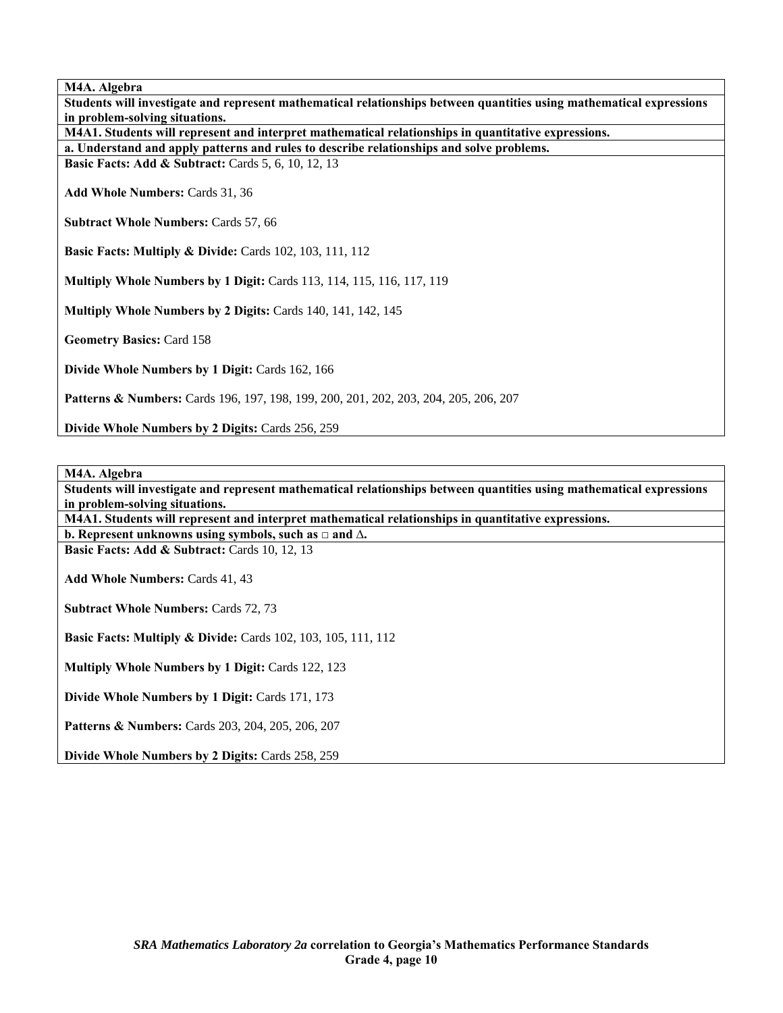**M4A. Algebra** 

**Students will investigate and represent mathematical relationships between quantities using mathematical expressions in problem-solving situations.** 

**M4A1. Students will represent and interpret mathematical relationships in quantitative expressions.** 

**a. Understand and apply patterns and rules to describe relationships and solve problems.** 

**Basic Facts: Add & Subtract: Cards 5, 6, 10, 12, 13** 

**Add Whole Numbers:** Cards 31, 36

**Subtract Whole Numbers:** Cards 57, 66

**Basic Facts: Multiply & Divide: Cards 102, 103, 111, 112** 

**Multiply Whole Numbers by 1 Digit:** Cards 113, 114, 115, 116, 117, 119

**Multiply Whole Numbers by 2 Digits:** Cards 140, 141, 142, 145

**Geometry Basics:** Card 158

**Divide Whole Numbers by 1 Digit:** Cards 162, 166

**Patterns & Numbers:** Cards 196, 197, 198, 199, 200, 201, 202, 203, 204, 205, 206, 207

**Divide Whole Numbers by 2 Digits:** Cards 256, 259

**M4A. Algebra** 

**Students will investigate and represent mathematical relationships between quantities using mathematical expressions in problem-solving situations.** 

**M4A1. Students will represent and interpret mathematical relationships in quantitative expressions. b. Represent unknowns using symbols, such as □ and ∆.** 

**Basic Facts: Add & Subtract: Cards 10, 12, 13** 

**Add Whole Numbers:** Cards 41, 43

**Subtract Whole Numbers:** Cards 72, 73

**Basic Facts: Multiply & Divide: Cards 102, 103, 105, 111, 112** 

**Multiply Whole Numbers by 1 Digit:** Cards 122, 123

**Divide Whole Numbers by 1 Digit:** Cards 171, 173

**Patterns & Numbers:** Cards 203, 204, 205, 206, 207

**Divide Whole Numbers by 2 Digits:** Cards 258, 259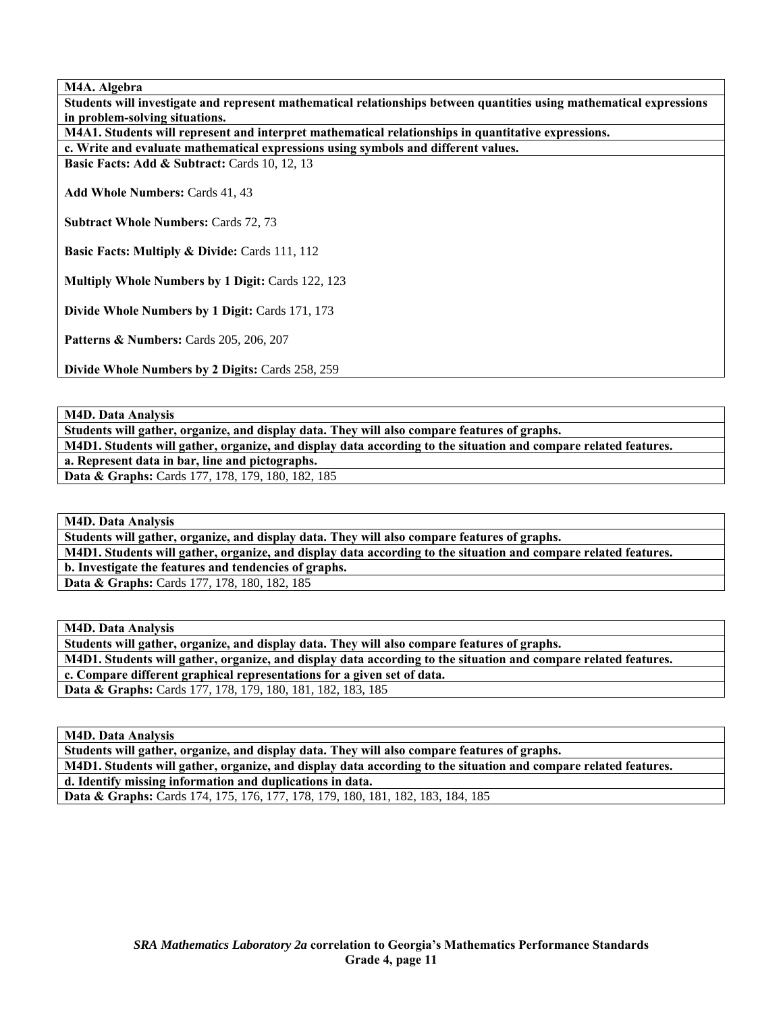**M4A. Algebra** 

**Students will investigate and represent mathematical relationships between quantities using mathematical expressions in problem-solving situations.** 

**M4A1. Students will represent and interpret mathematical relationships in quantitative expressions.** 

**c. Write and evaluate mathematical expressions using symbols and different values.** 

**Basic Facts: Add & Subtract: Cards 10, 12, 13** 

**Add Whole Numbers:** Cards 41, 43

**Subtract Whole Numbers:** Cards 72, 73

**Basic Facts: Multiply & Divide: Cards 111, 112** 

**Multiply Whole Numbers by 1 Digit:** Cards 122, 123

**Divide Whole Numbers by 1 Digit:** Cards 171, 173

**Patterns & Numbers:** Cards 205, 206, 207

**Divide Whole Numbers by 2 Digits:** Cards 258, 259

**M4D. Data Analysis** 

**Students will gather, organize, and display data. They will also compare features of graphs. M4D1. Students will gather, organize, and display data according to the situation and compare related features. a. Represent data in bar, line and pictographs. Data & Graphs:** Cards 177, 178, 179, 180, 182, 185

**M4D. Data Analysis** 

**Students will gather, organize, and display data. They will also compare features of graphs. M4D1. Students will gather, organize, and display data according to the situation and compare related features. b. Investigate the features and tendencies of graphs. Data & Graphs:** Cards 177, 178, 180, 182, 185

**M4D. Data Analysis** 

**Students will gather, organize, and display data. They will also compare features of graphs. M4D1. Students will gather, organize, and display data according to the situation and compare related features. c. Compare different graphical representations for a given set of data. Data & Graphs:** Cards 177, 178, 179, 180, 181, 182, 183, 185

**M4D. Data Analysis** 

**Students will gather, organize, and display data. They will also compare features of graphs. M4D1. Students will gather, organize, and display data according to the situation and compare related features. d. Identify missing information and duplications in data. Data & Graphs:** Cards 174, 175, 176, 177, 178, 179, 180, 181, 182, 183, 184, 185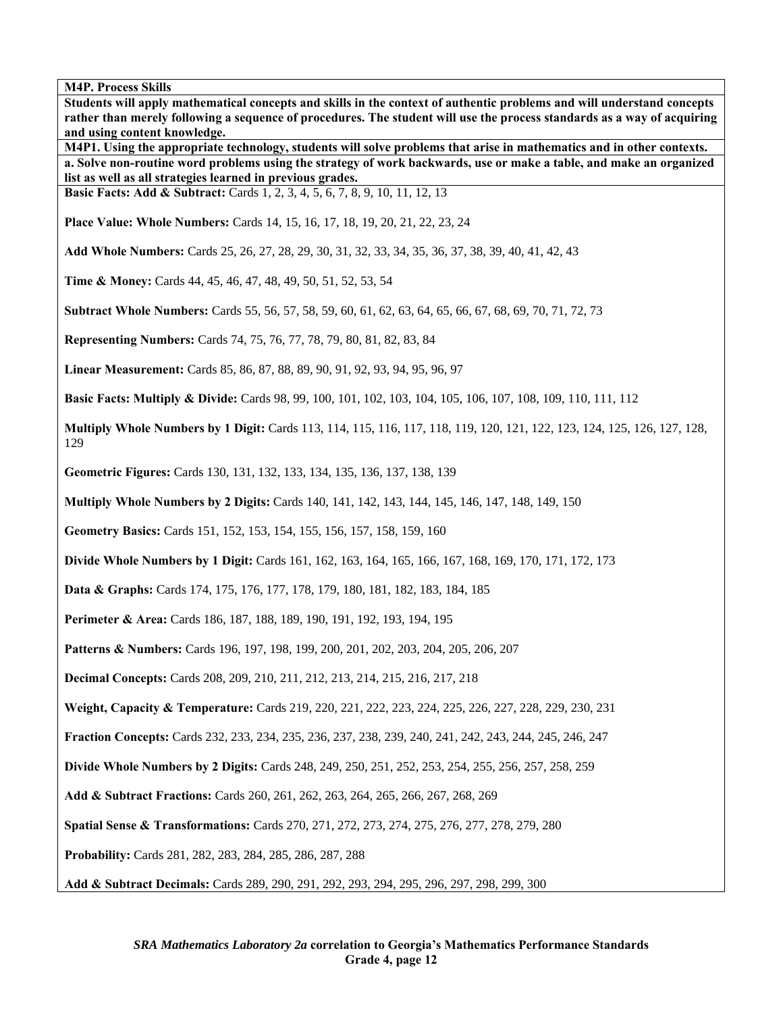**Students will apply mathematical concepts and skills in the context of authentic problems and will understand concepts rather than merely following a sequence of procedures. The student will use the process standards as a way of acquiring and using content knowledge. M4P1. Using the appropriate technology, students will solve problems that arise in mathematics and in other contexts. a. Solve non-routine word problems using the strategy of work backwards, use or make a table, and make an organized list as well as all strategies learned in previous grades. Basic Facts: Add & Subtract:** Cards 1, 2, 3, 4, 5, 6, 7, 8, 9, 10, 11, 12, 13 **Place Value: Whole Numbers:** Cards 14, 15, 16, 17, 18, 19, 20, 21, 22, 23, 24 **Add Whole Numbers:** Cards 25, 26, 27, 28, 29, 30, 31, 32, 33, 34, 35, 36, 37, 38, 39, 40, 41, 42, 43 **Time & Money:** Cards 44, 45, 46, 47, 48, 49, 50, 51, 52, 53, 54 **Subtract Whole Numbers:** Cards 55, 56, 57, 58, 59, 60, 61, 62, 63, 64, 65, 66, 67, 68, 69, 70, 71, 72, 73 **Representing Numbers:** Cards 74, 75, 76, 77, 78, 79, 80, 81, 82, 83, 84 **Linear Measurement:** Cards 85, 86, 87, 88, 89, 90, 91, 92, 93, 94, 95, 96, 97 **Basic Facts: Multiply & Divide:** Cards 98, 99, 100, 101, 102, 103, 104, 105, 106, 107, 108, 109, 110, 111, 112 **Multiply Whole Numbers by 1 Digit:** Cards 113, 114, 115, 116, 117, 118, 119, 120, 121, 122, 123, 124, 125, 126, 127, 128, 129 **Geometric Figures:** Cards 130, 131, 132, 133, 134, 135, 136, 137, 138, 139 **Multiply Whole Numbers by 2 Digits:** Cards 140, 141, 142, 143, 144, 145, 146, 147, 148, 149, 150 **Geometry Basics:** Cards 151, 152, 153, 154, 155, 156, 157, 158, 159, 160 **Divide Whole Numbers by 1 Digit:** Cards 161, 162, 163, 164, 165, 166, 167, 168, 169, 170, 171, 172, 173 **Data & Graphs:** Cards 174, 175, 176, 177, 178, 179, 180, 181, 182, 183, 184, 185 Perimeter & Area: Cards 186, 187, 188, 189, 190, 191, 192, 193, 194, 195 **Patterns & Numbers:** Cards 196, 197, 198, 199, 200, 201, 202, 203, 204, 205, 206, 207 **Decimal Concepts:** Cards 208, 209, 210, 211, 212, 213, 214, 215, 216, 217, 218 **Weight, Capacity & Temperature:** Cards 219, 220, 221, 222, 223, 224, 225, 226, 227, 228, 229, 230, 231 **Fraction Concepts:** Cards 232, 233, 234, 235, 236, 237, 238, 239, 240, 241, 242, 243, 244, 245, 246, 247 **Divide Whole Numbers by 2 Digits:** Cards 248, 249, 250, 251, 252, 253, 254, 255, 256, 257, 258, 259 **Add & Subtract Fractions:** Cards 260, 261, 262, 263, 264, 265, 266, 267, 268, 269 **Spatial Sense & Transformations:** Cards 270, 271, 272, 273, 274, 275, 276, 277, 278, 279, 280 **Probability:** Cards 281, 282, 283, 284, 285, 286, 287, 288 **Add & Subtract Decimals:** Cards 289, 290, 291, 292, 293, 294, 295, 296, 297, 298, 299, 300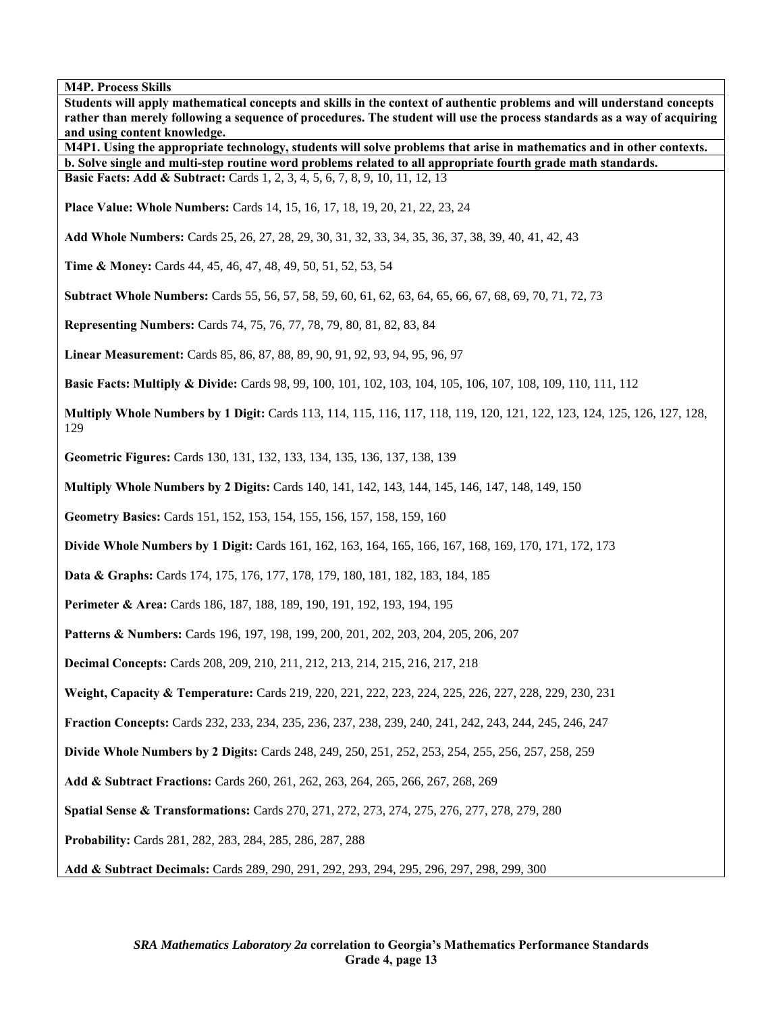**Students will apply mathematical concepts and skills in the context of authentic problems and will understand concepts rather than merely following a sequence of procedures. The student will use the process standards as a way of acquiring and using content knowledge. M4P1. Using the appropriate technology, students will solve problems that arise in mathematics and in other contexts. b. Solve single and multi-step routine word problems related to all appropriate fourth grade math standards. Basic Facts: Add & Subtract:** Cards 1, 2, 3, 4, 5, 6, 7, 8, 9, 10, 11, 12, 13 **Place Value: Whole Numbers:** Cards 14, 15, 16, 17, 18, 19, 20, 21, 22, 23, 24 **Add Whole Numbers:** Cards 25, 26, 27, 28, 29, 30, 31, 32, 33, 34, 35, 36, 37, 38, 39, 40, 41, 42, 43 **Time & Money:** Cards 44, 45, 46, 47, 48, 49, 50, 51, 52, 53, 54 **Subtract Whole Numbers:** Cards 55, 56, 57, 58, 59, 60, 61, 62, 63, 64, 65, 66, 67, 68, 69, 70, 71, 72, 73 **Representing Numbers:** Cards 74, 75, 76, 77, 78, 79, 80, 81, 82, 83, 84 **Linear Measurement:** Cards 85, 86, 87, 88, 89, 90, 91, 92, 93, 94, 95, 96, 97 **Basic Facts: Multiply & Divide:** Cards 98, 99, 100, 101, 102, 103, 104, 105, 106, 107, 108, 109, 110, 111, 112 **Multiply Whole Numbers by 1 Digit:** Cards 113, 114, 115, 116, 117, 118, 119, 120, 121, 122, 123, 124, 125, 126, 127, 128, 129 **Geometric Figures:** Cards 130, 131, 132, 133, 134, 135, 136, 137, 138, 139 **Multiply Whole Numbers by 2 Digits:** Cards 140, 141, 142, 143, 144, 145, 146, 147, 148, 149, 150 **Geometry Basics:** Cards 151, 152, 153, 154, 155, 156, 157, 158, 159, 160 **Divide Whole Numbers by 1 Digit:** Cards 161, 162, 163, 164, 165, 166, 167, 168, 169, 170, 171, 172, 173 **Data & Graphs:** Cards 174, 175, 176, 177, 178, 179, 180, 181, 182, 183, 184, 185 **Perimeter & Area:** Cards 186, 187, 188, 189, 190, 191, 192, 193, 194, 195 **Patterns & Numbers:** Cards 196, 197, 198, 199, 200, 201, 202, 203, 204, 205, 206, 207 **Decimal Concepts:** Cards 208, 209, 210, 211, 212, 213, 214, 215, 216, 217, 218 **Weight, Capacity & Temperature:** Cards 219, 220, 221, 222, 223, 224, 225, 226, 227, 228, 229, 230, 231 **Fraction Concepts:** Cards 232, 233, 234, 235, 236, 237, 238, 239, 240, 241, 242, 243, 244, 245, 246, 247 **Divide Whole Numbers by 2 Digits:** Cards 248, 249, 250, 251, 252, 253, 254, 255, 256, 257, 258, 259 **Add & Subtract Fractions:** Cards 260, 261, 262, 263, 264, 265, 266, 267, 268, 269 **Spatial Sense & Transformations:** Cards 270, 271, 272, 273, 274, 275, 276, 277, 278, 279, 280 **Probability:** Cards 281, 282, 283, 284, 285, 286, 287, 288 **Add & Subtract Decimals:** Cards 289, 290, 291, 292, 293, 294, 295, 296, 297, 298, 299, 300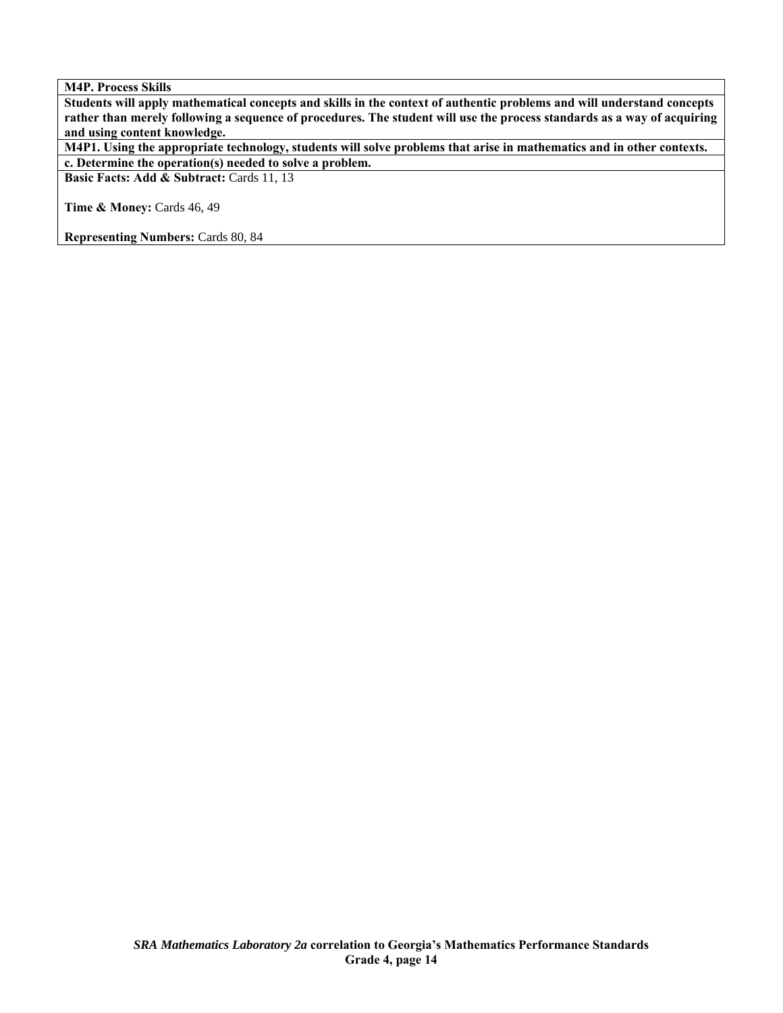**Students will apply mathematical concepts and skills in the context of authentic problems and will understand concepts rather than merely following a sequence of procedures. The student will use the process standards as a way of acquiring and using content knowledge.** 

**M4P1. Using the appropriate technology, students will solve problems that arise in mathematics and in other contexts. c. Determine the operation(s) needed to solve a problem.** 

**Basic Facts: Add & Subtract: Cards 11, 13** 

**Time & Money: Cards 46, 49** 

**Representing Numbers:** Cards 80, 84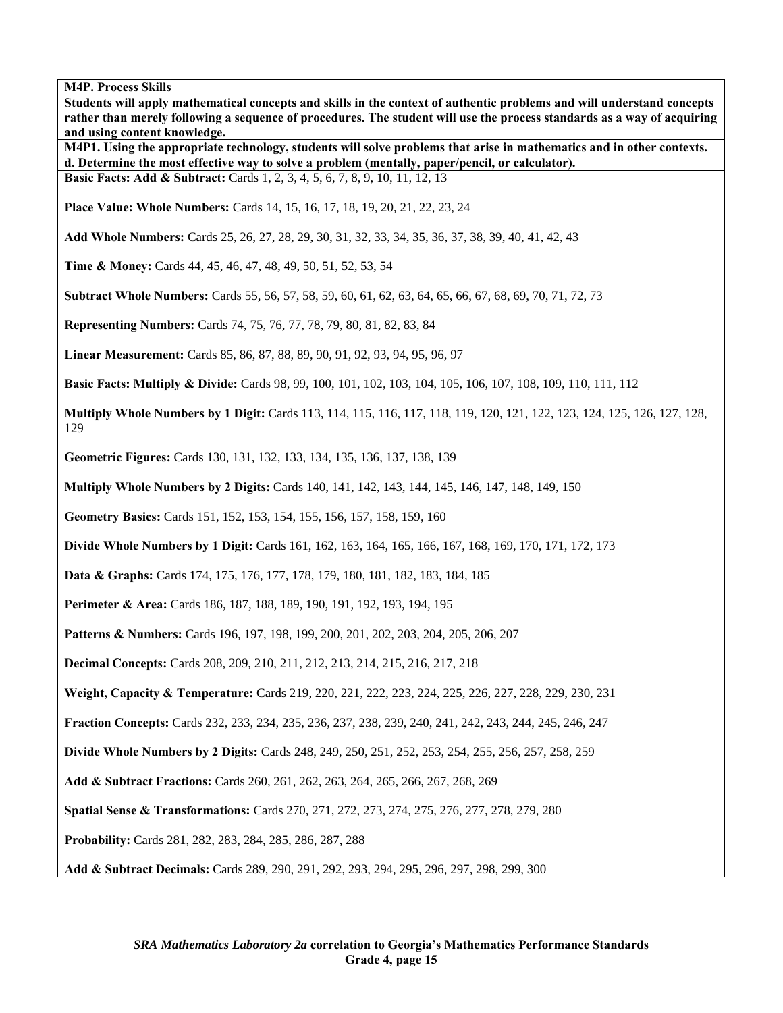**Students will apply mathematical concepts and skills in the context of authentic problems and will understand concepts rather than merely following a sequence of procedures. The student will use the process standards as a way of acquiring and using content knowledge. M4P1. Using the appropriate technology, students will solve problems that arise in mathematics and in other contexts. d. Determine the most effective way to solve a problem (mentally, paper/pencil, or calculator). Basic Facts: Add & Subtract:** Cards 1, 2, 3, 4, 5, 6, 7, 8, 9, 10, 11, 12, 13 **Place Value: Whole Numbers:** Cards 14, 15, 16, 17, 18, 19, 20, 21, 22, 23, 24 **Add Whole Numbers:** Cards 25, 26, 27, 28, 29, 30, 31, 32, 33, 34, 35, 36, 37, 38, 39, 40, 41, 42, 43 **Time & Money:** Cards 44, 45, 46, 47, 48, 49, 50, 51, 52, 53, 54 **Subtract Whole Numbers:** Cards 55, 56, 57, 58, 59, 60, 61, 62, 63, 64, 65, 66, 67, 68, 69, 70, 71, 72, 73 **Representing Numbers:** Cards 74, 75, 76, 77, 78, 79, 80, 81, 82, 83, 84 **Linear Measurement:** Cards 85, 86, 87, 88, 89, 90, 91, 92, 93, 94, 95, 96, 97 **Basic Facts: Multiply & Divide:** Cards 98, 99, 100, 101, 102, 103, 104, 105, 106, 107, 108, 109, 110, 111, 112 **Multiply Whole Numbers by 1 Digit:** Cards 113, 114, 115, 116, 117, 118, 119, 120, 121, 122, 123, 124, 125, 126, 127, 128, 129 **Geometric Figures:** Cards 130, 131, 132, 133, 134, 135, 136, 137, 138, 139 **Multiply Whole Numbers by 2 Digits:** Cards 140, 141, 142, 143, 144, 145, 146, 147, 148, 149, 150 **Geometry Basics:** Cards 151, 152, 153, 154, 155, 156, 157, 158, 159, 160 **Divide Whole Numbers by 1 Digit:** Cards 161, 162, 163, 164, 165, 166, 167, 168, 169, 170, 171, 172, 173 **Data & Graphs:** Cards 174, 175, 176, 177, 178, 179, 180, 181, 182, 183, 184, 185 **Perimeter & Area:** Cards 186, 187, 188, 189, 190, 191, 192, 193, 194, 195 **Patterns & Numbers:** Cards 196, 197, 198, 199, 200, 201, 202, 203, 204, 205, 206, 207 **Decimal Concepts:** Cards 208, 209, 210, 211, 212, 213, 214, 215, 216, 217, 218 **Weight, Capacity & Temperature:** Cards 219, 220, 221, 222, 223, 224, 225, 226, 227, 228, 229, 230, 231 **Fraction Concepts:** Cards 232, 233, 234, 235, 236, 237, 238, 239, 240, 241, 242, 243, 244, 245, 246, 247 **Divide Whole Numbers by 2 Digits:** Cards 248, 249, 250, 251, 252, 253, 254, 255, 256, 257, 258, 259 **Add & Subtract Fractions:** Cards 260, 261, 262, 263, 264, 265, 266, 267, 268, 269 **Spatial Sense & Transformations:** Cards 270, 271, 272, 273, 274, 275, 276, 277, 278, 279, 280 **Probability:** Cards 281, 282, 283, 284, 285, 286, 287, 288 **Add & Subtract Decimals:** Cards 289, 290, 291, 292, 293, 294, 295, 296, 297, 298, 299, 300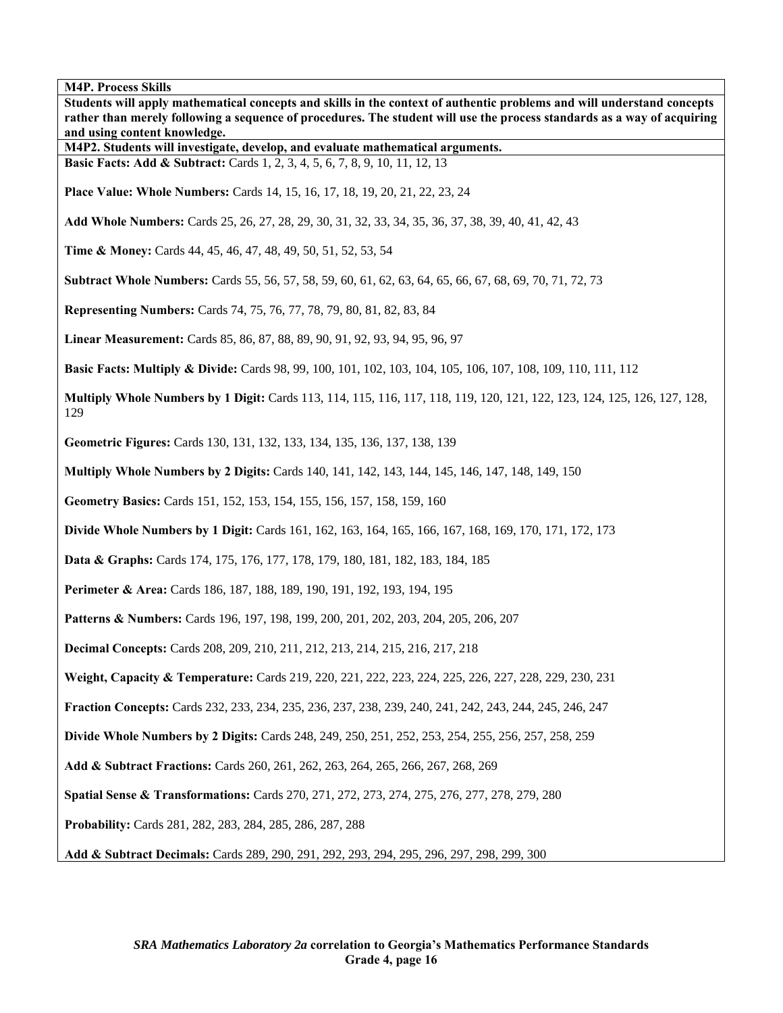| Students will apply mathematical concepts and skills in the context of authentic problems and will understand concepts<br>rather than merely following a sequence of procedures. The student will use the process standards as a way of acquiring<br>and using content knowledge.<br>M4P2. Students will investigate, develop, and evaluate mathematical arguments.<br><b>Basic Facts: Add &amp; Subtract:</b> Cards 1, 2, 3, 4, 5, 6, 7, 8, 9, 10, 11, 12, 13<br><b>Place Value: Whole Numbers:</b> Cards 14, 15, 16, 17, 18, 19, 20, 21, 22, 23, 24<br>Add Whole Numbers: Cards 25, 26, 27, 28, 29, 30, 31, 32, 33, 34, 35, 36, 37, 38, 39, 40, 41, 42, 43<br>Time & Money: Cards 44, 45, 46, 47, 48, 49, 50, 51, 52, 53, 54<br>Subtract Whole Numbers: Cards 55, 56, 57, 58, 59, 60, 61, 62, 63, 64, 65, 66, 67, 68, 69, 70, 71, 72, 73<br>Multiply Whole Numbers by 1 Digit: Cards 113, 114, 115, 116, 117, 118, 119, 120, 121, 122, 123, 124, 125, 126, 127, 128,<br>129<br>Geometric Figures: Cards 130, 131, 132, 133, 134, 135, 136, 137, 138, 139<br><b>Multiply Whole Numbers by 2 Digits:</b> Cards 140, 141, 142, 143, 144, 145, 146, 147, 148, 149, 150<br>Geometry Basics: Cards 151, 152, 153, 154, 155, 156, 157, 158, 159, 160<br>Divide Whole Numbers by 1 Digit: Cards 161, 162, 163, 164, 165, 166, 167, 168, 169, 170, 171, 172, 173<br>Perimeter & Area: Cards 186, 187, 188, 189, 190, 191, 192, 193, 194, 195<br>Patterns & Numbers: Cards 196, 197, 198, 199, 200, 201, 202, 203, 204, 205, 206, 207<br>Weight, Capacity & Temperature: Cards 219, 220, 221, 222, 223, 224, 225, 226, 227, 228, 229, 230, 231<br>Fraction Concepts: Cards 232, 233, 234, 235, 236, 237, 238, 239, 240, 241, 242, 243, 244, 245, 246, 247<br>Divide Whole Numbers by 2 Digits: Cards 248, 249, 250, 251, 252, 253, 254, 255, 256, 257, 258, 259<br>Add & Subtract Fractions: Cards 260, 261, 262, 263, 264, 265, 266, 267, 268, 269<br>Spatial Sense & Transformations: Cards 270, 271, 272, 273, 274, 275, 276, 277, 278, 279, 280 | <b>M4P. Process Skills</b>                                                                                               |
|---------------------------------------------------------------------------------------------------------------------------------------------------------------------------------------------------------------------------------------------------------------------------------------------------------------------------------------------------------------------------------------------------------------------------------------------------------------------------------------------------------------------------------------------------------------------------------------------------------------------------------------------------------------------------------------------------------------------------------------------------------------------------------------------------------------------------------------------------------------------------------------------------------------------------------------------------------------------------------------------------------------------------------------------------------------------------------------------------------------------------------------------------------------------------------------------------------------------------------------------------------------------------------------------------------------------------------------------------------------------------------------------------------------------------------------------------------------------------------------------------------------------------------------------------------------------------------------------------------------------------------------------------------------------------------------------------------------------------------------------------------------------------------------------------------------------------------------------------------------------------------------------------------------------------------------------------------------------------------------------------------------------------------------------|--------------------------------------------------------------------------------------------------------------------------|
|                                                                                                                                                                                                                                                                                                                                                                                                                                                                                                                                                                                                                                                                                                                                                                                                                                                                                                                                                                                                                                                                                                                                                                                                                                                                                                                                                                                                                                                                                                                                                                                                                                                                                                                                                                                                                                                                                                                                                                                                                                             |                                                                                                                          |
|                                                                                                                                                                                                                                                                                                                                                                                                                                                                                                                                                                                                                                                                                                                                                                                                                                                                                                                                                                                                                                                                                                                                                                                                                                                                                                                                                                                                                                                                                                                                                                                                                                                                                                                                                                                                                                                                                                                                                                                                                                             |                                                                                                                          |
|                                                                                                                                                                                                                                                                                                                                                                                                                                                                                                                                                                                                                                                                                                                                                                                                                                                                                                                                                                                                                                                                                                                                                                                                                                                                                                                                                                                                                                                                                                                                                                                                                                                                                                                                                                                                                                                                                                                                                                                                                                             |                                                                                                                          |
|                                                                                                                                                                                                                                                                                                                                                                                                                                                                                                                                                                                                                                                                                                                                                                                                                                                                                                                                                                                                                                                                                                                                                                                                                                                                                                                                                                                                                                                                                                                                                                                                                                                                                                                                                                                                                                                                                                                                                                                                                                             |                                                                                                                          |
|                                                                                                                                                                                                                                                                                                                                                                                                                                                                                                                                                                                                                                                                                                                                                                                                                                                                                                                                                                                                                                                                                                                                                                                                                                                                                                                                                                                                                                                                                                                                                                                                                                                                                                                                                                                                                                                                                                                                                                                                                                             |                                                                                                                          |
|                                                                                                                                                                                                                                                                                                                                                                                                                                                                                                                                                                                                                                                                                                                                                                                                                                                                                                                                                                                                                                                                                                                                                                                                                                                                                                                                                                                                                                                                                                                                                                                                                                                                                                                                                                                                                                                                                                                                                                                                                                             |                                                                                                                          |
|                                                                                                                                                                                                                                                                                                                                                                                                                                                                                                                                                                                                                                                                                                                                                                                                                                                                                                                                                                                                                                                                                                                                                                                                                                                                                                                                                                                                                                                                                                                                                                                                                                                                                                                                                                                                                                                                                                                                                                                                                                             |                                                                                                                          |
|                                                                                                                                                                                                                                                                                                                                                                                                                                                                                                                                                                                                                                                                                                                                                                                                                                                                                                                                                                                                                                                                                                                                                                                                                                                                                                                                                                                                                                                                                                                                                                                                                                                                                                                                                                                                                                                                                                                                                                                                                                             |                                                                                                                          |
|                                                                                                                                                                                                                                                                                                                                                                                                                                                                                                                                                                                                                                                                                                                                                                                                                                                                                                                                                                                                                                                                                                                                                                                                                                                                                                                                                                                                                                                                                                                                                                                                                                                                                                                                                                                                                                                                                                                                                                                                                                             | Representing Numbers: Cards 74, 75, 76, 77, 78, 79, 80, 81, 82, 83, 84                                                   |
|                                                                                                                                                                                                                                                                                                                                                                                                                                                                                                                                                                                                                                                                                                                                                                                                                                                                                                                                                                                                                                                                                                                                                                                                                                                                                                                                                                                                                                                                                                                                                                                                                                                                                                                                                                                                                                                                                                                                                                                                                                             | Linear Measurement: Cards 85, 86, 87, 88, 89, 90, 91, 92, 93, 94, 95, 96, 97                                             |
|                                                                                                                                                                                                                                                                                                                                                                                                                                                                                                                                                                                                                                                                                                                                                                                                                                                                                                                                                                                                                                                                                                                                                                                                                                                                                                                                                                                                                                                                                                                                                                                                                                                                                                                                                                                                                                                                                                                                                                                                                                             | <b>Basic Facts: Multiply &amp; Divide:</b> Cards 98, 99, 100, 101, 102, 103, 104, 105, 106, 107, 108, 109, 110, 111, 112 |
|                                                                                                                                                                                                                                                                                                                                                                                                                                                                                                                                                                                                                                                                                                                                                                                                                                                                                                                                                                                                                                                                                                                                                                                                                                                                                                                                                                                                                                                                                                                                                                                                                                                                                                                                                                                                                                                                                                                                                                                                                                             |                                                                                                                          |
|                                                                                                                                                                                                                                                                                                                                                                                                                                                                                                                                                                                                                                                                                                                                                                                                                                                                                                                                                                                                                                                                                                                                                                                                                                                                                                                                                                                                                                                                                                                                                                                                                                                                                                                                                                                                                                                                                                                                                                                                                                             |                                                                                                                          |
|                                                                                                                                                                                                                                                                                                                                                                                                                                                                                                                                                                                                                                                                                                                                                                                                                                                                                                                                                                                                                                                                                                                                                                                                                                                                                                                                                                                                                                                                                                                                                                                                                                                                                                                                                                                                                                                                                                                                                                                                                                             |                                                                                                                          |
|                                                                                                                                                                                                                                                                                                                                                                                                                                                                                                                                                                                                                                                                                                                                                                                                                                                                                                                                                                                                                                                                                                                                                                                                                                                                                                                                                                                                                                                                                                                                                                                                                                                                                                                                                                                                                                                                                                                                                                                                                                             |                                                                                                                          |
|                                                                                                                                                                                                                                                                                                                                                                                                                                                                                                                                                                                                                                                                                                                                                                                                                                                                                                                                                                                                                                                                                                                                                                                                                                                                                                                                                                                                                                                                                                                                                                                                                                                                                                                                                                                                                                                                                                                                                                                                                                             |                                                                                                                          |
|                                                                                                                                                                                                                                                                                                                                                                                                                                                                                                                                                                                                                                                                                                                                                                                                                                                                                                                                                                                                                                                                                                                                                                                                                                                                                                                                                                                                                                                                                                                                                                                                                                                                                                                                                                                                                                                                                                                                                                                                                                             | Data & Graphs: Cards 174, 175, 176, 177, 178, 179, 180, 181, 182, 183, 184, 185                                          |
|                                                                                                                                                                                                                                                                                                                                                                                                                                                                                                                                                                                                                                                                                                                                                                                                                                                                                                                                                                                                                                                                                                                                                                                                                                                                                                                                                                                                                                                                                                                                                                                                                                                                                                                                                                                                                                                                                                                                                                                                                                             |                                                                                                                          |
|                                                                                                                                                                                                                                                                                                                                                                                                                                                                                                                                                                                                                                                                                                                                                                                                                                                                                                                                                                                                                                                                                                                                                                                                                                                                                                                                                                                                                                                                                                                                                                                                                                                                                                                                                                                                                                                                                                                                                                                                                                             |                                                                                                                          |
|                                                                                                                                                                                                                                                                                                                                                                                                                                                                                                                                                                                                                                                                                                                                                                                                                                                                                                                                                                                                                                                                                                                                                                                                                                                                                                                                                                                                                                                                                                                                                                                                                                                                                                                                                                                                                                                                                                                                                                                                                                             | Decimal Concepts: Cards 208, 209, 210, 211, 212, 213, 214, 215, 216, 217, 218                                            |
|                                                                                                                                                                                                                                                                                                                                                                                                                                                                                                                                                                                                                                                                                                                                                                                                                                                                                                                                                                                                                                                                                                                                                                                                                                                                                                                                                                                                                                                                                                                                                                                                                                                                                                                                                                                                                                                                                                                                                                                                                                             |                                                                                                                          |
|                                                                                                                                                                                                                                                                                                                                                                                                                                                                                                                                                                                                                                                                                                                                                                                                                                                                                                                                                                                                                                                                                                                                                                                                                                                                                                                                                                                                                                                                                                                                                                                                                                                                                                                                                                                                                                                                                                                                                                                                                                             |                                                                                                                          |
|                                                                                                                                                                                                                                                                                                                                                                                                                                                                                                                                                                                                                                                                                                                                                                                                                                                                                                                                                                                                                                                                                                                                                                                                                                                                                                                                                                                                                                                                                                                                                                                                                                                                                                                                                                                                                                                                                                                                                                                                                                             |                                                                                                                          |
|                                                                                                                                                                                                                                                                                                                                                                                                                                                                                                                                                                                                                                                                                                                                                                                                                                                                                                                                                                                                                                                                                                                                                                                                                                                                                                                                                                                                                                                                                                                                                                                                                                                                                                                                                                                                                                                                                                                                                                                                                                             |                                                                                                                          |
|                                                                                                                                                                                                                                                                                                                                                                                                                                                                                                                                                                                                                                                                                                                                                                                                                                                                                                                                                                                                                                                                                                                                                                                                                                                                                                                                                                                                                                                                                                                                                                                                                                                                                                                                                                                                                                                                                                                                                                                                                                             |                                                                                                                          |
|                                                                                                                                                                                                                                                                                                                                                                                                                                                                                                                                                                                                                                                                                                                                                                                                                                                                                                                                                                                                                                                                                                                                                                                                                                                                                                                                                                                                                                                                                                                                                                                                                                                                                                                                                                                                                                                                                                                                                                                                                                             | Probability: Cards 281, 282, 283, 284, 285, 286, 287, 288                                                                |
|                                                                                                                                                                                                                                                                                                                                                                                                                                                                                                                                                                                                                                                                                                                                                                                                                                                                                                                                                                                                                                                                                                                                                                                                                                                                                                                                                                                                                                                                                                                                                                                                                                                                                                                                                                                                                                                                                                                                                                                                                                             | Add & Subtract Decimals: Cards 289, 290, 291, 292, 293, 294, 295, 296, 297, 298, 299, 300                                |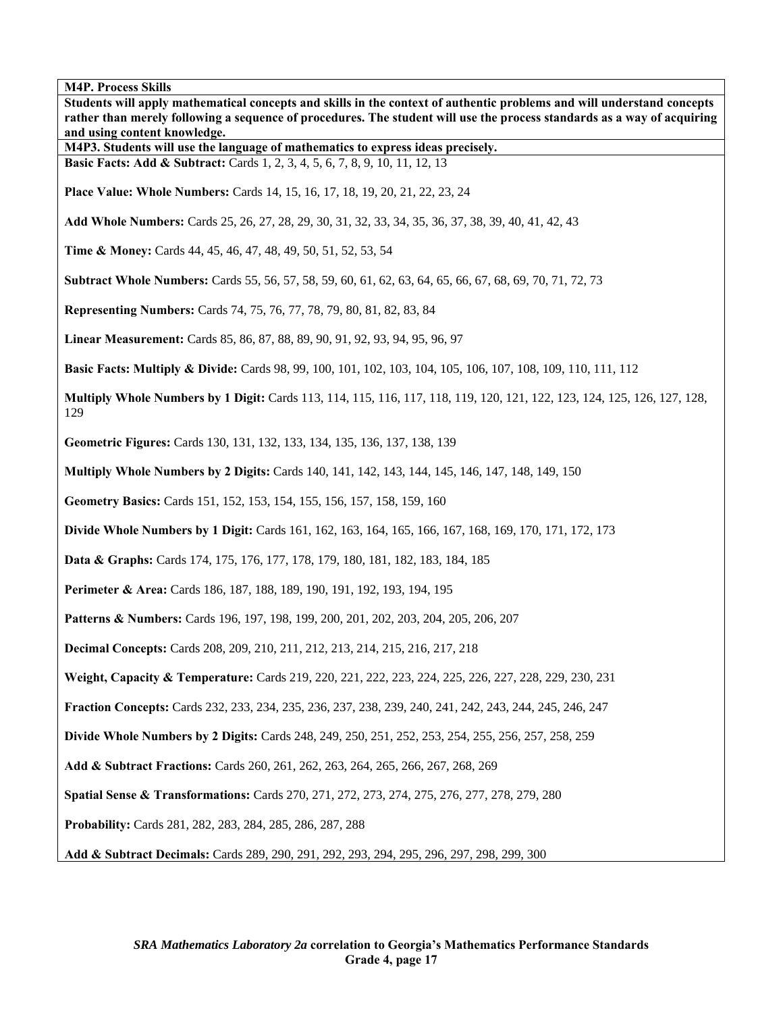| Students will apply mathematical concepts and skills in the context of authentic problems and will understand concepts<br>rather than merely following a sequence of procedures. The student will use the process standards as a way of acquiring<br>and using content knowledge.<br>M4P3. Students will use the language of mathematics to express ideas precisely.<br><b>Basic Facts: Add &amp; Subtract:</b> Cards 1, 2, 3, 4, 5, 6, 7, 8, 9, 10, 11, 12, 13<br><b>Place Value: Whole Numbers:</b> Cards 14, 15, 16, 17, 18, 19, 20, 21, 22, 23, 24<br>Add Whole Numbers: Cards 25, 26, 27, 28, 29, 30, 31, 32, 33, 34, 35, 36, 37, 38, 39, 40, 41, 42, 43<br>Time & Money: Cards 44, 45, 46, 47, 48, 49, 50, 51, 52, 53, 54<br>Subtract Whole Numbers: Cards 55, 56, 57, 58, 59, 60, 61, 62, 63, 64, 65, 66, 67, 68, 69, 70, 71, 72, 73<br>Representing Numbers: Cards 74, 75, 76, 77, 78, 79, 80, 81, 82, 83, 84<br>Linear Measurement: Cards 85, 86, 87, 88, 89, 90, 91, 92, 93, 94, 95, 96, 97<br><b>Basic Facts: Multiply &amp; Divide:</b> Cards 98, 99, 100, 101, 102, 103, 104, 105, 106, 107, 108, 109, 110, 111, 112 |
|-----------------------------------------------------------------------------------------------------------------------------------------------------------------------------------------------------------------------------------------------------------------------------------------------------------------------------------------------------------------------------------------------------------------------------------------------------------------------------------------------------------------------------------------------------------------------------------------------------------------------------------------------------------------------------------------------------------------------------------------------------------------------------------------------------------------------------------------------------------------------------------------------------------------------------------------------------------------------------------------------------------------------------------------------------------------------------------------------------------------------------------|
|                                                                                                                                                                                                                                                                                                                                                                                                                                                                                                                                                                                                                                                                                                                                                                                                                                                                                                                                                                                                                                                                                                                                   |
|                                                                                                                                                                                                                                                                                                                                                                                                                                                                                                                                                                                                                                                                                                                                                                                                                                                                                                                                                                                                                                                                                                                                   |
|                                                                                                                                                                                                                                                                                                                                                                                                                                                                                                                                                                                                                                                                                                                                                                                                                                                                                                                                                                                                                                                                                                                                   |
|                                                                                                                                                                                                                                                                                                                                                                                                                                                                                                                                                                                                                                                                                                                                                                                                                                                                                                                                                                                                                                                                                                                                   |
|                                                                                                                                                                                                                                                                                                                                                                                                                                                                                                                                                                                                                                                                                                                                                                                                                                                                                                                                                                                                                                                                                                                                   |
|                                                                                                                                                                                                                                                                                                                                                                                                                                                                                                                                                                                                                                                                                                                                                                                                                                                                                                                                                                                                                                                                                                                                   |
|                                                                                                                                                                                                                                                                                                                                                                                                                                                                                                                                                                                                                                                                                                                                                                                                                                                                                                                                                                                                                                                                                                                                   |
|                                                                                                                                                                                                                                                                                                                                                                                                                                                                                                                                                                                                                                                                                                                                                                                                                                                                                                                                                                                                                                                                                                                                   |
|                                                                                                                                                                                                                                                                                                                                                                                                                                                                                                                                                                                                                                                                                                                                                                                                                                                                                                                                                                                                                                                                                                                                   |
|                                                                                                                                                                                                                                                                                                                                                                                                                                                                                                                                                                                                                                                                                                                                                                                                                                                                                                                                                                                                                                                                                                                                   |
|                                                                                                                                                                                                                                                                                                                                                                                                                                                                                                                                                                                                                                                                                                                                                                                                                                                                                                                                                                                                                                                                                                                                   |
| Multiply Whole Numbers by 1 Digit: Cards 113, 114, 115, 116, 117, 118, 119, 120, 121, 122, 123, 124, 125, 126, 127, 128,<br>129                                                                                                                                                                                                                                                                                                                                                                                                                                                                                                                                                                                                                                                                                                                                                                                                                                                                                                                                                                                                   |
| Geometric Figures: Cards 130, 131, 132, 133, 134, 135, 136, 137, 138, 139                                                                                                                                                                                                                                                                                                                                                                                                                                                                                                                                                                                                                                                                                                                                                                                                                                                                                                                                                                                                                                                         |
| <b>Multiply Whole Numbers by 2 Digits:</b> Cards 140, 141, 142, 143, 144, 145, 146, 147, 148, 149, 150                                                                                                                                                                                                                                                                                                                                                                                                                                                                                                                                                                                                                                                                                                                                                                                                                                                                                                                                                                                                                            |
| Geometry Basics: Cards 151, 152, 153, 154, 155, 156, 157, 158, 159, 160                                                                                                                                                                                                                                                                                                                                                                                                                                                                                                                                                                                                                                                                                                                                                                                                                                                                                                                                                                                                                                                           |
| Divide Whole Numbers by 1 Digit: Cards 161, 162, 163, 164, 165, 166, 167, 168, 169, 170, 171, 172, 173                                                                                                                                                                                                                                                                                                                                                                                                                                                                                                                                                                                                                                                                                                                                                                                                                                                                                                                                                                                                                            |
| Data & Graphs: Cards 174, 175, 176, 177, 178, 179, 180, 181, 182, 183, 184, 185                                                                                                                                                                                                                                                                                                                                                                                                                                                                                                                                                                                                                                                                                                                                                                                                                                                                                                                                                                                                                                                   |
| Perimeter & Area: Cards 186, 187, 188, 189, 190, 191, 192, 193, 194, 195                                                                                                                                                                                                                                                                                                                                                                                                                                                                                                                                                                                                                                                                                                                                                                                                                                                                                                                                                                                                                                                          |
| Patterns & Numbers: Cards 196, 197, 198, 199, 200, 201, 202, 203, 204, 205, 206, 207                                                                                                                                                                                                                                                                                                                                                                                                                                                                                                                                                                                                                                                                                                                                                                                                                                                                                                                                                                                                                                              |
| Decimal Concepts: Cards 208, 209, 210, 211, 212, 213, 214, 215, 216, 217, 218                                                                                                                                                                                                                                                                                                                                                                                                                                                                                                                                                                                                                                                                                                                                                                                                                                                                                                                                                                                                                                                     |
| Weight, Capacity & Temperature: Cards 219, 220, 221, 222, 223, 224, 225, 226, 227, 228, 229, 230, 231                                                                                                                                                                                                                                                                                                                                                                                                                                                                                                                                                                                                                                                                                                                                                                                                                                                                                                                                                                                                                             |
| Fraction Concepts: Cards 232, 233, 234, 235, 236, 237, 238, 239, 240, 241, 242, 243, 244, 245, 246, 247                                                                                                                                                                                                                                                                                                                                                                                                                                                                                                                                                                                                                                                                                                                                                                                                                                                                                                                                                                                                                           |
| Divide Whole Numbers by 2 Digits: Cards 248, 249, 250, 251, 252, 253, 254, 255, 256, 257, 258, 259                                                                                                                                                                                                                                                                                                                                                                                                                                                                                                                                                                                                                                                                                                                                                                                                                                                                                                                                                                                                                                |
| Add & Subtract Fractions: Cards 260, 261, 262, 263, 264, 265, 266, 267, 268, 269                                                                                                                                                                                                                                                                                                                                                                                                                                                                                                                                                                                                                                                                                                                                                                                                                                                                                                                                                                                                                                                  |
| Spatial Sense & Transformations: Cards 270, 271, 272, 273, 274, 275, 276, 277, 278, 279, 280                                                                                                                                                                                                                                                                                                                                                                                                                                                                                                                                                                                                                                                                                                                                                                                                                                                                                                                                                                                                                                      |
| Probability: Cards 281, 282, 283, 284, 285, 286, 287, 288                                                                                                                                                                                                                                                                                                                                                                                                                                                                                                                                                                                                                                                                                                                                                                                                                                                                                                                                                                                                                                                                         |
| Add & Subtract Decimals: Cards 289, 290, 291, 292, 293, 294, 295, 296, 297, 298, 299, 300                                                                                                                                                                                                                                                                                                                                                                                                                                                                                                                                                                                                                                                                                                                                                                                                                                                                                                                                                                                                                                         |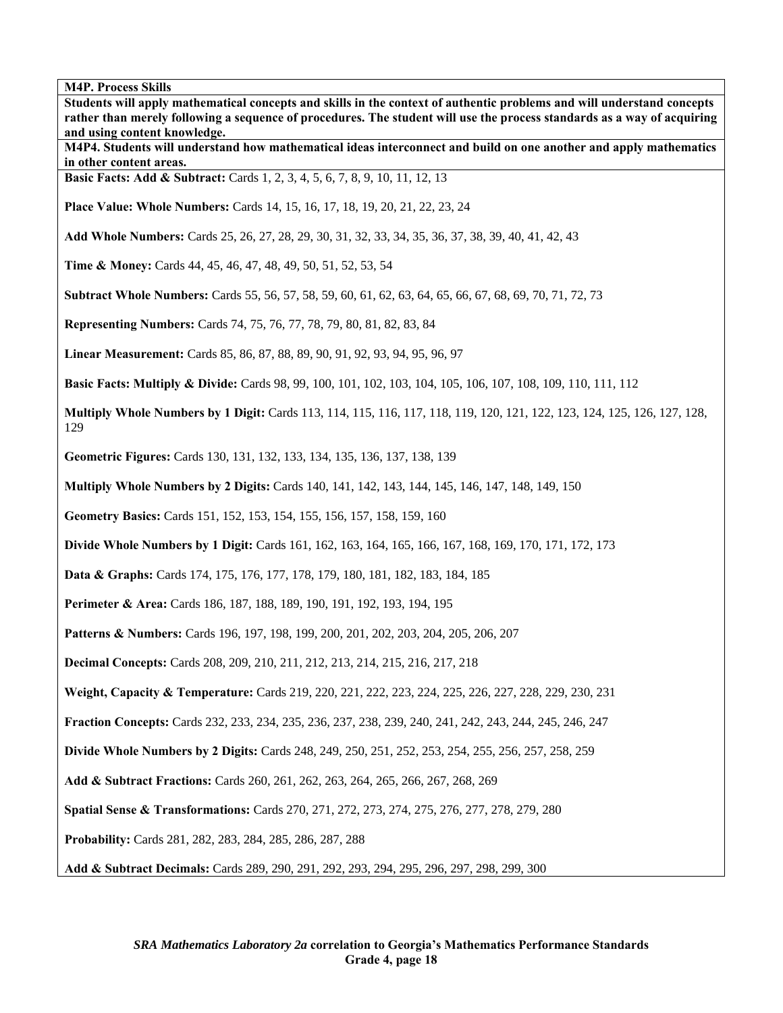**Students will apply mathematical concepts and skills in the context of authentic problems and will understand concepts rather than merely following a sequence of procedures. The student will use the process standards as a way of acquiring and using content knowledge. M4P4. Students will understand how mathematical ideas interconnect and build on one another and apply mathematics in other content areas. Basic Facts: Add & Subtract:** Cards 1, 2, 3, 4, 5, 6, 7, 8, 9, 10, 11, 12, 13 **Place Value: Whole Numbers:** Cards 14, 15, 16, 17, 18, 19, 20, 21, 22, 23, 24 **Add Whole Numbers:** Cards 25, 26, 27, 28, 29, 30, 31, 32, 33, 34, 35, 36, 37, 38, 39, 40, 41, 42, 43 **Time & Money:** Cards 44, 45, 46, 47, 48, 49, 50, 51, 52, 53, 54 **Subtract Whole Numbers:** Cards 55, 56, 57, 58, 59, 60, 61, 62, 63, 64, 65, 66, 67, 68, 69, 70, 71, 72, 73 **Representing Numbers:** Cards 74, 75, 76, 77, 78, 79, 80, 81, 82, 83, 84 **Linear Measurement:** Cards 85, 86, 87, 88, 89, 90, 91, 92, 93, 94, 95, 96, 97 **Basic Facts: Multiply & Divide:** Cards 98, 99, 100, 101, 102, 103, 104, 105, 106, 107, 108, 109, 110, 111, 112 **Multiply Whole Numbers by 1 Digit:** Cards 113, 114, 115, 116, 117, 118, 119, 120, 121, 122, 123, 124, 125, 126, 127, 128, 129 **Geometric Figures:** Cards 130, 131, 132, 133, 134, 135, 136, 137, 138, 139 **Multiply Whole Numbers by 2 Digits:** Cards 140, 141, 142, 143, 144, 145, 146, 147, 148, 149, 150 **Geometry Basics:** Cards 151, 152, 153, 154, 155, 156, 157, 158, 159, 160 **Divide Whole Numbers by 1 Digit:** Cards 161, 162, 163, 164, 165, 166, 167, 168, 169, 170, 171, 172, 173 **Data & Graphs:** Cards 174, 175, 176, 177, 178, 179, 180, 181, 182, 183, 184, 185 **Perimeter & Area:** Cards 186, 187, 188, 189, 190, 191, 192, 193, 194, 195 Patterns & Numbers: Cards 196, 197, 198, 199, 200, 201, 202, 203, 204, 205, 206, 207 **Decimal Concepts:** Cards 208, 209, 210, 211, 212, 213, 214, 215, 216, 217, 218 **Weight, Capacity & Temperature:** Cards 219, 220, 221, 222, 223, 224, 225, 226, 227, 228, 229, 230, 231 **Fraction Concepts:** Cards 232, 233, 234, 235, 236, 237, 238, 239, 240, 241, 242, 243, 244, 245, 246, 247

**Divide Whole Numbers by 2 Digits:** Cards 248, 249, 250, 251, 252, 253, 254, 255, 256, 257, 258, 259

**Add & Subtract Fractions:** Cards 260, 261, 262, 263, 264, 265, 266, 267, 268, 269

**Spatial Sense & Transformations:** Cards 270, 271, 272, 273, 274, 275, 276, 277, 278, 279, 280

**Probability:** Cards 281, 282, 283, 284, 285, 286, 287, 288

**Add & Subtract Decimals:** Cards 289, 290, 291, 292, 293, 294, 295, 296, 297, 298, 299, 300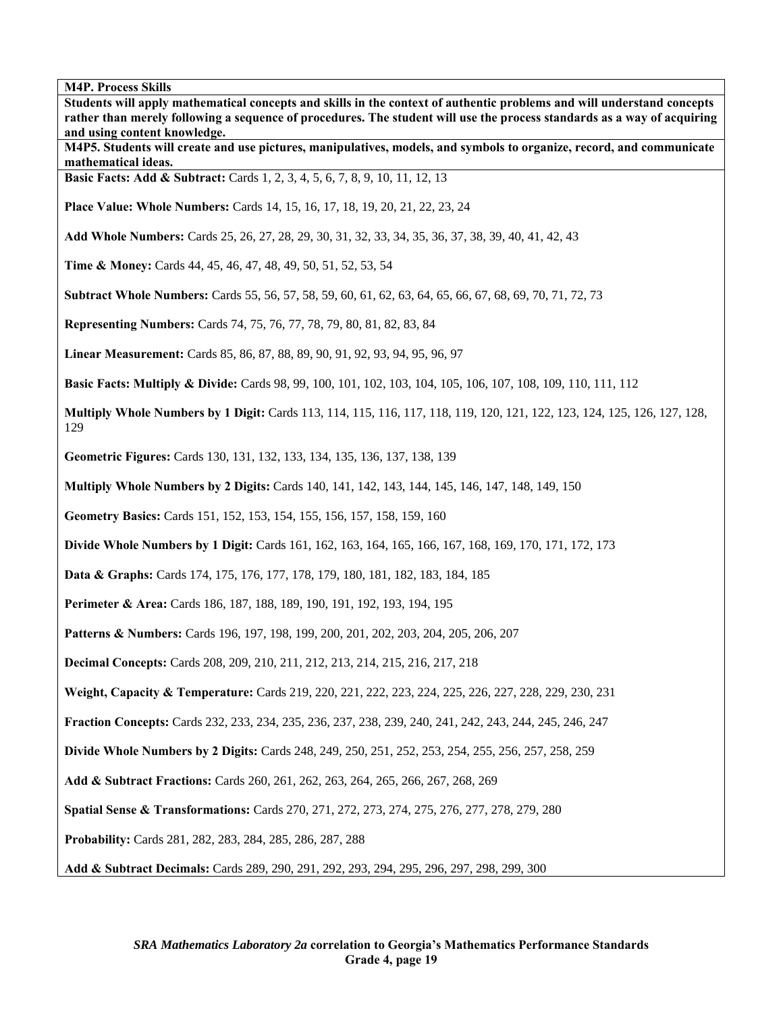**rather than merely following a sequence of procedures. The student will use the process standards as a way of acquiring and using content knowledge. M4P5. Students will create and use pictures, manipulatives, models, and symbols to organize, record, and communicate mathematical ideas. Basic Facts: Add & Subtract:** Cards 1, 2, 3, 4, 5, 6, 7, 8, 9, 10, 11, 12, 13 **Place Value: Whole Numbers:** Cards 14, 15, 16, 17, 18, 19, 20, 21, 22, 23, 24 **Add Whole Numbers:** Cards 25, 26, 27, 28, 29, 30, 31, 32, 33, 34, 35, 36, 37, 38, 39, 40, 41, 42, 43 **Time & Money:** Cards 44, 45, 46, 47, 48, 49, 50, 51, 52, 53, 54 **Subtract Whole Numbers:** Cards 55, 56, 57, 58, 59, 60, 61, 62, 63, 64, 65, 66, 67, 68, 69, 70, 71, 72, 73 **Representing Numbers:** Cards 74, 75, 76, 77, 78, 79, 80, 81, 82, 83, 84 **Linear Measurement:** Cards 85, 86, 87, 88, 89, 90, 91, 92, 93, 94, 95, 96, 97 **Basic Facts: Multiply & Divide:** Cards 98, 99, 100, 101, 102, 103, 104, 105, 106, 107, 108, 109, 110, 111, 112 **Multiply Whole Numbers by 1 Digit:** Cards 113, 114, 115, 116, 117, 118, 119, 120, 121, 122, 123, 124, 125, 126, 127, 128, 129 **Geometric Figures:** Cards 130, 131, 132, 133, 134, 135, 136, 137, 138, 139 **Multiply Whole Numbers by 2 Digits:** Cards 140, 141, 142, 143, 144, 145, 146, 147, 148, 149, 150 **Geometry Basics:** Cards 151, 152, 153, 154, 155, 156, 157, 158, 159, 160 **Divide Whole Numbers by 1 Digit:** Cards 161, 162, 163, 164, 165, 166, 167, 168, 169, 170, 171, 172, 173 **Data & Graphs:** Cards 174, 175, 176, 177, 178, 179, 180, 181, 182, 183, 184, 185 **Perimeter & Area:** Cards 186, 187, 188, 189, 190, 191, 192, 193, 194, 195 Patterns & Numbers: Cards 196, 197, 198, 199, 200, 201, 202, 203, 204, 205, 206, 207 **Decimal Concepts:** Cards 208, 209, 210, 211, 212, 213, 214, 215, 216, 217, 218 **Weight, Capacity & Temperature:** Cards 219, 220, 221, 222, 223, 224, 225, 226, 227, 228, 229, 230, 231 **Fraction Concepts:** Cards 232, 233, 234, 235, 236, 237, 238, 239, 240, 241, 242, 243, 244, 245, 246, 247 **Divide Whole Numbers by 2 Digits:** Cards 248, 249, 250, 251, 252, 253, 254, 255, 256, 257, 258, 259 **Add & Subtract Fractions:** Cards 260, 261, 262, 263, 264, 265, 266, 267, 268, 269 **Spatial Sense & Transformations:** Cards 270, 271, 272, 273, 274, 275, 276, 277, 278, 279, 280 **Probability:** Cards 281, 282, 283, 284, 285, 286, 287, 288 **Add & Subtract Decimals:** Cards 289, 290, 291, 292, 293, 294, 295, 296, 297, 298, 299, 300

**Students will apply mathematical concepts and skills in the context of authentic problems and will understand concepts**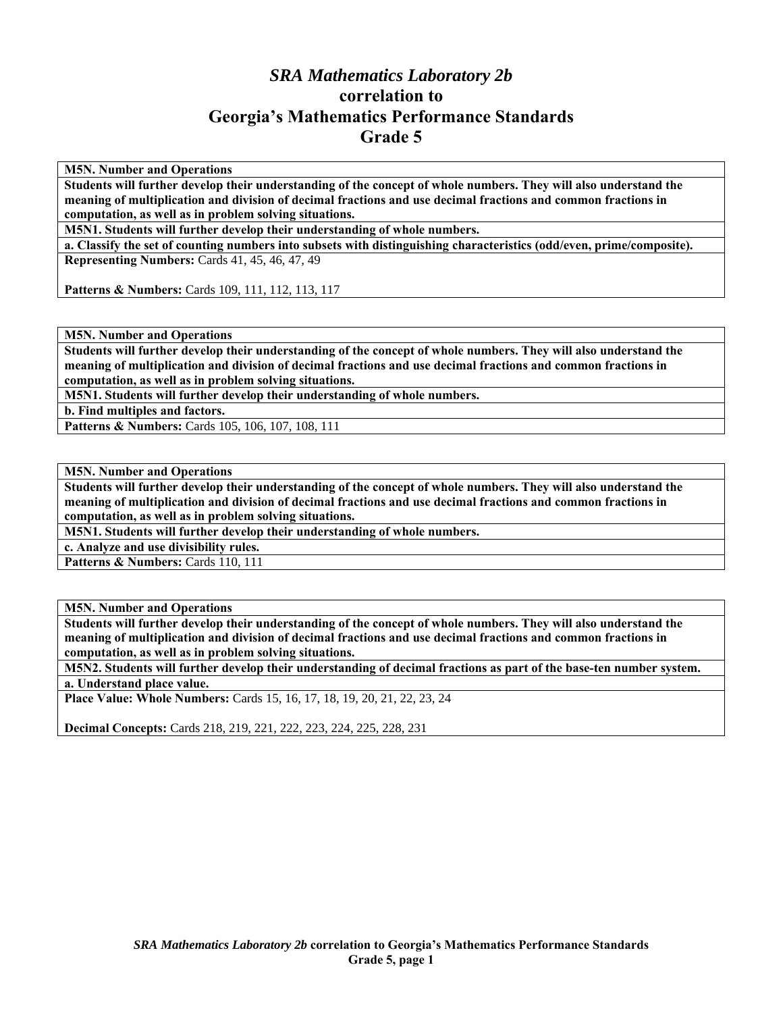## *SRA Mathematics Laboratory 2b*  **correlation to Georgia's Mathematics Performance Standards Grade 5**

**M5N. Number and Operations** 

**Students will further develop their understanding of the concept of whole numbers. They will also understand the meaning of multiplication and division of decimal fractions and use decimal fractions and common fractions in computation, as well as in problem solving situations.** 

**M5N1. Students will further develop their understanding of whole numbers.** 

**a. Classify the set of counting numbers into subsets with distinguishing characteristics (odd/even, prime/composite). Representing Numbers:** Cards 41, 45, 46, 47, 49

Patterns & Numbers: Cards 109, 111, 112, 113, 117

**M5N. Number and Operations** 

**Students will further develop their understanding of the concept of whole numbers. They will also understand the meaning of multiplication and division of decimal fractions and use decimal fractions and common fractions in computation, as well as in problem solving situations.** 

**M5N1. Students will further develop their understanding of whole numbers.** 

**b. Find multiples and factors.** 

Patterns & Numbers: Cards 105, 106, 107, 108, 111

**M5N. Number and Operations** 

**Students will further develop their understanding of the concept of whole numbers. They will also understand the meaning of multiplication and division of decimal fractions and use decimal fractions and common fractions in computation, as well as in problem solving situations.** 

**M5N1. Students will further develop their understanding of whole numbers.** 

**c. Analyze and use divisibility rules.** 

Patterns & Numbers: Cards 110, 111

**M5N. Number and Operations** 

**Students will further develop their understanding of the concept of whole numbers. They will also understand the meaning of multiplication and division of decimal fractions and use decimal fractions and common fractions in computation, as well as in problem solving situations.** 

**M5N2. Students will further develop their understanding of decimal fractions as part of the base-ten number system. a. Understand place value.** 

**Place Value: Whole Numbers:** Cards 15, 16, 17, 18, 19, 20, 21, 22, 23, 24

**Decimal Concepts:** Cards 218, 219, 221, 222, 223, 224, 225, 228, 231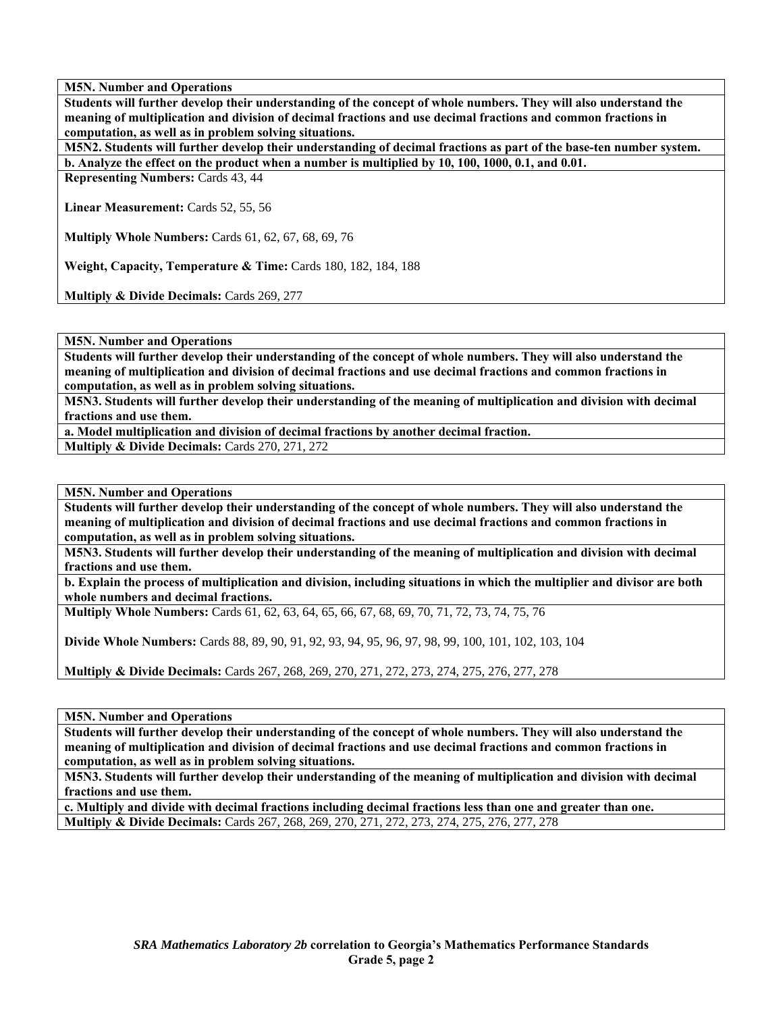**Students will further develop their understanding of the concept of whole numbers. They will also understand the meaning of multiplication and division of decimal fractions and use decimal fractions and common fractions in computation, as well as in problem solving situations.** 

**M5N2. Students will further develop their understanding of decimal fractions as part of the base-ten number system. b. Analyze the effect on the product when a number is multiplied by 10, 100, 1000, 0.1, and 0.01.** 

**Representing Numbers: Cards 43, 44** 

**Linear Measurement:** Cards 52, 55, 56

**Multiply Whole Numbers:** Cards 61, 62, 67, 68, 69, 76

**Weight, Capacity, Temperature & Time:** Cards 180, 182, 184, 188

**Multiply & Divide Decimals: Cards 269, 277** 

**M5N. Number and Operations** 

**Students will further develop their understanding of the concept of whole numbers. They will also understand the meaning of multiplication and division of decimal fractions and use decimal fractions and common fractions in computation, as well as in problem solving situations.** 

**M5N3. Students will further develop their understanding of the meaning of multiplication and division with decimal fractions and use them.** 

**a. Model multiplication and division of decimal fractions by another decimal fraction.** 

**Multiply & Divide Decimals:** Cards 270, 271, 272

**M5N. Number and Operations** 

**Students will further develop their understanding of the concept of whole numbers. They will also understand the meaning of multiplication and division of decimal fractions and use decimal fractions and common fractions in computation, as well as in problem solving situations.** 

**M5N3. Students will further develop their understanding of the meaning of multiplication and division with decimal fractions and use them.** 

**b. Explain the process of multiplication and division, including situations in which the multiplier and divisor are both whole numbers and decimal fractions.** 

**Multiply Whole Numbers:** Cards 61, 62, 63, 64, 65, 66, 67, 68, 69, 70, 71, 72, 73, 74, 75, 76

**Divide Whole Numbers:** Cards 88, 89, 90, 91, 92, 93, 94, 95, 96, 97, 98, 99, 100, 101, 102, 103, 104

**Multiply & Divide Decimals:** Cards 267, 268, 269, 270, 271, 272, 273, 274, 275, 276, 277, 278

**M5N. Number and Operations** 

**Students will further develop their understanding of the concept of whole numbers. They will also understand the meaning of multiplication and division of decimal fractions and use decimal fractions and common fractions in computation, as well as in problem solving situations.** 

**M5N3. Students will further develop their understanding of the meaning of multiplication and division with decimal fractions and use them.** 

**c. Multiply and divide with decimal fractions including decimal fractions less than one and greater than one. Multiply & Divide Decimals:** Cards 267, 268, 269, 270, 271, 272, 273, 274, 275, 276, 277, 278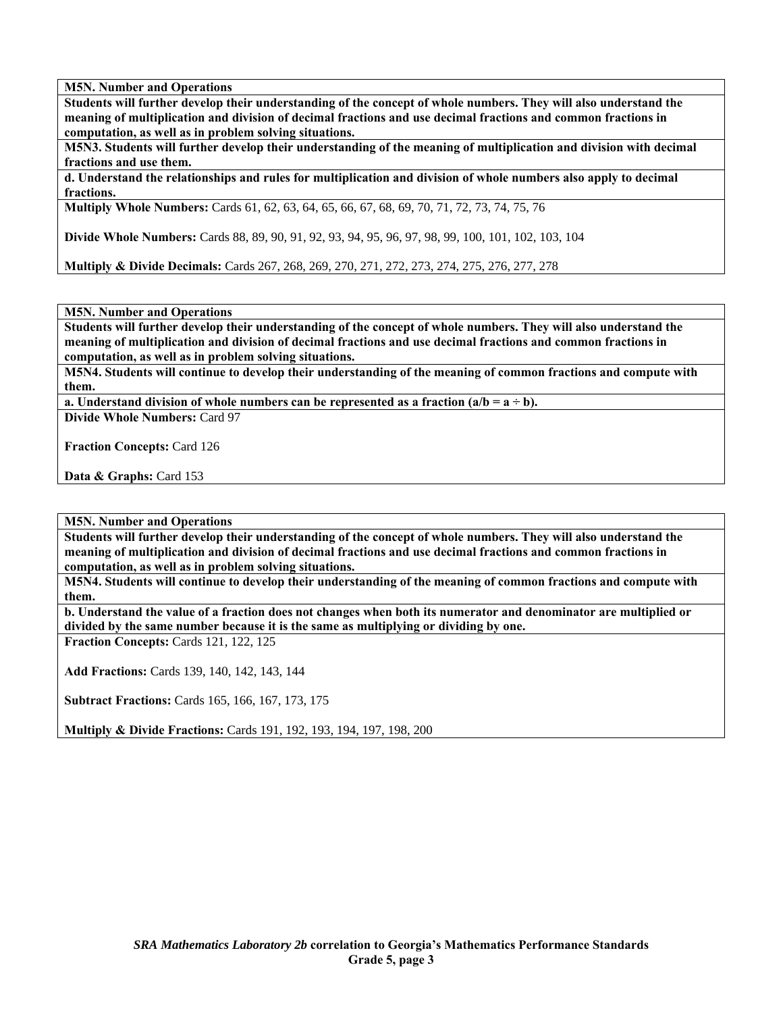**Students will further develop their understanding of the concept of whole numbers. They will also understand the meaning of multiplication and division of decimal fractions and use decimal fractions and common fractions in computation, as well as in problem solving situations.** 

**M5N3. Students will further develop their understanding of the meaning of multiplication and division with decimal fractions and use them.** 

**d. Understand the relationships and rules for multiplication and division of whole numbers also apply to decimal fractions.** 

**Multiply Whole Numbers:** Cards 61, 62, 63, 64, 65, 66, 67, 68, 69, 70, 71, 72, 73, 74, 75, 76

**Divide Whole Numbers:** Cards 88, 89, 90, 91, 92, 93, 94, 95, 96, 97, 98, 99, 100, 101, 102, 103, 104

**Multiply & Divide Decimals:** Cards 267, 268, 269, 270, 271, 272, 273, 274, 275, 276, 277, 278

**M5N. Number and Operations** 

**Students will further develop their understanding of the concept of whole numbers. They will also understand the meaning of multiplication and division of decimal fractions and use decimal fractions and common fractions in computation, as well as in problem solving situations.** 

**M5N4. Students will continue to develop their understanding of the meaning of common fractions and compute with them.** 

**a. Understand division of whole numbers can be represented as a fraction**  $(a/b = a \div b)$ **.** 

**Divide Whole Numbers:** Card 97

**Fraction Concepts:** Card 126

**Data & Graphs:** Card 153

**M5N. Number and Operations** 

**Students will further develop their understanding of the concept of whole numbers. They will also understand the meaning of multiplication and division of decimal fractions and use decimal fractions and common fractions in computation, as well as in problem solving situations.** 

**M5N4. Students will continue to develop their understanding of the meaning of common fractions and compute with them.** 

**b. Understand the value of a fraction does not changes when both its numerator and denominator are multiplied or divided by the same number because it is the same as multiplying or dividing by one.** 

**Fraction Concepts:** Cards 121, 122, 125

**Add Fractions:** Cards 139, 140, 142, 143, 144

**Subtract Fractions:** Cards 165, 166, 167, 173, 175

**Multiply & Divide Fractions:** Cards 191, 192, 193, 194, 197, 198, 200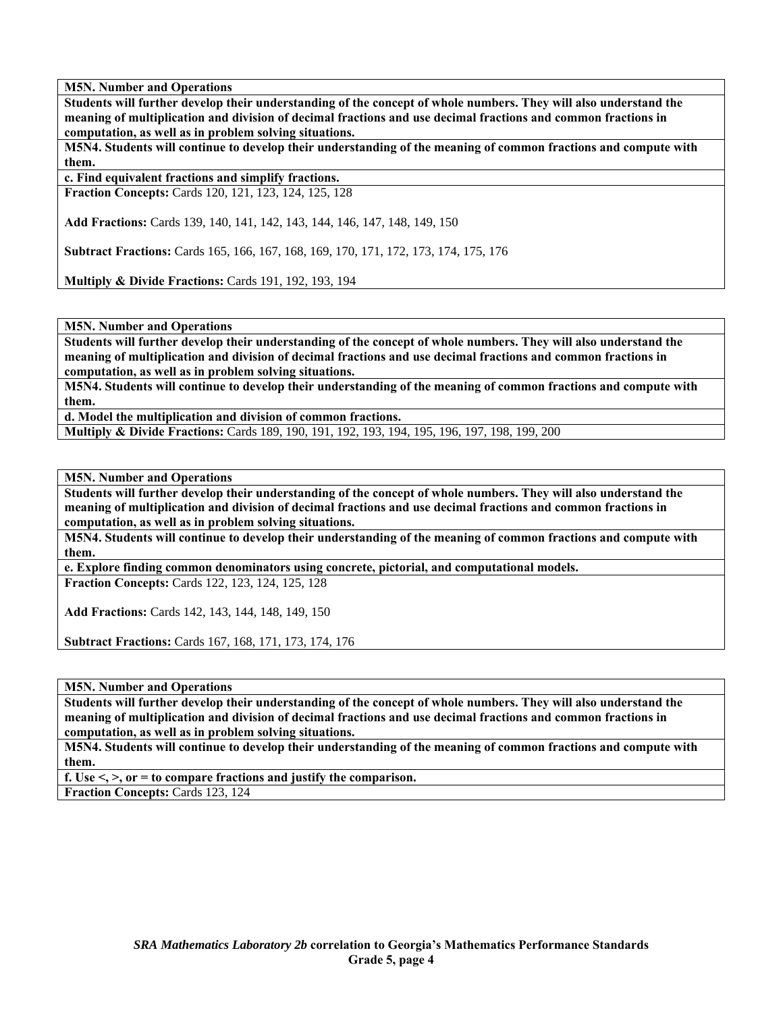**Students will further develop their understanding of the concept of whole numbers. They will also understand the meaning of multiplication and division of decimal fractions and use decimal fractions and common fractions in computation, as well as in problem solving situations.** 

**M5N4. Students will continue to develop their understanding of the meaning of common fractions and compute with them.** 

**c. Find equivalent fractions and simplify fractions. Fraction Concepts:** Cards 120, 121, 123, 124, 125, 128

**Add Fractions:** Cards 139, 140, 141, 142, 143, 144, 146, 147, 148, 149, 150

**Subtract Fractions:** Cards 165, 166, 167, 168, 169, 170, 171, 172, 173, 174, 175, 176

**Multiply & Divide Fractions:** Cards 191, 192, 193, 194

**M5N. Number and Operations** 

**Students will further develop their understanding of the concept of whole numbers. They will also understand the meaning of multiplication and division of decimal fractions and use decimal fractions and common fractions in computation, as well as in problem solving situations.** 

**M5N4. Students will continue to develop their understanding of the meaning of common fractions and compute with them.** 

**d. Model the multiplication and division of common fractions.** 

**Multiply & Divide Fractions:** Cards 189, 190, 191, 192, 193, 194, 195, 196, 197, 198, 199, 200

**M5N. Number and Operations** 

**Students will further develop their understanding of the concept of whole numbers. They will also understand the meaning of multiplication and division of decimal fractions and use decimal fractions and common fractions in computation, as well as in problem solving situations.** 

**M5N4. Students will continue to develop their understanding of the meaning of common fractions and compute with them.** 

**e. Explore finding common denominators using concrete, pictorial, and computational models.** 

**Fraction Concepts:** Cards 122, 123, 124, 125, 128

**Add Fractions:** Cards 142, 143, 144, 148, 149, 150

**Subtract Fractions:** Cards 167, 168, 171, 173, 174, 176

**M5N. Number and Operations** 

**Students will further develop their understanding of the concept of whole numbers. They will also understand the meaning of multiplication and division of decimal fractions and use decimal fractions and common fractions in computation, as well as in problem solving situations.** 

**M5N4. Students will continue to develop their understanding of the meaning of common fractions and compute with them.** 

**f. Use <, >, or = to compare fractions and justify the comparison.** 

**Fraction Concepts:** Cards 123, 124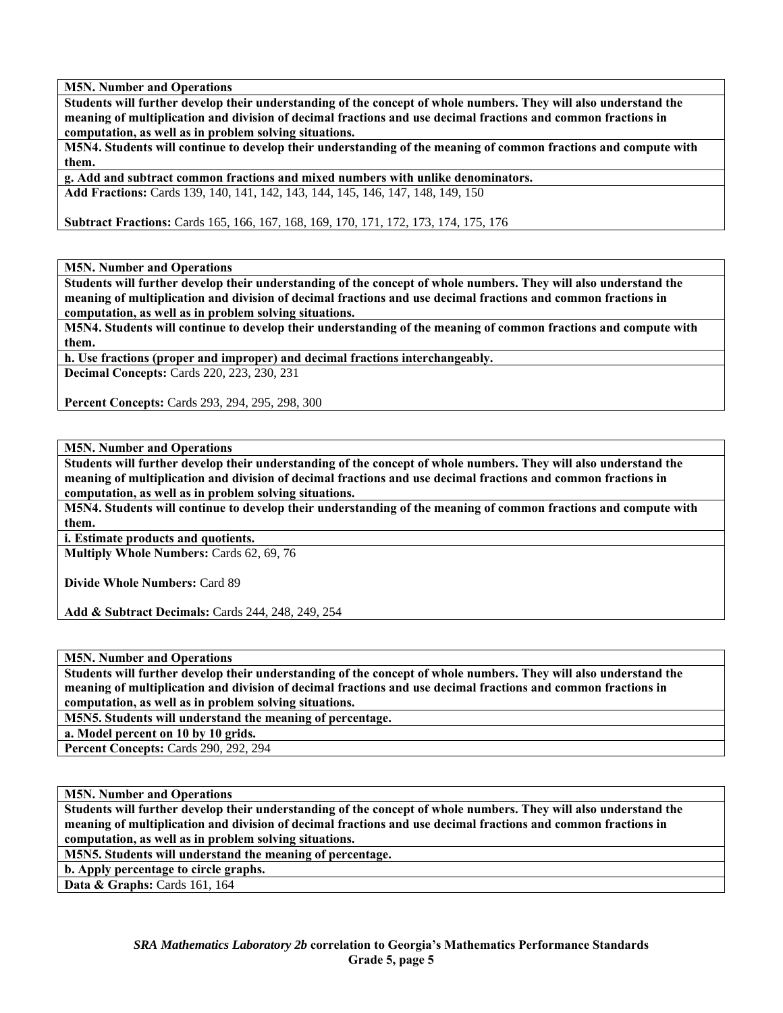**Students will further develop their understanding of the concept of whole numbers. They will also understand the meaning of multiplication and division of decimal fractions and use decimal fractions and common fractions in computation, as well as in problem solving situations.** 

**M5N4. Students will continue to develop their understanding of the meaning of common fractions and compute with them.** 

**g. Add and subtract common fractions and mixed numbers with unlike denominators. Add Fractions:** Cards 139, 140, 141, 142, 143, 144, 145, 146, 147, 148, 149, 150

**Subtract Fractions:** Cards 165, 166, 167, 168, 169, 170, 171, 172, 173, 174, 175, 176

**M5N. Number and Operations** 

**Students will further develop their understanding of the concept of whole numbers. They will also understand the meaning of multiplication and division of decimal fractions and use decimal fractions and common fractions in computation, as well as in problem solving situations.** 

**M5N4. Students will continue to develop their understanding of the meaning of common fractions and compute with them.** 

**h. Use fractions (proper and improper) and decimal fractions interchangeably. Decimal Concepts:** Cards 220, 223, 230, 231

**Percent Concepts:** Cards 293, 294, 295, 298, 300

**M5N. Number and Operations** 

**Students will further develop their understanding of the concept of whole numbers. They will also understand the meaning of multiplication and division of decimal fractions and use decimal fractions and common fractions in computation, as well as in problem solving situations.** 

**M5N4. Students will continue to develop their understanding of the meaning of common fractions and compute with them.** 

**i. Estimate products and quotients.** 

**Multiply Whole Numbers:** Cards 62, 69, 76

**Divide Whole Numbers:** Card 89

**Add & Subtract Decimals:** Cards 244, 248, 249, 254

**M5N. Number and Operations** 

**Students will further develop their understanding of the concept of whole numbers. They will also understand the meaning of multiplication and division of decimal fractions and use decimal fractions and common fractions in computation, as well as in problem solving situations.** 

**M5N5. Students will understand the meaning of percentage.** 

**a. Model percent on 10 by 10 grids.** 

**Percent Concepts:** Cards 290, 292, 294

**M5N. Number and Operations** 

**Students will further develop their understanding of the concept of whole numbers. They will also understand the meaning of multiplication and division of decimal fractions and use decimal fractions and common fractions in computation, as well as in problem solving situations.** 

**M5N5. Students will understand the meaning of percentage.** 

**b. Apply percentage to circle graphs.** 

**Data & Graphs:** Cards 161, 164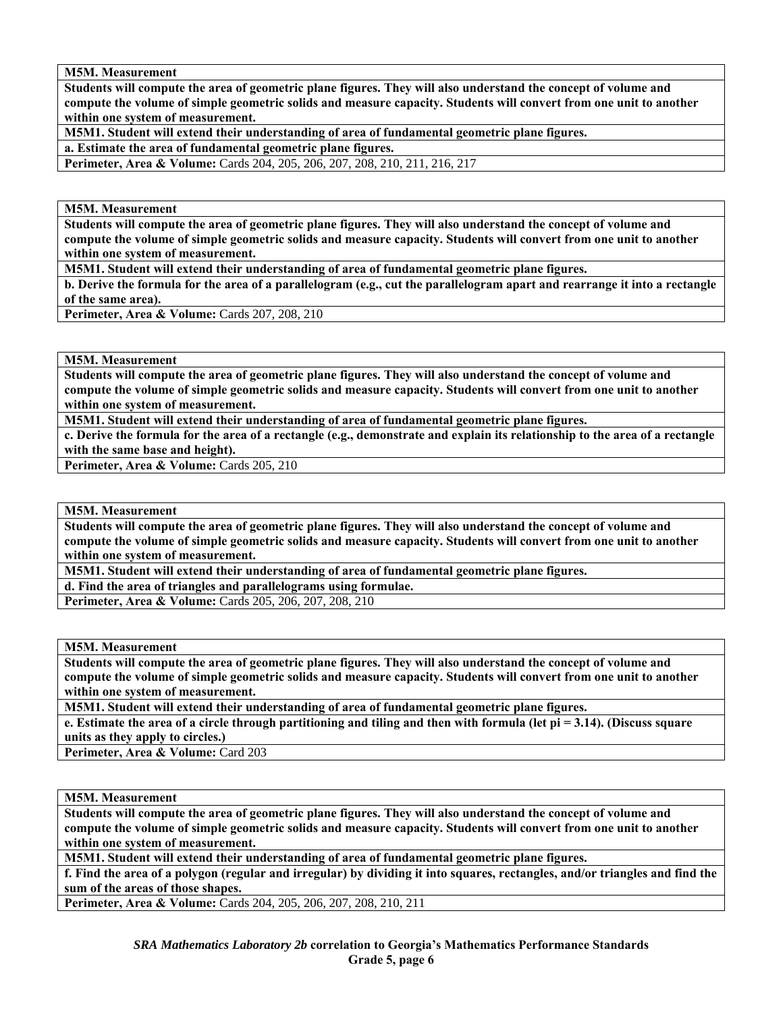**M5M. Measurement** 

**Students will compute the area of geometric plane figures. They will also understand the concept of volume and compute the volume of simple geometric solids and measure capacity. Students will convert from one unit to another within one system of measurement.** 

**M5M1. Student will extend their understanding of area of fundamental geometric plane figures.** 

**a. Estimate the area of fundamental geometric plane figures.** 

Perimeter, Area & Volume: Cards 204, 205, 206, 207, 208, 210, 211, 216, 217

**M5M. Measurement** 

**Students will compute the area of geometric plane figures. They will also understand the concept of volume and compute the volume of simple geometric solids and measure capacity. Students will convert from one unit to another within one system of measurement.** 

**M5M1. Student will extend their understanding of area of fundamental geometric plane figures.** 

**b. Derive the formula for the area of a parallelogram (e.g., cut the parallelogram apart and rearrange it into a rectangle of the same area).** 

**Perimeter, Area & Volume:** Cards 207, 208, 210

**M5M. Measurement** 

**Students will compute the area of geometric plane figures. They will also understand the concept of volume and compute the volume of simple geometric solids and measure capacity. Students will convert from one unit to another within one system of measurement.** 

**M5M1. Student will extend their understanding of area of fundamental geometric plane figures.** 

**c. Derive the formula for the area of a rectangle (e.g., demonstrate and explain its relationship to the area of a rectangle with the same base and height).** 

Perimeter, Area & Volume: Cards 205, 210

**M5M. Measurement** 

**Students will compute the area of geometric plane figures. They will also understand the concept of volume and compute the volume of simple geometric solids and measure capacity. Students will convert from one unit to another within one system of measurement.** 

**M5M1. Student will extend their understanding of area of fundamental geometric plane figures.** 

**d. Find the area of triangles and parallelograms using formulae.** 

**Perimeter, Area & Volume:** Cards 205, 206, 207, 208, 210

**M5M. Measurement** 

**Students will compute the area of geometric plane figures. They will also understand the concept of volume and compute the volume of simple geometric solids and measure capacity. Students will convert from one unit to another within one system of measurement.** 

**M5M1. Student will extend their understanding of area of fundamental geometric plane figures.** 

**e. Estimate the area of a circle through partitioning and tiling and then with formula (let pi = 3.14). (Discuss square units as they apply to circles.)** 

Perimeter, Area & Volume: Card 203

**M5M. Measurement** 

**Students will compute the area of geometric plane figures. They will also understand the concept of volume and compute the volume of simple geometric solids and measure capacity. Students will convert from one unit to another within one system of measurement.** 

**M5M1. Student will extend their understanding of area of fundamental geometric plane figures.** 

**f. Find the area of a polygon (regular and irregular) by dividing it into squares, rectangles, and/or triangles and find the sum of the areas of those shapes.** 

**Perimeter, Area & Volume:** Cards 204, 205, 206, 207, 208, 210, 211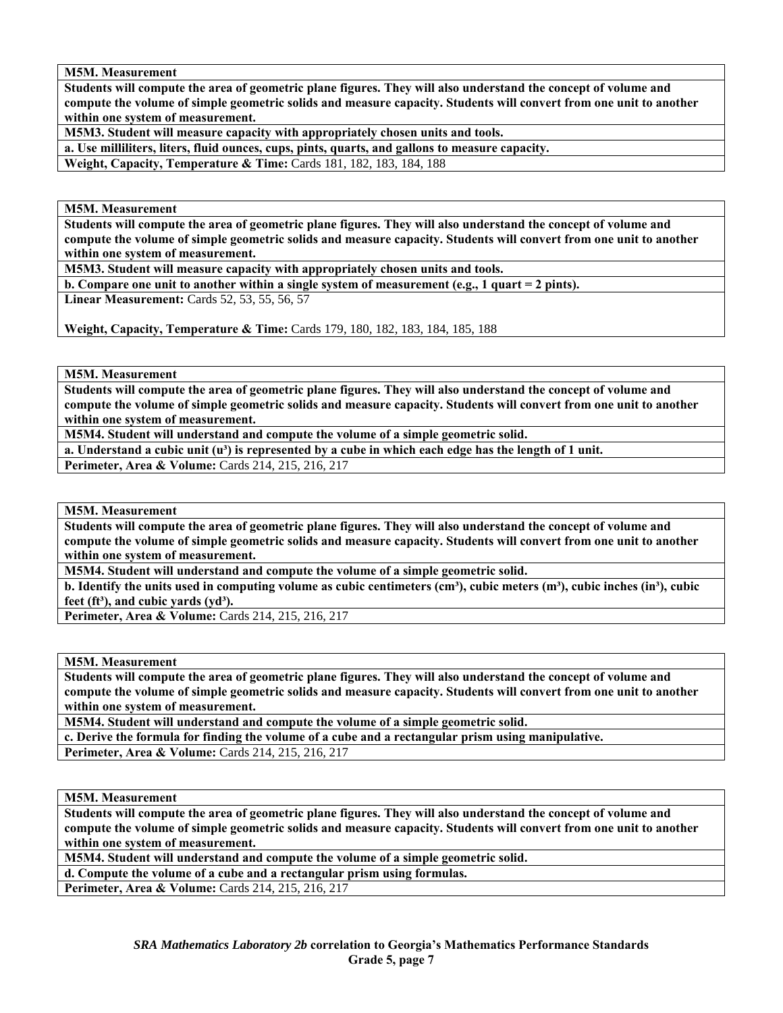**M5M. Measurement** 

**Students will compute the area of geometric plane figures. They will also understand the concept of volume and compute the volume of simple geometric solids and measure capacity. Students will convert from one unit to another within one system of measurement.** 

**M5M3. Student will measure capacity with appropriately chosen units and tools.** 

**a. Use milliliters, liters, fluid ounces, cups, pints, quarts, and gallons to measure capacity.** 

**Weight, Capacity, Temperature & Time: Cards 181, 182, 183, 184, 188** 

**M5M. Measurement** 

**Students will compute the area of geometric plane figures. They will also understand the concept of volume and compute the volume of simple geometric solids and measure capacity. Students will convert from one unit to another within one system of measurement.** 

**M5M3. Student will measure capacity with appropriately chosen units and tools.** 

**b. Compare one unit to another within a single system of measurement (e.g., 1 quart = 2 pints).** 

**Linear Measurement:** Cards 52, 53, 55, 56, 57

**Weight, Capacity, Temperature & Time:** Cards 179, 180, 182, 183, 184, 185, 188

**M5M. Measurement** 

**Students will compute the area of geometric plane figures. They will also understand the concept of volume and compute the volume of simple geometric solids and measure capacity. Students will convert from one unit to another within one system of measurement.** 

**M5M4. Student will understand and compute the volume of a simple geometric solid.** 

a. Understand a cubic unit (u<sup>3</sup>) is represented by a cube in which each edge has the length of 1 unit.

Perimeter, Area & Volume: Cards 214, 215, 216, 217

**M5M. Measurement** 

**Students will compute the area of geometric plane figures. They will also understand the concept of volume and compute the volume of simple geometric solids and measure capacity. Students will convert from one unit to another within one system of measurement.** 

**M5M4. Student will understand and compute the volume of a simple geometric solid.** 

**b.** Identify the units used in computing volume as cubic centimeters (cm<sup>3</sup>), cubic meters (m<sup>3</sup>), cubic inches (in<sup>3</sup>), cubic feet (ft<sup>3</sup>), and cubic vards (yd<sup>3</sup>).

**Perimeter, Area & Volume:** Cards 214, 215, 216, 217

**M5M. Measurement** 

**Students will compute the area of geometric plane figures. They will also understand the concept of volume and compute the volume of simple geometric solids and measure capacity. Students will convert from one unit to another within one system of measurement.** 

**M5M4. Student will understand and compute the volume of a simple geometric solid.** 

**c. Derive the formula for finding the volume of a cube and a rectangular prism using manipulative.** 

**Perimeter, Area & Volume:** Cards 214, 215, 216, 217

**M5M. Measurement** 

**Students will compute the area of geometric plane figures. They will also understand the concept of volume and compute the volume of simple geometric solids and measure capacity. Students will convert from one unit to another within one system of measurement.** 

**M5M4. Student will understand and compute the volume of a simple geometric solid.** 

**d. Compute the volume of a cube and a rectangular prism using formulas.** 

**Perimeter, Area & Volume:** Cards 214, 215, 216, 217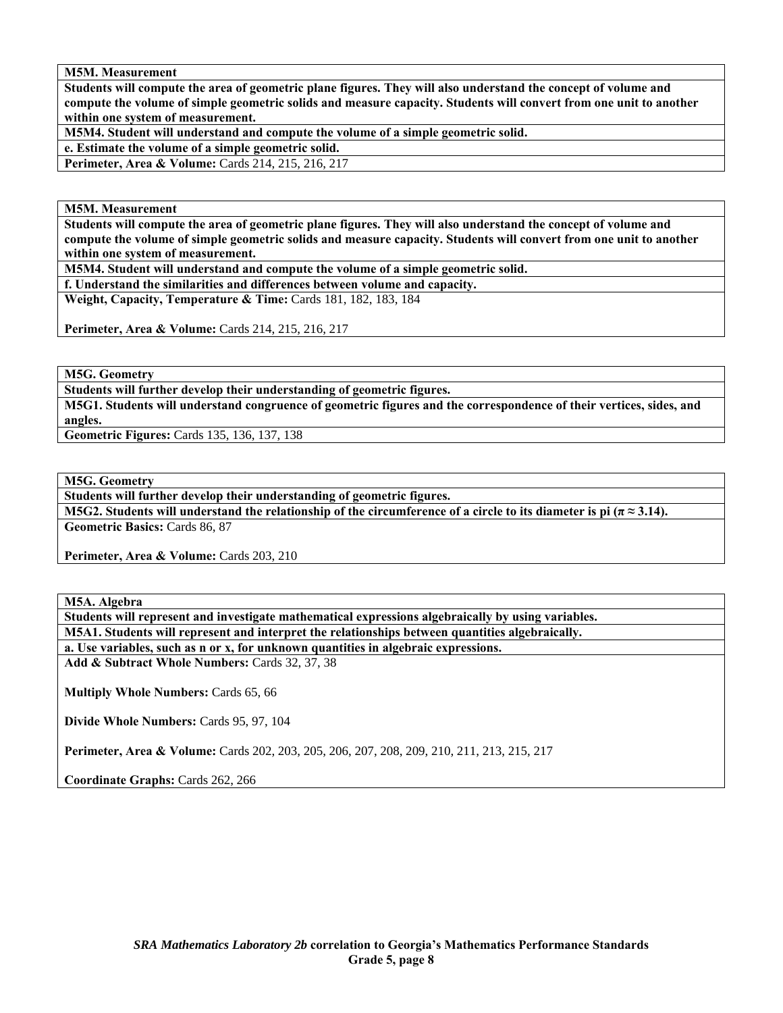**M5M. Measurement** 

**Students will compute the area of geometric plane figures. They will also understand the concept of volume and compute the volume of simple geometric solids and measure capacity. Students will convert from one unit to another within one system of measurement.** 

**M5M4. Student will understand and compute the volume of a simple geometric solid.** 

**e. Estimate the volume of a simple geometric solid.** 

**Perimeter, Area & Volume:** Cards 214, 215, 216, 217

**M5M. Measurement** 

**Students will compute the area of geometric plane figures. They will also understand the concept of volume and compute the volume of simple geometric solids and measure capacity. Students will convert from one unit to another within one system of measurement.** 

**M5M4. Student will understand and compute the volume of a simple geometric solid.** 

**f. Understand the similarities and differences between volume and capacity.** 

**Weight, Capacity, Temperature & Time: Cards 181, 182, 183, 184** 

**Perimeter, Area & Volume:** Cards 214, 215, 216, 217

**M5G. Geometry** 

**Students will further develop their understanding of geometric figures.** 

**M5G1. Students will understand congruence of geometric figures and the correspondence of their vertices, sides, and angles.** 

**Geometric Figures:** Cards 135, 136, 137, 138

**M5G. Geometry** 

**Students will further develop their understanding of geometric figures.** 

**M5G2.** Students will understand the relationship of the circumference of a circle to its diameter is pi ( $\pi \approx 3.14$ ). **Geometric Basics:** Cards 86, 87

Perimeter, Area & Volume: Cards 203, 210

**M5A. Algebra** 

**Students will represent and investigate mathematical expressions algebraically by using variables. M5A1. Students will represent and interpret the relationships between quantities algebraically.** 

**a. Use variables, such as n or x, for unknown quantities in algebraic expressions.** 

**Add & Subtract Whole Numbers:** Cards 32, 37, 38

**Multiply Whole Numbers:** Cards 65, 66

**Divide Whole Numbers:** Cards 95, 97, 104

**Perimeter, Area & Volume:** Cards 202, 203, 205, 206, 207, 208, 209, 210, 211, 213, 215, 217

**Coordinate Graphs:** Cards 262, 266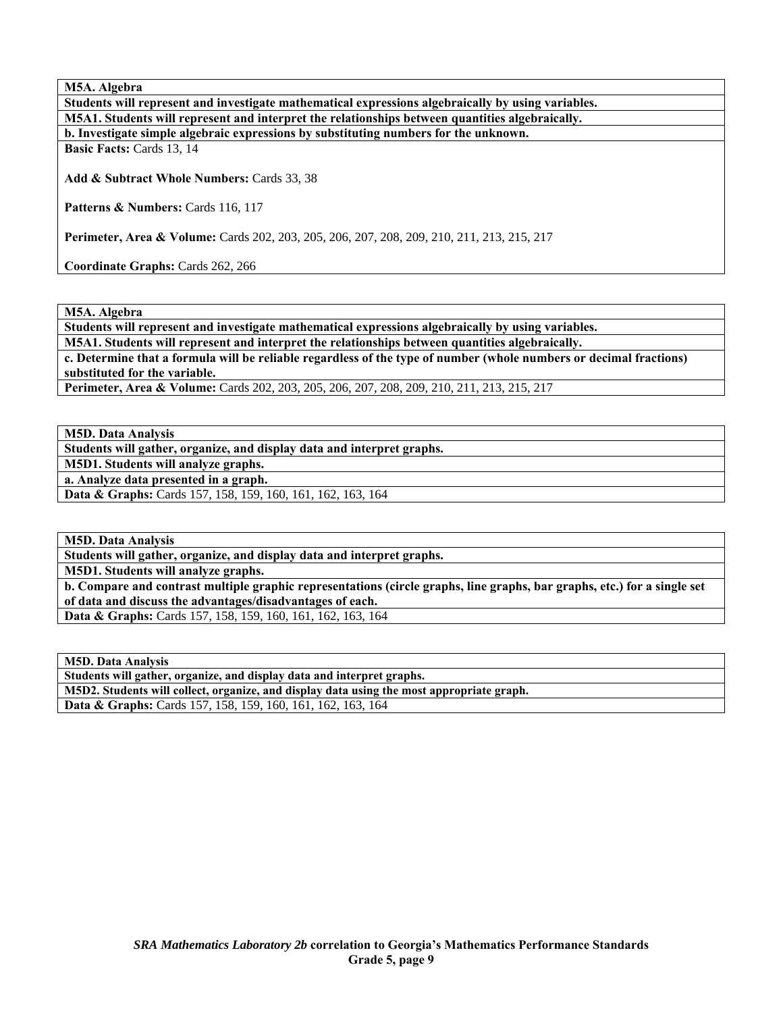**M5A. Algebra** 

| Students will represent and investigate mathematical expressions algebraically by using variables. |
|----------------------------------------------------------------------------------------------------|
| M5A1. Students will represent and interpret the relationships between quantities algebraically.    |
| b. Investigate simple algebraic expressions by substituting numbers for the unknown.               |
| <b>Basic Facts: Cards 13, 14</b>                                                                   |
|                                                                                                    |

**Add & Subtract Whole Numbers:** Cards 33, 38

Patterns & Numbers: Cards 116, 117

**Perimeter, Area & Volume:** Cards 202, 203, 205, 206, 207, 208, 209, 210, 211, 213, 215, 217

**Coordinate Graphs:** Cards 262, 266

**M5A. Algebra** 

**Students will represent and investigate mathematical expressions algebraically by using variables.** 

**M5A1. Students will represent and interpret the relationships between quantities algebraically.** 

**c. Determine that a formula will be reliable regardless of the type of number (whole numbers or decimal fractions) substituted for the variable.** 

**Perimeter, Area & Volume:** Cards 202, 203, 205, 206, 207, 208, 209, 210, 211, 213, 215, 217

**M5D. Data Analysis** 

**Students will gather, organize, and display data and interpret graphs.** 

**M5D1. Students will analyze graphs.** 

**a. Analyze data presented in a graph.** 

**Data & Graphs:** Cards 157, 158, 159, 160, 161, 162, 163, 164

**M5D. Data Analysis** 

**Students will gather, organize, and display data and interpret graphs.** 

**M5D1. Students will analyze graphs.** 

**b. Compare and contrast multiple graphic representations (circle graphs, line graphs, bar graphs, etc.) for a single set of data and discuss the advantages/disadvantages of each.** 

**Data & Graphs:** Cards 157, 158, 159, 160, 161, 162, 163, 164

**M5D. Data Analysis** 

**Students will gather, organize, and display data and interpret graphs. M5D2. Students will collect, organize, and display data using the most appropriate graph. Data & Graphs:** Cards 157, 158, 159, 160, 161, 162, 163, 164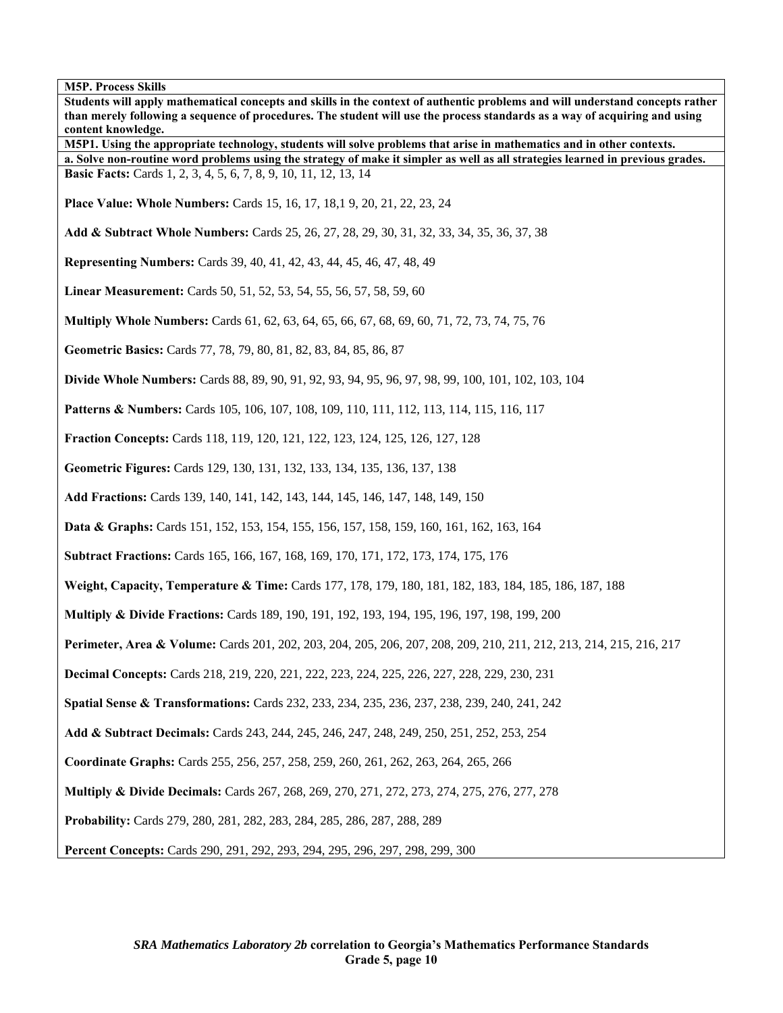| Students will apply mathematical concepts and skills in the context of authentic problems and will understand concepts rather<br>than merely following a sequence of procedures. The student will use the process standards as a way of acquiring and using<br>content knowledge. |
|-----------------------------------------------------------------------------------------------------------------------------------------------------------------------------------------------------------------------------------------------------------------------------------|
| M5P1. Using the appropriate technology, students will solve problems that arise in mathematics and in other contexts.                                                                                                                                                             |
| a. Solve non-routine word problems using the strategy of make it simpler as well as all strategies learned in previous grades.<br>Basic Facts: Cards 1, 2, 3, 4, 5, 6, 7, 8, 9, 10, 11, 12, 13, 14                                                                                |
| <b>Place Value: Whole Numbers: Cards 15, 16, 17, 18, 19, 20, 21, 22, 23, 24</b>                                                                                                                                                                                                   |
| Add & Subtract Whole Numbers: Cards 25, 26, 27, 28, 29, 30, 31, 32, 33, 34, 35, 36, 37, 38                                                                                                                                                                                        |
| <b>Representing Numbers:</b> Cards 39, 40, 41, 42, 43, 44, 45, 46, 47, 48, 49                                                                                                                                                                                                     |
| Linear Measurement: Cards 50, 51, 52, 53, 54, 55, 56, 57, 58, 59, 60                                                                                                                                                                                                              |
| <b>Multiply Whole Numbers:</b> Cards 61, 62, 63, 64, 65, 66, 67, 68, 69, 60, 71, 72, 73, 74, 75, 76                                                                                                                                                                               |
| Geometric Basics: Cards 77, 78, 79, 80, 81, 82, 83, 84, 85, 86, 87                                                                                                                                                                                                                |
| Divide Whole Numbers: Cards 88, 89, 90, 91, 92, 93, 94, 95, 96, 97, 98, 99, 100, 101, 102, 103, 104                                                                                                                                                                               |
| <b>Patterns &amp; Numbers:</b> Cards 105, 106, 107, 108, 109, 110, 111, 112, 113, 114, 115, 116, 117                                                                                                                                                                              |
| Fraction Concepts: Cards 118, 119, 120, 121, 122, 123, 124, 125, 126, 127, 128                                                                                                                                                                                                    |
| Geometric Figures: Cards 129, 130, 131, 132, 133, 134, 135, 136, 137, 138                                                                                                                                                                                                         |
| Add Fractions: Cards 139, 140, 141, 142, 143, 144, 145, 146, 147, 148, 149, 150                                                                                                                                                                                                   |
| Data & Graphs: Cards 151, 152, 153, 154, 155, 156, 157, 158, 159, 160, 161, 162, 163, 164                                                                                                                                                                                         |
| <b>Subtract Fractions:</b> Cards 165, 166, 167, 168, 169, 170, 171, 172, 173, 174, 175, 176                                                                                                                                                                                       |
| Weight, Capacity, Temperature & Time: Cards 177, 178, 179, 180, 181, 182, 183, 184, 185, 186, 187, 188                                                                                                                                                                            |
| <b>Multiply &amp; Divide Fractions:</b> Cards 189, 190, 191, 192, 193, 194, 195, 196, 197, 198, 199, 200                                                                                                                                                                          |
| Perimeter, Area & Volume: Cards 201, 202, 203, 204, 205, 206, 207, 208, 209, 210, 211, 212, 213, 214, 215, 216, 217                                                                                                                                                               |
| Decimal Concepts: Cards 218, 219, 220, 221, 222, 223, 224, 225, 226, 227, 228, 229, 230, 231                                                                                                                                                                                      |
| Spatial Sense & Transformations: Cards 232, 233, 234, 235, 236, 237, 238, 239, 240, 241, 242                                                                                                                                                                                      |
| Add & Subtract Decimals: Cards 243, 244, 245, 246, 247, 248, 249, 250, 251, 252, 253, 254                                                                                                                                                                                         |
| Coordinate Graphs: Cards 255, 256, 257, 258, 259, 260, 261, 262, 263, 264, 265, 266                                                                                                                                                                                               |
| <b>Multiply &amp; Divide Decimals:</b> Cards 267, 268, 269, 270, 271, 272, 273, 274, 275, 276, 277, 278                                                                                                                                                                           |
| Probability: Cards 279, 280, 281, 282, 283, 284, 285, 286, 287, 288, 289                                                                                                                                                                                                          |
| Percent Concepts: Cards 290, 291, 292, 293, 294, 295, 296, 297, 298, 299, 300                                                                                                                                                                                                     |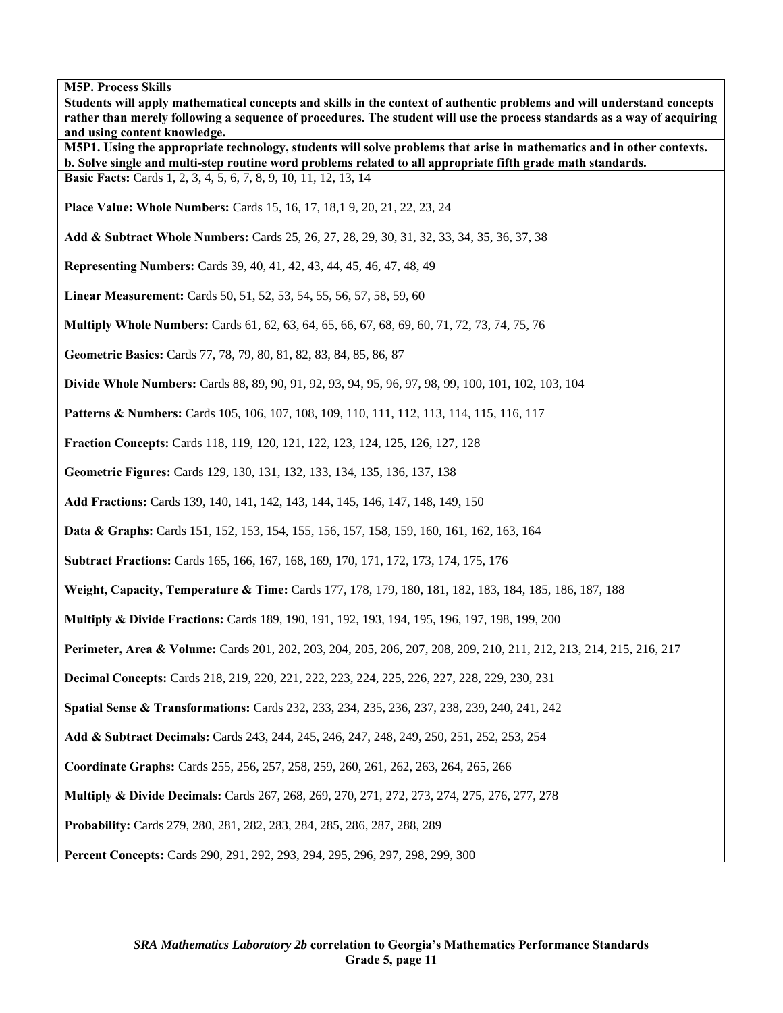**Students will apply mathematical concepts and skills in the context of authentic problems and will understand concepts rather than merely following a sequence of procedures. The student will use the process standards as a way of acquiring and using content knowledge. M5P1. Using the appropriate technology, students will solve problems that arise in mathematics and in other contexts. b. Solve single and multi-step routine word problems related to all appropriate fifth grade math standards. Basic Facts:** Cards 1, 2, 3, 4, 5, 6, 7, 8, 9, 10, 11, 12, 13, 14 **Place Value: Whole Numbers:** Cards 15, 16, 17, 18,1 9, 20, 21, 22, 23, 24 **Add & Subtract Whole Numbers:** Cards 25, 26, 27, 28, 29, 30, 31, 32, 33, 34, 35, 36, 37, 38 **Representing Numbers:** Cards 39, 40, 41, 42, 43, 44, 45, 46, 47, 48, 49 **Linear Measurement:** Cards 50, 51, 52, 53, 54, 55, 56, 57, 58, 59, 60 **Multiply Whole Numbers:** Cards 61, 62, 63, 64, 65, 66, 67, 68, 69, 60, 71, 72, 73, 74, 75, 76 **Geometric Basics:** Cards 77, 78, 79, 80, 81, 82, 83, 84, 85, 86, 87 **Divide Whole Numbers:** Cards 88, 89, 90, 91, 92, 93, 94, 95, 96, 97, 98, 99, 100, 101, 102, 103, 104 **Patterns & Numbers:** Cards 105, 106, 107, 108, 109, 110, 111, 112, 113, 114, 115, 116, 117 **Fraction Concepts:** Cards 118, 119, 120, 121, 122, 123, 124, 125, 126, 127, 128 **Geometric Figures:** Cards 129, 130, 131, 132, 133, 134, 135, 136, 137, 138 **Add Fractions:** Cards 139, 140, 141, 142, 143, 144, 145, 146, 147, 148, 149, 150 **Data & Graphs:** Cards 151, 152, 153, 154, 155, 156, 157, 158, 159, 160, 161, 162, 163, 164 **Subtract Fractions:** Cards 165, 166, 167, 168, 169, 170, 171, 172, 173, 174, 175, 176 **Weight, Capacity, Temperature & Time:** Cards 177, 178, 179, 180, 181, 182, 183, 184, 185, 186, 187, 188 **Multiply & Divide Fractions:** Cards 189, 190, 191, 192, 193, 194, 195, 196, 197, 198, 199, 200 **Perimeter, Area & Volume:** Cards 201, 202, 203, 204, 205, 206, 207, 208, 209, 210, 211, 212, 213, 214, 215, 216, 217 **Decimal Concepts:** Cards 218, 219, 220, 221, 222, 223, 224, 225, 226, 227, 228, 229, 230, 231 **Spatial Sense & Transformations:** Cards 232, 233, 234, 235, 236, 237, 238, 239, 240, 241, 242 **Add & Subtract Decimals:** Cards 243, 244, 245, 246, 247, 248, 249, 250, 251, 252, 253, 254 **Coordinate Graphs:** Cards 255, 256, 257, 258, 259, 260, 261, 262, 263, 264, 265, 266 **Multiply & Divide Decimals:** Cards 267, 268, 269, 270, 271, 272, 273, 274, 275, 276, 277, 278 **Probability:** Cards 279, 280, 281, 282, 283, 284, 285, 286, 287, 288, 289 **Percent Concepts:** Cards 290, 291, 292, 293, 294, 295, 296, 297, 298, 299, 300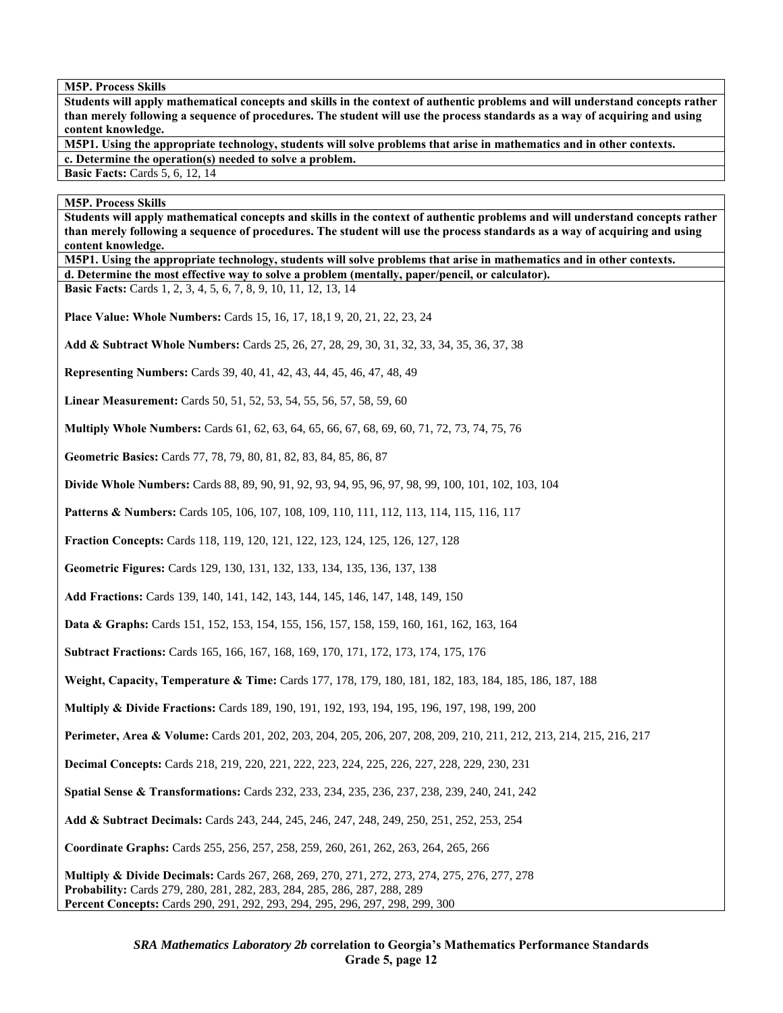**Students will apply mathematical concepts and skills in the context of authentic problems and will understand concepts rather than merely following a sequence of procedures. The student will use the process standards as a way of acquiring and using content knowledge.** 

**M5P1. Using the appropriate technology, students will solve problems that arise in mathematics and in other contexts. c. Determine the operation(s) needed to solve a problem.** 

**Basic Facts: Cards 5, 6, 12, 14** 

## **M5P. Process Skills**

**Students will apply mathematical concepts and skills in the context of authentic problems and will understand concepts rather than merely following a sequence of procedures. The student will use the process standards as a way of acquiring and using content knowledge.** 

**M5P1. Using the appropriate technology, students will solve problems that arise in mathematics and in other contexts.** 

**d. Determine the most effective way to solve a problem (mentally, paper/pencil, or calculator).** 

**Basic Facts:** Cards 1, 2, 3, 4, 5, 6, 7, 8, 9, 10, 11, 12, 13, 14

**Place Value: Whole Numbers:** Cards 15, 16, 17, 18,1 9, 20, 21, 22, 23, 24

**Add & Subtract Whole Numbers:** Cards 25, 26, 27, 28, 29, 30, 31, 32, 33, 34, 35, 36, 37, 38

**Representing Numbers:** Cards 39, 40, 41, 42, 43, 44, 45, 46, 47, 48, 49

**Linear Measurement:** Cards 50, 51, 52, 53, 54, 55, 56, 57, 58, 59, 60

**Multiply Whole Numbers:** Cards 61, 62, 63, 64, 65, 66, 67, 68, 69, 60, 71, 72, 73, 74, 75, 76

**Geometric Basics:** Cards 77, 78, 79, 80, 81, 82, 83, 84, 85, 86, 87

**Divide Whole Numbers:** Cards 88, 89, 90, 91, 92, 93, 94, 95, 96, 97, 98, 99, 100, 101, 102, 103, 104

**Patterns & Numbers:** Cards 105, 106, 107, 108, 109, 110, 111, 112, 113, 114, 115, 116, 117

**Fraction Concepts:** Cards 118, 119, 120, 121, 122, 123, 124, 125, 126, 127, 128

**Geometric Figures:** Cards 129, 130, 131, 132, 133, 134, 135, 136, 137, 138

**Add Fractions:** Cards 139, 140, 141, 142, 143, 144, 145, 146, 147, 148, 149, 150

**Data & Graphs:** Cards 151, 152, 153, 154, 155, 156, 157, 158, 159, 160, 161, 162, 163, 164

**Subtract Fractions:** Cards 165, 166, 167, 168, 169, 170, 171, 172, 173, 174, 175, 176

Weight, Capacity, Temperature & Time: Cards 177, 178, 179, 180, 181, 182, 183, 184, 185, 186, 187, 188

**Multiply & Divide Fractions:** Cards 189, 190, 191, 192, 193, 194, 195, 196, 197, 198, 199, 200

**Perimeter, Area & Volume:** Cards 201, 202, 203, 204, 205, 206, 207, 208, 209, 210, 211, 212, 213, 214, 215, 216, 217

**Decimal Concepts:** Cards 218, 219, 220, 221, 222, 223, 224, 225, 226, 227, 228, 229, 230, 231

**Spatial Sense & Transformations:** Cards 232, 233, 234, 235, 236, 237, 238, 239, 240, 241, 242

**Add & Subtract Decimals:** Cards 243, 244, 245, 246, 247, 248, 249, 250, 251, 252, 253, 254

**Coordinate Graphs:** Cards 255, 256, 257, 258, 259, 260, 261, 262, 263, 264, 265, 266

**Multiply & Divide Decimals:** Cards 267, 268, 269, 270, 271, 272, 273, 274, 275, 276, 277, 278 **Probability:** Cards 279, 280, 281, 282, 283, 284, 285, 286, 287, 288, 289 **Percent Concepts:** Cards 290, 291, 292, 293, 294, 295, 296, 297, 298, 299, 300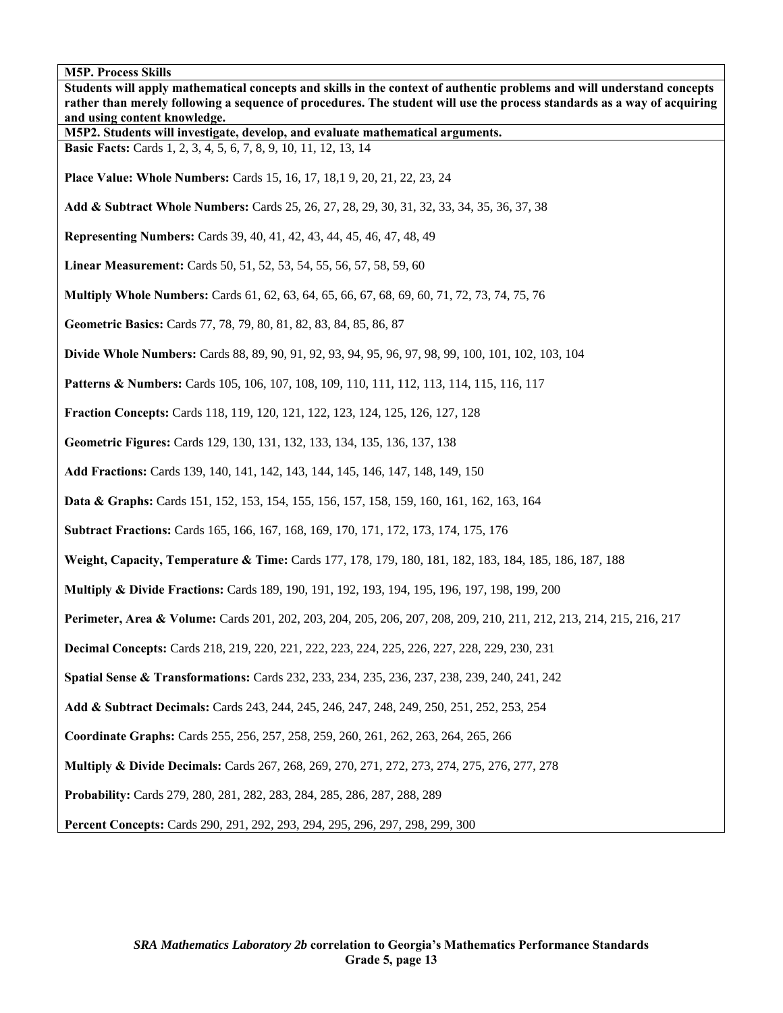| <b>M5P. Process Skills</b>                                                                                                                                                                                                                                                        |
|-----------------------------------------------------------------------------------------------------------------------------------------------------------------------------------------------------------------------------------------------------------------------------------|
| Students will apply mathematical concepts and skills in the context of authentic problems and will understand concepts<br>rather than merely following a sequence of procedures. The student will use the process standards as a way of acquiring<br>and using content knowledge. |
| M5P2. Students will investigate, develop, and evaluate mathematical arguments.                                                                                                                                                                                                    |
| Basic Facts: Cards 1, 2, 3, 4, 5, 6, 7, 8, 9, 10, 11, 12, 13, 14                                                                                                                                                                                                                  |
| Place Value: Whole Numbers: Cards 15, 16, 17, 18, 19, 20, 21, 22, 23, 24                                                                                                                                                                                                          |
| Add & Subtract Whole Numbers: Cards 25, 26, 27, 28, 29, 30, 31, 32, 33, 34, 35, 36, 37, 38                                                                                                                                                                                        |
| <b>Representing Numbers:</b> Cards 39, 40, 41, 42, 43, 44, 45, 46, 47, 48, 49                                                                                                                                                                                                     |
| Linear Measurement: Cards 50, 51, 52, 53, 54, 55, 56, 57, 58, 59, 60                                                                                                                                                                                                              |
| <b>Multiply Whole Numbers:</b> Cards 61, 62, 63, 64, 65, 66, 67, 68, 69, 60, 71, 72, 73, 74, 75, 76                                                                                                                                                                               |
| Geometric Basics: Cards 77, 78, 79, 80, 81, 82, 83, 84, 85, 86, 87                                                                                                                                                                                                                |
| Divide Whole Numbers: Cards 88, 89, 90, 91, 92, 93, 94, 95, 96, 97, 98, 99, 100, 101, 102, 103, 104                                                                                                                                                                               |
| <b>Patterns &amp; Numbers:</b> Cards 105, 106, 107, 108, 109, 110, 111, 112, 113, 114, 115, 116, 117                                                                                                                                                                              |
| <b>Fraction Concepts:</b> Cards 118, 119, 120, 121, 122, 123, 124, 125, 126, 127, 128                                                                                                                                                                                             |
| Geometric Figures: Cards 129, 130, 131, 132, 133, 134, 135, 136, 137, 138                                                                                                                                                                                                         |
| Add Fractions: Cards 139, 140, 141, 142, 143, 144, 145, 146, 147, 148, 149, 150                                                                                                                                                                                                   |
| <b>Data &amp; Graphs:</b> Cards 151, 152, 153, 154, 155, 156, 157, 158, 159, 160, 161, 162, 163, 164                                                                                                                                                                              |
| <b>Subtract Fractions:</b> Cards 165, 166, 167, 168, 169, 170, 171, 172, 173, 174, 175, 176                                                                                                                                                                                       |
| Weight, Capacity, Temperature & Time: Cards 177, 178, 179, 180, 181, 182, 183, 184, 185, 186, 187, 188                                                                                                                                                                            |
| <b>Multiply &amp; Divide Fractions:</b> Cards 189, 190, 191, 192, 193, 194, 195, 196, 197, 198, 199, 200                                                                                                                                                                          |
| Perimeter, Area & Volume: Cards 201, 202, 203, 204, 205, 206, 207, 208, 209, 210, 211, 212, 213, 214, 215, 216, 217                                                                                                                                                               |
| <b>Decimal Concepts:</b> Cards 218, 219, 220, 221, 222, 223, 224, 225, 226, 227, 228, 229, 230, 231                                                                                                                                                                               |
| Spatial Sense & Transformations: Cards 232, 233, 234, 235, 236, 237, 238, 239, 240, 241, 242                                                                                                                                                                                      |
| Add & Subtract Decimals: Cards 243, 244, 245, 246, 247, 248, 249, 250, 251, 252, 253, 254                                                                                                                                                                                         |
| Coordinate Graphs: Cards 255, 256, 257, 258, 259, 260, 261, 262, 263, 264, 265, 266                                                                                                                                                                                               |
| <b>Multiply &amp; Divide Decimals:</b> Cards 267, 268, 269, 270, 271, 272, 273, 274, 275, 276, 277, 278                                                                                                                                                                           |
| Probability: Cards 279, 280, 281, 282, 283, 284, 285, 286, 287, 288, 289                                                                                                                                                                                                          |
| Percent Concepts: Cards 290, 291, 292, 293, 294, 295, 296, 297, 298, 299, 300                                                                                                                                                                                                     |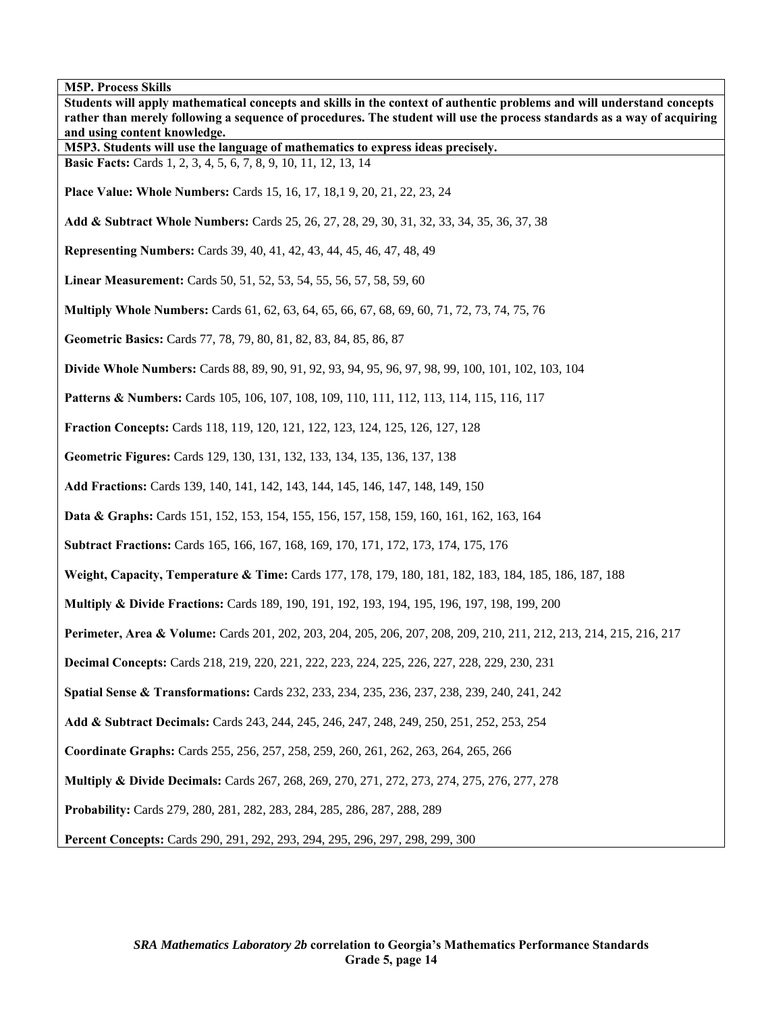| <b>M5P. Process Skills</b>                                                                                                                                                                                                                        |
|---------------------------------------------------------------------------------------------------------------------------------------------------------------------------------------------------------------------------------------------------|
| Students will apply mathematical concepts and skills in the context of authentic problems and will understand concepts<br>rather than merely following a sequence of procedures. The student will use the process standards as a way of acquiring |
| and using content knowledge.                                                                                                                                                                                                                      |
| M5P3. Students will use the language of mathematics to express ideas precisely.                                                                                                                                                                   |
| Basic Facts: Cards 1, 2, 3, 4, 5, 6, 7, 8, 9, 10, 11, 12, 13, 14                                                                                                                                                                                  |
| <b>Place Value: Whole Numbers: Cards 15, 16, 17, 18, 19, 20, 21, 22, 23, 24</b>                                                                                                                                                                   |
| Add & Subtract Whole Numbers: Cards 25, 26, 27, 28, 29, 30, 31, 32, 33, 34, 35, 36, 37, 38                                                                                                                                                        |
| Representing Numbers: Cards 39, 40, 41, 42, 43, 44, 45, 46, 47, 48, 49                                                                                                                                                                            |
| Linear Measurement: Cards 50, 51, 52, 53, 54, 55, 56, 57, 58, 59, 60                                                                                                                                                                              |
| Multiply Whole Numbers: Cards 61, 62, 63, 64, 65, 66, 67, 68, 69, 60, 71, 72, 73, 74, 75, 76                                                                                                                                                      |
| Geometric Basics: Cards 77, 78, 79, 80, 81, 82, 83, 84, 85, 86, 87                                                                                                                                                                                |
| Divide Whole Numbers: Cards 88, 89, 90, 91, 92, 93, 94, 95, 96, 97, 98, 99, 100, 101, 102, 103, 104                                                                                                                                               |
| <b>Patterns &amp; Numbers:</b> Cards 105, 106, 107, 108, 109, 110, 111, 112, 113, 114, 115, 116, 117                                                                                                                                              |
| Fraction Concepts: Cards 118, 119, 120, 121, 122, 123, 124, 125, 126, 127, 128                                                                                                                                                                    |
| Geometric Figures: Cards 129, 130, 131, 132, 133, 134, 135, 136, 137, 138                                                                                                                                                                         |
| Add Fractions: Cards 139, 140, 141, 142, 143, 144, 145, 146, 147, 148, 149, 150                                                                                                                                                                   |
| Data & Graphs: Cards 151, 152, 153, 154, 155, 156, 157, 158, 159, 160, 161, 162, 163, 164                                                                                                                                                         |
| Subtract Fractions: Cards 165, 166, 167, 168, 169, 170, 171, 172, 173, 174, 175, 176                                                                                                                                                              |
| Weight, Capacity, Temperature & Time: Cards 177, 178, 179, 180, 181, 182, 183, 184, 185, 186, 187, 188                                                                                                                                            |
| <b>Multiply &amp; Divide Fractions:</b> Cards 189, 190, 191, 192, 193, 194, 195, 196, 197, 198, 199, 200                                                                                                                                          |
| Perimeter, Area & Volume: Cards 201, 202, 203, 204, 205, 206, 207, 208, 209, 210, 211, 212, 213, 214, 215, 216, 217                                                                                                                               |
| Decimal Concepts: Cards 218, 219, 220, 221, 222, 223, 224, 225, 226, 227, 228, 229, 230, 231                                                                                                                                                      |
| Spatial Sense & Transformations: Cards 232, 233, 234, 235, 236, 237, 238, 239, 240, 241, 242                                                                                                                                                      |
| Add & Subtract Decimals: Cards 243, 244, 245, 246, 247, 248, 249, 250, 251, 252, 253, 254                                                                                                                                                         |
| Coordinate Graphs: Cards 255, 256, 257, 258, 259, 260, 261, 262, 263, 264, 265, 266                                                                                                                                                               |
| <b>Multiply &amp; Divide Decimals:</b> Cards 267, 268, 269, 270, 271, 272, 273, 274, 275, 276, 277, 278                                                                                                                                           |
| Probability: Cards 279, 280, 281, 282, 283, 284, 285, 286, 287, 288, 289                                                                                                                                                                          |
| Percent Concepts: Cards 290, 291, 292, 293, 294, 295, 296, 297, 298, 299, 300                                                                                                                                                                     |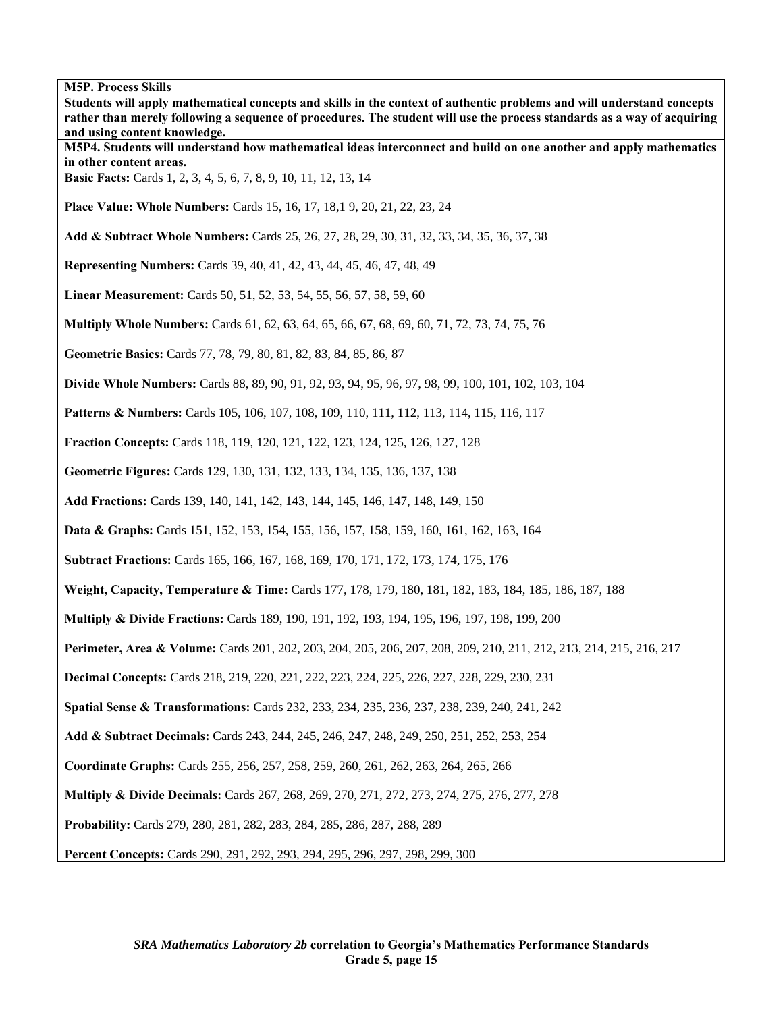**Students will apply mathematical concepts and skills in the context of authentic problems and will understand concepts rather than merely following a sequence of procedures. The student will use the process standards as a way of acquiring and using content knowledge. M5P4. Students will understand how mathematical ideas interconnect and build on one another and apply mathematics in other content areas. Basic Facts:** Cards 1, 2, 3, 4, 5, 6, 7, 8, 9, 10, 11, 12, 13, 14 **Place Value: Whole Numbers:** Cards 15, 16, 17, 18,1 9, 20, 21, 22, 23, 24 **Add & Subtract Whole Numbers:** Cards 25, 26, 27, 28, 29, 30, 31, 32, 33, 34, 35, 36, 37, 38 **Representing Numbers:** Cards 39, 40, 41, 42, 43, 44, 45, 46, 47, 48, 49 **Linear Measurement:** Cards 50, 51, 52, 53, 54, 55, 56, 57, 58, 59, 60 **Multiply Whole Numbers:** Cards 61, 62, 63, 64, 65, 66, 67, 68, 69, 60, 71, 72, 73, 74, 75, 76 **Geometric Basics:** Cards 77, 78, 79, 80, 81, 82, 83, 84, 85, 86, 87 **Divide Whole Numbers:** Cards 88, 89, 90, 91, 92, 93, 94, 95, 96, 97, 98, 99, 100, 101, 102, 103, 104 **Patterns & Numbers:** Cards 105, 106, 107, 108, 109, 110, 111, 112, 113, 114, 115, 116, 117 **Fraction Concepts:** Cards 118, 119, 120, 121, 122, 123, 124, 125, 126, 127, 128 **Geometric Figures:** Cards 129, 130, 131, 132, 133, 134, 135, 136, 137, 138 **Add Fractions:** Cards 139, 140, 141, 142, 143, 144, 145, 146, 147, 148, 149, 150 **Data & Graphs:** Cards 151, 152, 153, 154, 155, 156, 157, 158, 159, 160, 161, 162, 163, 164 **Subtract Fractions:** Cards 165, 166, 167, 168, 169, 170, 171, 172, 173, 174, 175, 176 **Weight, Capacity, Temperature & Time:** Cards 177, 178, 179, 180, 181, 182, 183, 184, 185, 186, 187, 188 **Multiply & Divide Fractions:** Cards 189, 190, 191, 192, 193, 194, 195, 196, 197, 198, 199, 200 **Perimeter, Area & Volume:** Cards 201, 202, 203, 204, 205, 206, 207, 208, 209, 210, 211, 212, 213, 214, 215, 216, 217 **Decimal Concepts:** Cards 218, 219, 220, 221, 222, 223, 224, 225, 226, 227, 228, 229, 230, 231 **Spatial Sense & Transformations:** Cards 232, 233, 234, 235, 236, 237, 238, 239, 240, 241, 242 **Add & Subtract Decimals:** Cards 243, 244, 245, 246, 247, 248, 249, 250, 251, 252, 253, 254 **Coordinate Graphs:** Cards 255, 256, 257, 258, 259, 260, 261, 262, 263, 264, 265, 266 **Multiply & Divide Decimals:** Cards 267, 268, 269, 270, 271, 272, 273, 274, 275, 276, 277, 278 **Probability:** Cards 279, 280, 281, 282, 283, 284, 285, 286, 287, 288, 289 **Percent Concepts:** Cards 290, 291, 292, 293, 294, 295, 296, 297, 298, 299, 300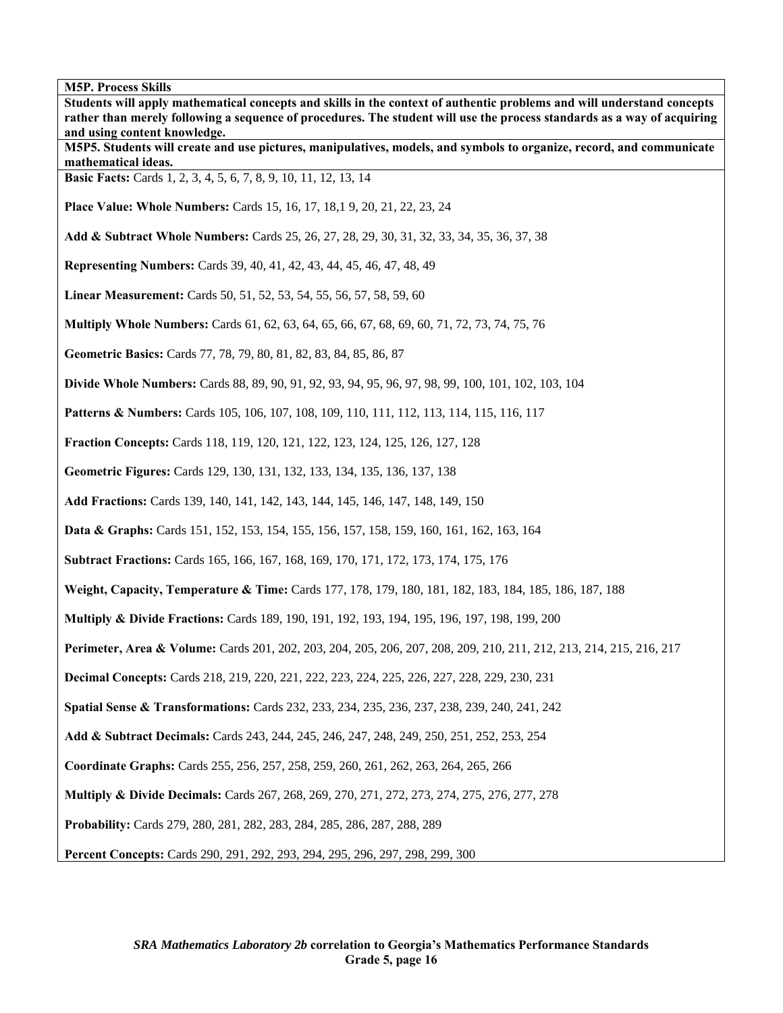**Students will apply mathematical concepts and skills in the context of authentic problems and will understand concepts rather than merely following a sequence of procedures. The student will use the process standards as a way of acquiring and using content knowledge. M5P5. Students will create and use pictures, manipulatives, models, and symbols to organize, record, and communicate mathematical ideas. Basic Facts:** Cards 1, 2, 3, 4, 5, 6, 7, 8, 9, 10, 11, 12, 13, 14 **Place Value: Whole Numbers:** Cards 15, 16, 17, 18,1 9, 20, 21, 22, 23, 24 **Add & Subtract Whole Numbers:** Cards 25, 26, 27, 28, 29, 30, 31, 32, 33, 34, 35, 36, 37, 38 **Representing Numbers:** Cards 39, 40, 41, 42, 43, 44, 45, 46, 47, 48, 49 **Linear Measurement:** Cards 50, 51, 52, 53, 54, 55, 56, 57, 58, 59, 60 **Multiply Whole Numbers:** Cards 61, 62, 63, 64, 65, 66, 67, 68, 69, 60, 71, 72, 73, 74, 75, 76 **Geometric Basics:** Cards 77, 78, 79, 80, 81, 82, 83, 84, 85, 86, 87 **Divide Whole Numbers:** Cards 88, 89, 90, 91, 92, 93, 94, 95, 96, 97, 98, 99, 100, 101, 102, 103, 104 **Patterns & Numbers:** Cards 105, 106, 107, 108, 109, 110, 111, 112, 113, 114, 115, 116, 117 **Fraction Concepts:** Cards 118, 119, 120, 121, 122, 123, 124, 125, 126, 127, 128 **Geometric Figures:** Cards 129, 130, 131, 132, 133, 134, 135, 136, 137, 138 **Add Fractions:** Cards 139, 140, 141, 142, 143, 144, 145, 146, 147, 148, 149, 150 **Data & Graphs:** Cards 151, 152, 153, 154, 155, 156, 157, 158, 159, 160, 161, 162, 163, 164 **Subtract Fractions:** Cards 165, 166, 167, 168, 169, 170, 171, 172, 173, 174, 175, 176 **Weight, Capacity, Temperature & Time:** Cards 177, 178, 179, 180, 181, 182, 183, 184, 185, 186, 187, 188 **Multiply & Divide Fractions:** Cards 189, 190, 191, 192, 193, 194, 195, 196, 197, 198, 199, 200 **Perimeter, Area & Volume:** Cards 201, 202, 203, 204, 205, 206, 207, 208, 209, 210, 211, 212, 213, 214, 215, 216, 217 **Decimal Concepts:** Cards 218, 219, 220, 221, 222, 223, 224, 225, 226, 227, 228, 229, 230, 231 **Spatial Sense & Transformations:** Cards 232, 233, 234, 235, 236, 237, 238, 239, 240, 241, 242 **Add & Subtract Decimals:** Cards 243, 244, 245, 246, 247, 248, 249, 250, 251, 252, 253, 254 **Coordinate Graphs:** Cards 255, 256, 257, 258, 259, 260, 261, 262, 263, 264, 265, 266 **Multiply & Divide Decimals:** Cards 267, 268, 269, 270, 271, 272, 273, 274, 275, 276, 277, 278 **Probability:** Cards 279, 280, 281, 282, 283, 284, 285, 286, 287, 288, 289 **Percent Concepts:** Cards 290, 291, 292, 293, 294, 295, 296, 297, 298, 299, 300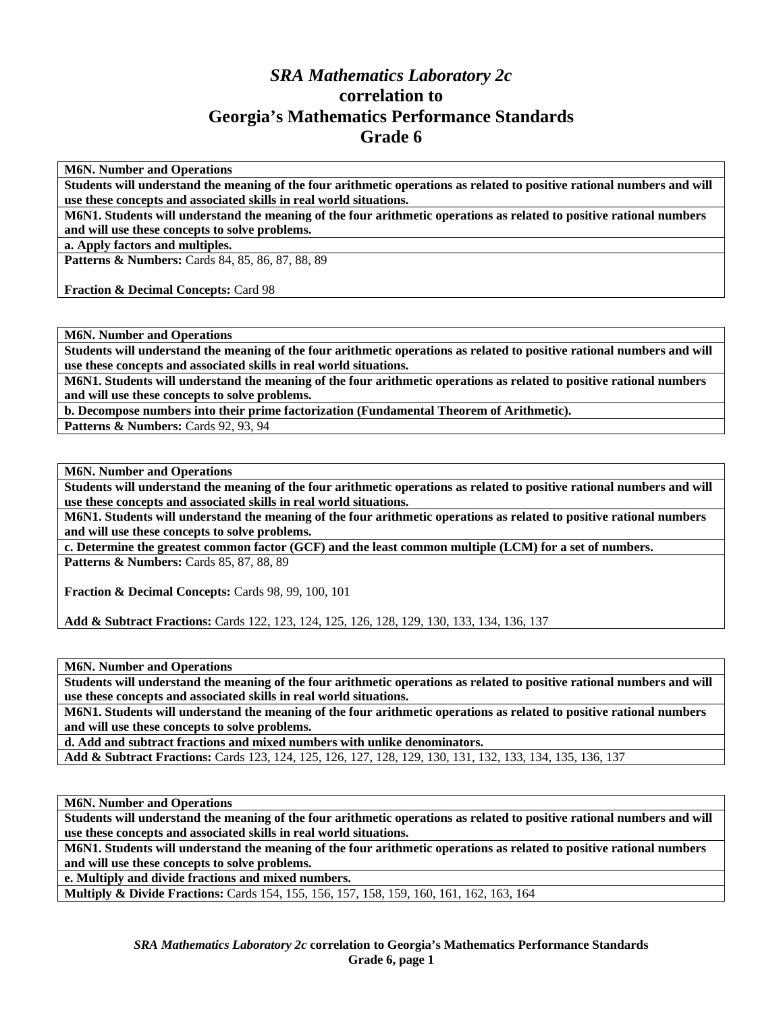## *SRA Mathematics Laboratory 2c*  **correlation to Georgia's Mathematics Performance Standards Grade 6**

**M6N. Number and Operations** 

**Students will understand the meaning of the four arithmetic operations as related to positive rational numbers and will use these concepts and associated skills in real world situations.** 

**M6N1. Students will understand the meaning of the four arithmetic operations as related to positive rational numbers and will use these concepts to solve problems.** 

**a. Apply factors and multiples.** 

**Patterns & Numbers:** Cards 84, 85, 86, 87, 88, 89

**Fraction & Decimal Concepts:** Card 98

**M6N. Number and Operations** 

**Students will understand the meaning of the four arithmetic operations as related to positive rational numbers and will use these concepts and associated skills in real world situations.** 

**M6N1. Students will understand the meaning of the four arithmetic operations as related to positive rational numbers and will use these concepts to solve problems.** 

**b. Decompose numbers into their prime factorization (Fundamental Theorem of Arithmetic).** 

**Patterns & Numbers: Cards 92, 93, 94** 

**M6N. Number and Operations** 

**Students will understand the meaning of the four arithmetic operations as related to positive rational numbers and will use these concepts and associated skills in real world situations.** 

**M6N1. Students will understand the meaning of the four arithmetic operations as related to positive rational numbers and will use these concepts to solve problems.** 

**c. Determine the greatest common factor (GCF) and the least common multiple (LCM) for a set of numbers.**  Patterns & Numbers: Cards 85, 87, 88, 89

**Fraction & Decimal Concepts:** Cards 98, 99, 100, 101

**Add & Subtract Fractions:** Cards 122, 123, 124, 125, 126, 128, 129, 130, 133, 134, 136, 137

**M6N. Number and Operations** 

**Students will understand the meaning of the four arithmetic operations as related to positive rational numbers and will use these concepts and associated skills in real world situations.** 

**M6N1. Students will understand the meaning of the four arithmetic operations as related to positive rational numbers and will use these concepts to solve problems.** 

**d. Add and subtract fractions and mixed numbers with unlike denominators.** 

**Add & Subtract Fractions:** Cards 123, 124, 125, 126, 127, 128, 129, 130, 131, 132, 133, 134, 135, 136, 137

**M6N. Number and Operations** 

**Students will understand the meaning of the four arithmetic operations as related to positive rational numbers and will use these concepts and associated skills in real world situations.** 

**M6N1. Students will understand the meaning of the four arithmetic operations as related to positive rational numbers and will use these concepts to solve problems.** 

**e. Multiply and divide fractions and mixed numbers.** 

**Multiply & Divide Fractions:** Cards 154, 155, 156, 157, 158, 159, 160, 161, 162, 163, 164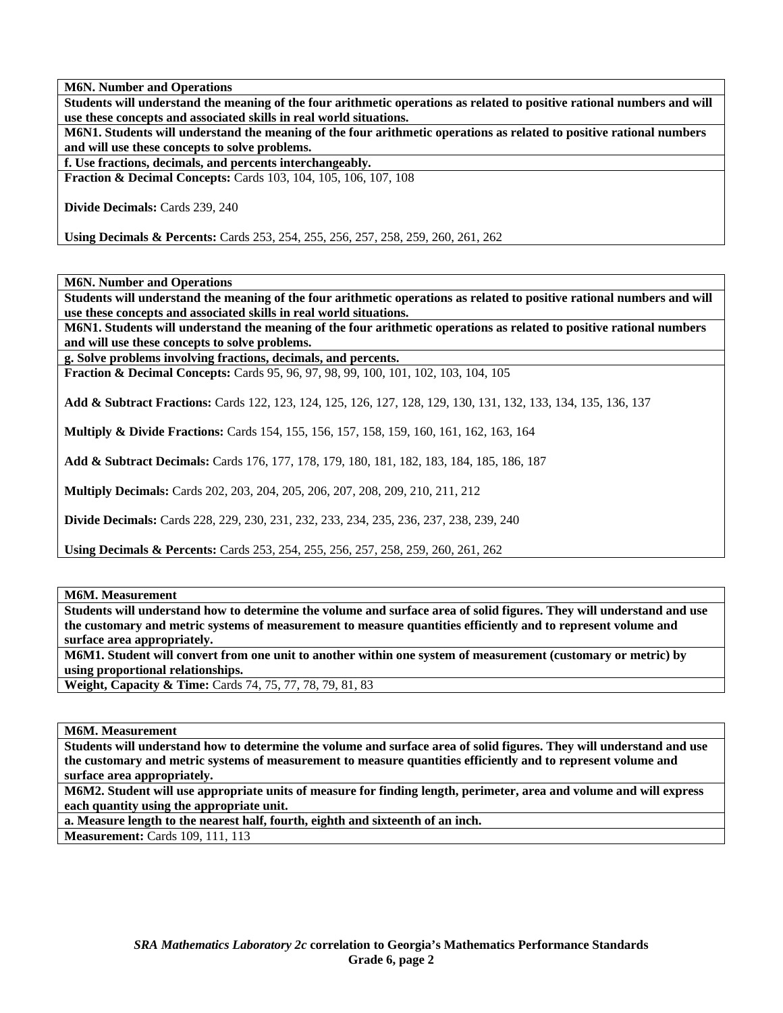**Students will understand the meaning of the four arithmetic operations as related to positive rational numbers and will use these concepts and associated skills in real world situations.** 

**M6N1. Students will understand the meaning of the four arithmetic operations as related to positive rational numbers and will use these concepts to solve problems.** 

**f. Use fractions, decimals, and percents interchangeably.** 

**Fraction & Decimal Concepts:** Cards 103, 104, 105, 106, 107, 108

**Divide Decimals:** Cards 239, 240

**Using Decimals & Percents:** Cards 253, 254, 255, 256, 257, 258, 259, 260, 261, 262

**M6N. Number and Operations** 

**Students will understand the meaning of the four arithmetic operations as related to positive rational numbers and will use these concepts and associated skills in real world situations.** 

**M6N1. Students will understand the meaning of the four arithmetic operations as related to positive rational numbers and will use these concepts to solve problems.** 

**g. Solve problems involving fractions, decimals, and percents.** 

**Fraction & Decimal Concepts:** Cards 95, 96, 97, 98, 99, 100, 101, 102, 103, 104, 105

**Add & Subtract Fractions:** Cards 122, 123, 124, 125, 126, 127, 128, 129, 130, 131, 132, 133, 134, 135, 136, 137

**Multiply & Divide Fractions:** Cards 154, 155, 156, 157, 158, 159, 160, 161, 162, 163, 164

**Add & Subtract Decimals:** Cards 176, 177, 178, 179, 180, 181, 182, 183, 184, 185, 186, 187

**Multiply Decimals:** Cards 202, 203, 204, 205, 206, 207, 208, 209, 210, 211, 212

**Divide Decimals:** Cards 228, 229, 230, 231, 232, 233, 234, 235, 236, 237, 238, 239, 240

**Using Decimals & Percents:** Cards 253, 254, 255, 256, 257, 258, 259, 260, 261, 262

**M6M. Measurement** 

**Students will understand how to determine the volume and surface area of solid figures. They will understand and use the customary and metric systems of measurement to measure quantities efficiently and to represent volume and surface area appropriately.** 

**M6M1. Student will convert from one unit to another within one system of measurement (customary or metric) by using proportional relationships.** 

**Weight, Capacity & Time:** Cards 74, 75, 77, 78, 79, 81, 83

**M6M. Measurement** 

**Students will understand how to determine the volume and surface area of solid figures. They will understand and use the customary and metric systems of measurement to measure quantities efficiently and to represent volume and surface area appropriately.** 

**M6M2. Student will use appropriate units of measure for finding length, perimeter, area and volume and will express each quantity using the appropriate unit.** 

**a. Measure length to the nearest half, fourth, eighth and sixteenth of an inch.** 

**Measurement:** Cards 109, 111, 113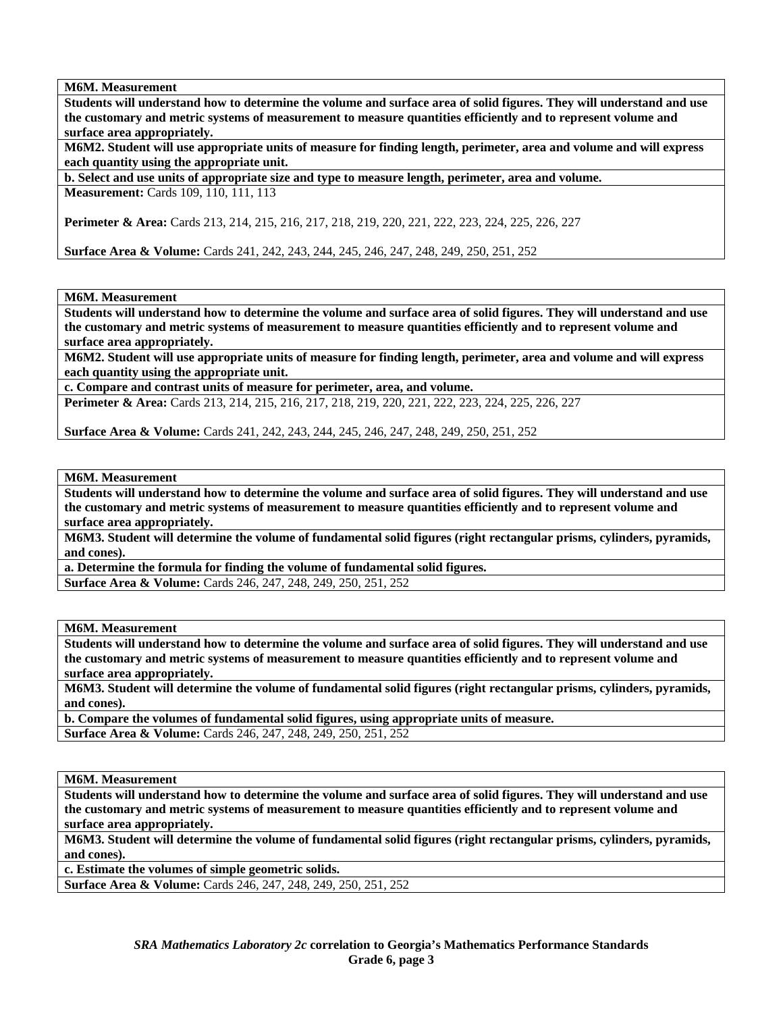**M6M. Measurement** 

**Students will understand how to determine the volume and surface area of solid figures. They will understand and use the customary and metric systems of measurement to measure quantities efficiently and to represent volume and surface area appropriately.** 

**M6M2. Student will use appropriate units of measure for finding length, perimeter, area and volume and will express each quantity using the appropriate unit.** 

**b. Select and use units of appropriate size and type to measure length, perimeter, area and volume. Measurement:** Cards 109, 110, 111, 113

**Perimeter & Area:** Cards 213, 214, 215, 216, 217, 218, 219, 220, 221, 222, 223, 224, 225, 226, 227

**Surface Area & Volume:** Cards 241, 242, 243, 244, 245, 246, 247, 248, 249, 250, 251, 252

**M6M. Measurement** 

**Students will understand how to determine the volume and surface area of solid figures. They will understand and use the customary and metric systems of measurement to measure quantities efficiently and to represent volume and surface area appropriately.** 

**M6M2. Student will use appropriate units of measure for finding length, perimeter, area and volume and will express each quantity using the appropriate unit.** 

**c. Compare and contrast units of measure for perimeter, area, and volume.** 

**Perimeter & Area:** Cards 213, 214, 215, 216, 217, 218, 219, 220, 221, 222, 223, 224, 225, 226, 227

**Surface Area & Volume:** Cards 241, 242, 243, 244, 245, 246, 247, 248, 249, 250, 251, 252

**M6M. Measurement** 

**Students will understand how to determine the volume and surface area of solid figures. They will understand and use the customary and metric systems of measurement to measure quantities efficiently and to represent volume and surface area appropriately.** 

**M6M3. Student will determine the volume of fundamental solid figures (right rectangular prisms, cylinders, pyramids, and cones).** 

**a. Determine the formula for finding the volume of fundamental solid figures. Surface Area & Volume:** Cards 246, 247, 248, 249, 250, 251, 252

**M6M. Measurement** 

**Students will understand how to determine the volume and surface area of solid figures. They will understand and use the customary and metric systems of measurement to measure quantities efficiently and to represent volume and surface area appropriately.** 

**M6M3. Student will determine the volume of fundamental solid figures (right rectangular prisms, cylinders, pyramids, and cones).** 

**b. Compare the volumes of fundamental solid figures, using appropriate units of measure. Surface Area & Volume:** Cards 246, 247, 248, 249, 250, 251, 252

**M6M. Measurement** 

**Students will understand how to determine the volume and surface area of solid figures. They will understand and use the customary and metric systems of measurement to measure quantities efficiently and to represent volume and surface area appropriately.** 

**M6M3. Student will determine the volume of fundamental solid figures (right rectangular prisms, cylinders, pyramids, and cones).** 

**c. Estimate the volumes of simple geometric solids.** 

**Surface Area & Volume:** Cards 246, 247, 248, 249, 250, 251, 252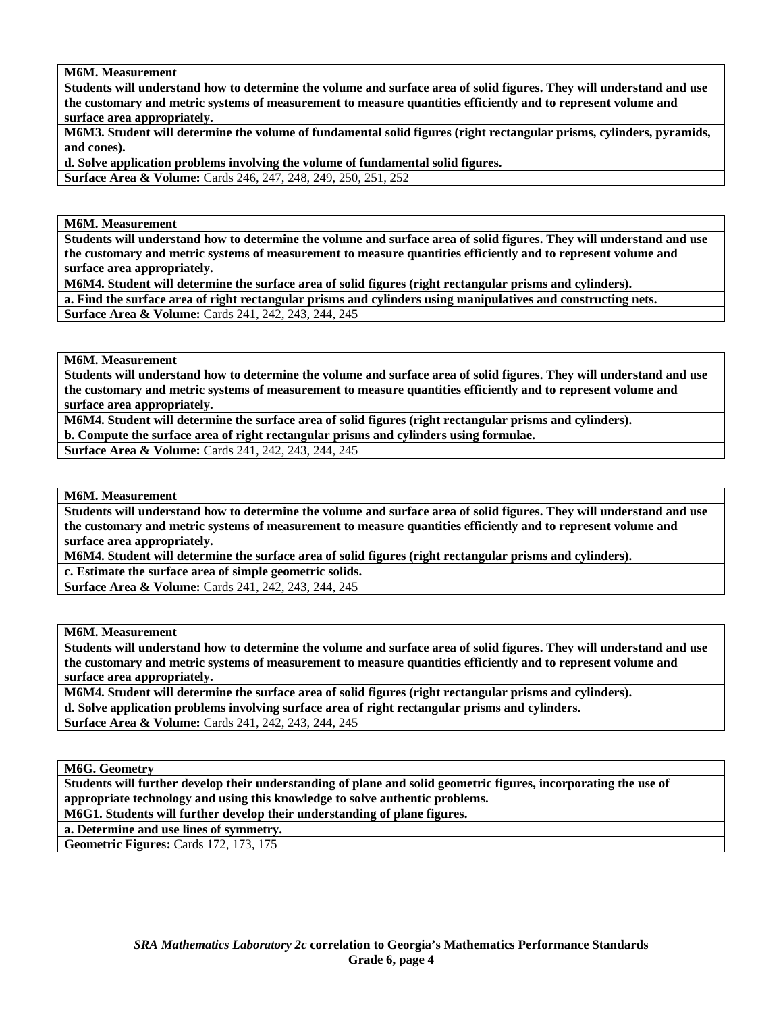**M6M. Measurement** 

**Students will understand how to determine the volume and surface area of solid figures. They will understand and use the customary and metric systems of measurement to measure quantities efficiently and to represent volume and surface area appropriately.** 

**M6M3. Student will determine the volume of fundamental solid figures (right rectangular prisms, cylinders, pyramids, and cones).** 

**d. Solve application problems involving the volume of fundamental solid figures. Surface Area & Volume:** Cards 246, 247, 248, 249, 250, 251, 252

**M6M. Measurement** 

**Students will understand how to determine the volume and surface area of solid figures. They will understand and use the customary and metric systems of measurement to measure quantities efficiently and to represent volume and surface area appropriately.** 

**M6M4. Student will determine the surface area of solid figures (right rectangular prisms and cylinders).** 

**a. Find the surface area of right rectangular prisms and cylinders using manipulatives and constructing nets.** 

**Surface Area & Volume:** Cards 241, 242, 243, 244, 245

**M6M. Measurement** 

**Students will understand how to determine the volume and surface area of solid figures. They will understand and use the customary and metric systems of measurement to measure quantities efficiently and to represent volume and surface area appropriately.** 

**M6M4. Student will determine the surface area of solid figures (right rectangular prisms and cylinders).** 

**b. Compute the surface area of right rectangular prisms and cylinders using formulae.** 

**Surface Area & Volume:** Cards 241, 242, 243, 244, 245

**M6M. Measurement** 

**Students will understand how to determine the volume and surface area of solid figures. They will understand and use the customary and metric systems of measurement to measure quantities efficiently and to represent volume and surface area appropriately.** 

**M6M4. Student will determine the surface area of solid figures (right rectangular prisms and cylinders).** 

**c. Estimate the surface area of simple geometric solids.** 

**Surface Area & Volume:** Cards 241, 242, 243, 244, 245

**M6M. Measurement** 

**Students will understand how to determine the volume and surface area of solid figures. They will understand and use the customary and metric systems of measurement to measure quantities efficiently and to represent volume and surface area appropriately.** 

**M6M4. Student will determine the surface area of solid figures (right rectangular prisms and cylinders). d. Solve application problems involving surface area of right rectangular prisms and cylinders.** 

**Surface Area & Volume:** Cards 241, 242, 243, 244, 245

**M6G. Geometry** 

**Students will further develop their understanding of plane and solid geometric figures, incorporating the use of appropriate technology and using this knowledge to solve authentic problems.** 

**M6G1. Students will further develop their understanding of plane figures.** 

**a. Determine and use lines of symmetry.** 

**Geometric Figures:** Cards 172, 173, 175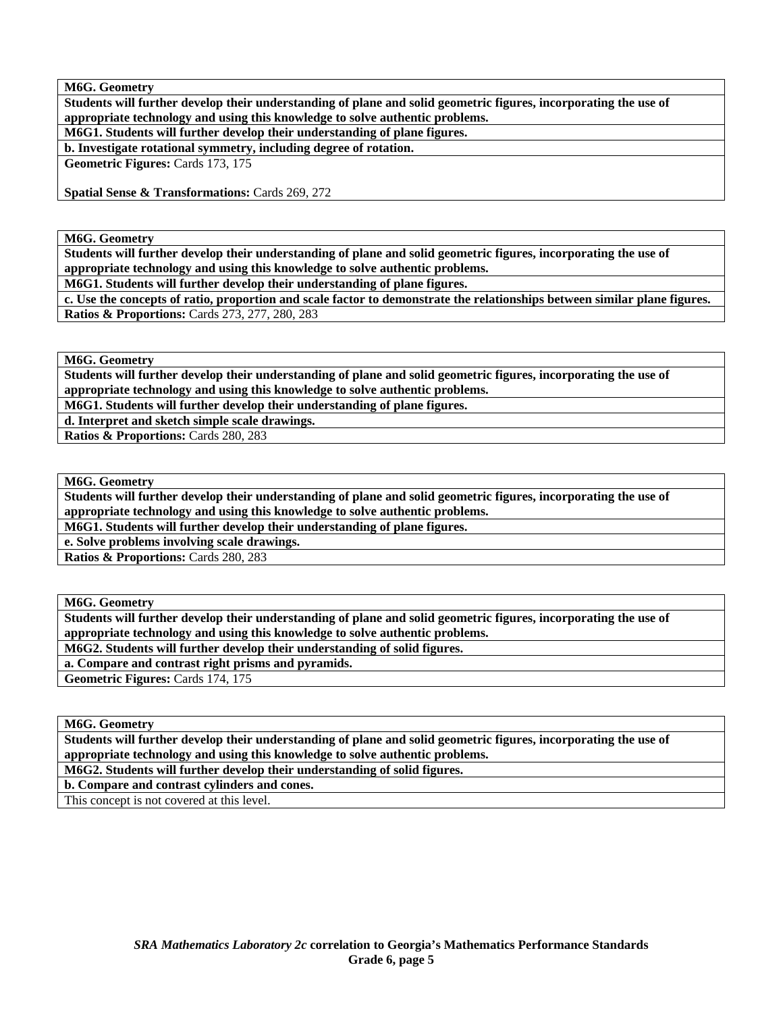**M6G. Geometry** 

**Students will further develop their understanding of plane and solid geometric figures, incorporating the use of appropriate technology and using this knowledge to solve authentic problems.** 

**M6G1. Students will further develop their understanding of plane figures.** 

**b. Investigate rotational symmetry, including degree of rotation.** 

**Geometric Figures:** Cards 173, 175

**Spatial Sense & Transformations: Cards 269, 272** 

**M6G. Geometry** 

**Students will further develop their understanding of plane and solid geometric figures, incorporating the use of appropriate technology and using this knowledge to solve authentic problems.** 

**M6G1. Students will further develop their understanding of plane figures.** 

**c. Use the concepts of ratio, proportion and scale factor to demonstrate the relationships between similar plane figures. Ratios & Proportions:** Cards 273, 277, 280, 283

**M6G. Geometry** 

**Students will further develop their understanding of plane and solid geometric figures, incorporating the use of appropriate technology and using this knowledge to solve authentic problems.** 

**M6G1. Students will further develop their understanding of plane figures.** 

**d. Interpret and sketch simple scale drawings.** 

**Ratios & Proportions:** Cards 280, 283

**M6G. Geometry** 

**Students will further develop their understanding of plane and solid geometric figures, incorporating the use of appropriate technology and using this knowledge to solve authentic problems.** 

**M6G1. Students will further develop their understanding of plane figures.** 

**e. Solve problems involving scale drawings.** 

**Ratios & Proportions:** Cards 280, 283

**M6G. Geometry** 

**Students will further develop their understanding of plane and solid geometric figures, incorporating the use of appropriate technology and using this knowledge to solve authentic problems.** 

**M6G2. Students will further develop their understanding of solid figures.** 

**a. Compare and contrast right prisms and pyramids.** 

**Geometric Figures:** Cards 174, 175

**M6G. Geometry** 

**Students will further develop their understanding of plane and solid geometric figures, incorporating the use of appropriate technology and using this knowledge to solve authentic problems.** 

**M6G2. Students will further develop their understanding of solid figures.** 

**b. Compare and contrast cylinders and cones.** 

This concept is not covered at this level.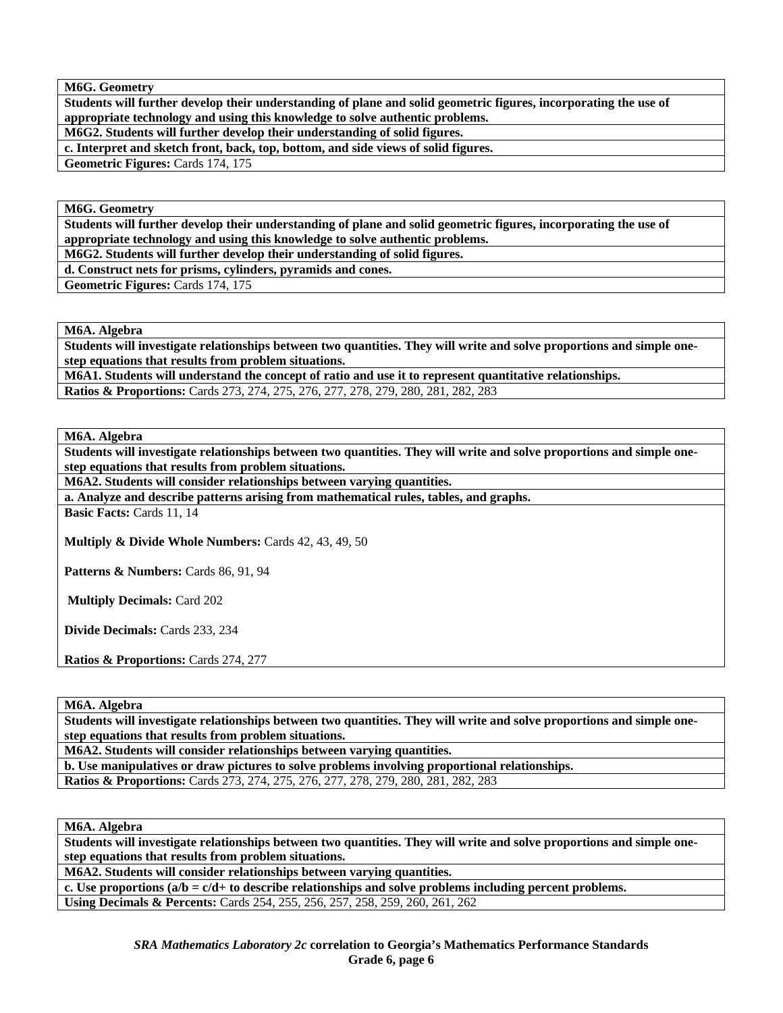**M6G. Geometry** 

**Students will further develop their understanding of plane and solid geometric figures, incorporating the use of appropriate technology and using this knowledge to solve authentic problems.** 

**M6G2. Students will further develop their understanding of solid figures.** 

**c. Interpret and sketch front, back, top, bottom, and side views of solid figures.** 

**Geometric Figures:** Cards 174, 175

**M6G. Geometry** 

**Students will further develop their understanding of plane and solid geometric figures, incorporating the use of appropriate technology and using this knowledge to solve authentic problems.** 

**M6G2. Students will further develop their understanding of solid figures.** 

**d. Construct nets for prisms, cylinders, pyramids and cones.** 

**Geometric Figures:** Cards 174, 175

**M6A. Algebra** 

**Students will investigate relationships between two quantities. They will write and solve proportions and simple onestep equations that results from problem situations.** 

**M6A1. Students will understand the concept of ratio and use it to represent quantitative relationships.** 

**Ratios & Proportions:** Cards 273, 274, 275, 276, 277, 278, 279, 280, 281, 282, 283

**M6A. Algebra** 

**Students will investigate relationships between two quantities. They will write and solve proportions and simple onestep equations that results from problem situations.** 

**M6A2. Students will consider relationships between varying quantities.** 

**a. Analyze and describe patterns arising from mathematical rules, tables, and graphs.** 

**Basic Facts:** Cards 11, 14

**Multiply & Divide Whole Numbers:** Cards 42, 43, 49, 50

**Patterns & Numbers:** Cards 86, 91, 94

 **Multiply Decimals:** Card 202

**Divide Decimals:** Cards 233, 234

**Ratios & Proportions:** Cards 274, 277

**M6A. Algebra** 

**Students will investigate relationships between two quantities. They will write and solve proportions and simple onestep equations that results from problem situations.** 

**M6A2. Students will consider relationships between varying quantities.** 

**b. Use manipulatives or draw pictures to solve problems involving proportional relationships.** 

**Ratios & Proportions:** Cards 273, 274, 275, 276, 277, 278, 279, 280, 281, 282, 283

**M6A. Algebra** 

**Students will investigate relationships between two quantities. They will write and solve proportions and simple onestep equations that results from problem situations.** 

**M6A2. Students will consider relationships between varying quantities.** 

c. Use proportions  $(a/b = c/d + t_0)$  describe relationships and solve problems including percent problems. **Using Decimals & Percents:** Cards 254, 255, 256, 257, 258, 259, 260, 261, 262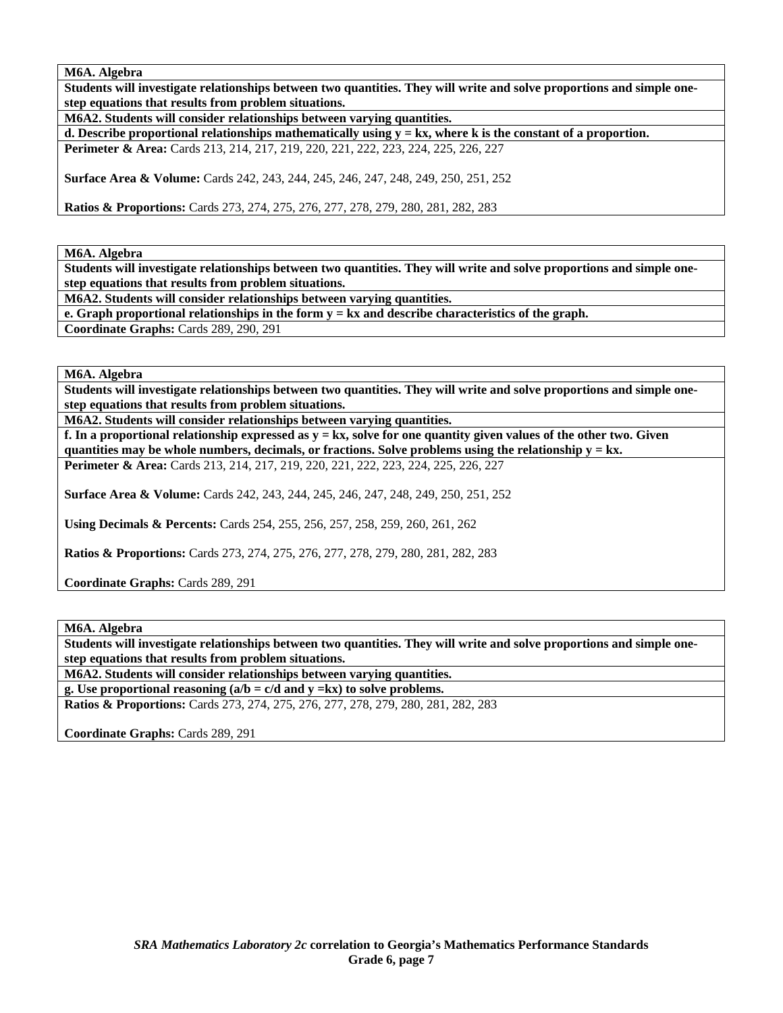**M6A. Algebra** 

**Students will investigate relationships between two quantities. They will write and solve proportions and simple onestep equations that results from problem situations.** 

**M6A2. Students will consider relationships between varying quantities.** 

**d. Describe proportional relationships mathematically using y = kx, where k is the constant of a proportion. Perimeter & Area:** Cards 213, 214, 217, 219, 220, 221, 222, 223, 224, 225, 226, 227

**Surface Area & Volume:** Cards 242, 243, 244, 245, 246, 247, 248, 249, 250, 251, 252

**Ratios & Proportions:** Cards 273, 274, 275, 276, 277, 278, 279, 280, 281, 282, 283

**M6A. Algebra** 

**Students will investigate relationships between two quantities. They will write and solve proportions and simple onestep equations that results from problem situations.** 

**M6A2. Students will consider relationships between varying quantities.** 

**e. Graph proportional relationships in the form**  $y = kx$  **and describe characteristics of the graph. Coordinate Graphs:** Cards 289, 290, 291

**M6A. Algebra** 

**Students will investigate relationships between two quantities. They will write and solve proportions and simple onestep equations that results from problem situations.** 

**M6A2. Students will consider relationships between varying quantities.** 

**f.** In a proportional relationship expressed as  $y = kx$ , solve for one quantity given values of the other two. Given **quantities may be whole numbers, decimals, or fractions. Solve problems using the relationship y = kx. Perimeter & Area:** Cards 213, 214, 217, 219, 220, 221, 222, 223, 224, 225, 226, 227

**Surface Area & Volume:** Cards 242, 243, 244, 245, 246, 247, 248, 249, 250, 251, 252

**Using Decimals & Percents:** Cards 254, 255, 256, 257, 258, 259, 260, 261, 262

**Ratios & Proportions:** Cards 273, 274, 275, 276, 277, 278, 279, 280, 281, 282, 283

**Coordinate Graphs:** Cards 289, 291

**M6A. Algebra** 

**Students will investigate relationships between two quantities. They will write and solve proportions and simple onestep equations that results from problem situations.** 

**M6A2. Students will consider relationships between varying quantities.** 

**g. Use proportional reasoning (a/b = c/d and y =kx) to solve problems. Ratios & Proportions:** Cards 273, 274, 275, 276, 277, 278, 279, 280, 281, 282, 283

**Coordinate Graphs:** Cards 289, 291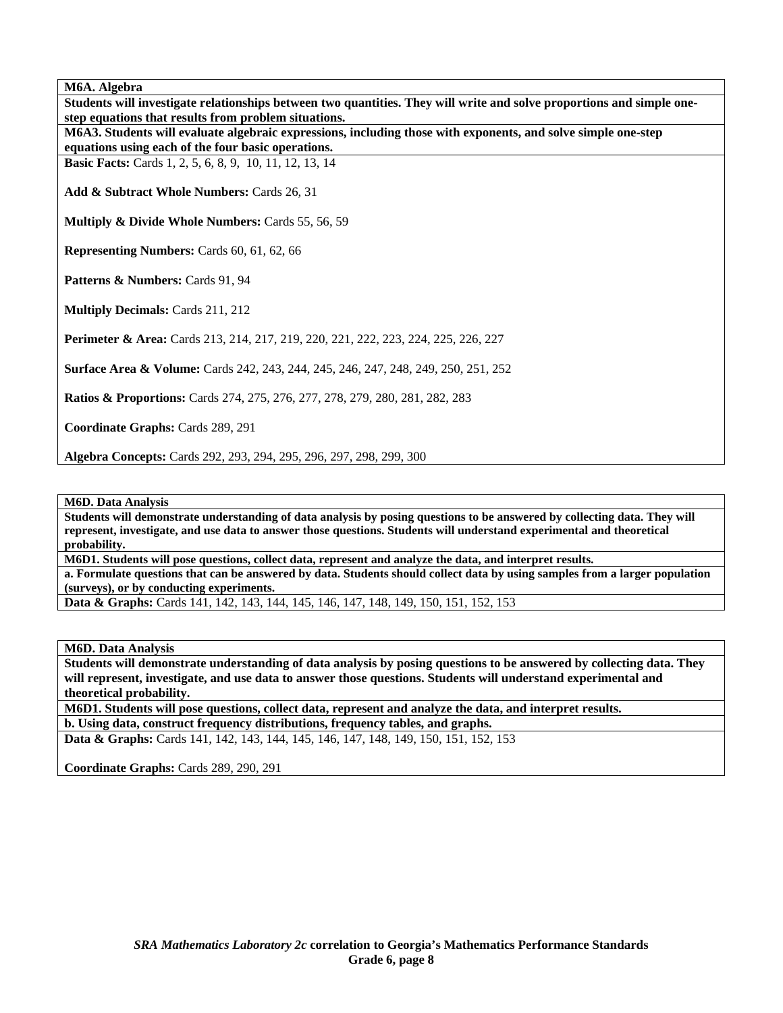**M6A. Algebra** 

**Students will investigate relationships between two quantities. They will write and solve proportions and simple onestep equations that results from problem situations. M6A3. Students will evaluate algebraic expressions, including those with exponents, and solve simple one-step equations using each of the four basic operations. Basic Facts:** Cards 1, 2, 5, 6, 8, 9, 10, 11, 12, 13, 14 **Add & Subtract Whole Numbers:** Cards 26, 31 **Multiply & Divide Whole Numbers:** Cards 55, 56, 59 **Representing Numbers:** Cards 60, 61, 62, 66 Patterns & Numbers: Cards 91, 94 **Multiply Decimals:** Cards 211, 212 **Perimeter & Area:** Cards 213, 214, 217, 219, 220, 221, 222, 223, 224, 225, 226, 227 **Surface Area & Volume:** Cards 242, 243, 244, 245, 246, 247, 248, 249, 250, 251, 252 **Ratios & Proportions:** Cards 274, 275, 276, 277, 278, 279, 280, 281, 282, 283 **Coordinate Graphs:** Cards 289, 291 **Algebra Concepts:** Cards 292, 293, 294, 295, 296, 297, 298, 299, 300

**M6D. Data Analysis** 

**Students will demonstrate understanding of data analysis by posing questions to be answered by collecting data. They will represent, investigate, and use data to answer those questions. Students will understand experimental and theoretical probability.** 

**M6D1. Students will pose questions, collect data, represent and analyze the data, and interpret results.** 

**a. Formulate questions that can be answered by data. Students should collect data by using samples from a larger population (surveys), or by conducting experiments.** 

**Data & Graphs:** Cards 141, 142, 143, 144, 145, 146, 147, 148, 149, 150, 151, 152, 153

**M6D. Data Analysis** 

**Students will demonstrate understanding of data analysis by posing questions to be answered by collecting data. They will represent, investigate, and use data to answer those questions. Students will understand experimental and theoretical probability.** 

**M6D1. Students will pose questions, collect data, represent and analyze the data, and interpret results. b. Using data, construct frequency distributions, frequency tables, and graphs.** 

**Data & Graphs:** Cards 141, 142, 143, 144, 145, 146, 147, 148, 149, 150, 151, 152, 153

**Coordinate Graphs:** Cards 289, 290, 291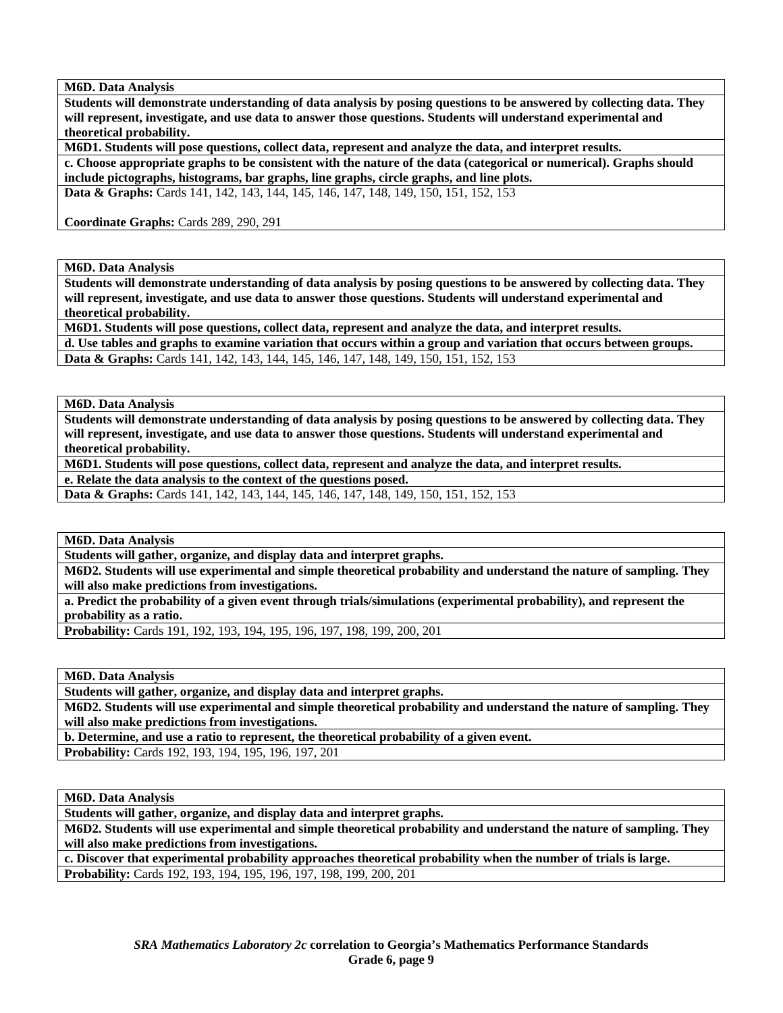**M6D. Data Analysis** 

**Students will demonstrate understanding of data analysis by posing questions to be answered by collecting data. They will represent, investigate, and use data to answer those questions. Students will understand experimental and theoretical probability.** 

**M6D1. Students will pose questions, collect data, represent and analyze the data, and interpret results.** 

**c. Choose appropriate graphs to be consistent with the nature of the data (categorical or numerical). Graphs should include pictographs, histograms, bar graphs, line graphs, circle graphs, and line plots.** 

**Data & Graphs:** Cards 141, 142, 143, 144, 145, 146, 147, 148, 149, 150, 151, 152, 153

**Coordinate Graphs:** Cards 289, 290, 291

**M6D. Data Analysis** 

**Students will demonstrate understanding of data analysis by posing questions to be answered by collecting data. They will represent, investigate, and use data to answer those questions. Students will understand experimental and theoretical probability.** 

**M6D1. Students will pose questions, collect data, represent and analyze the data, and interpret results.** 

**d. Use tables and graphs to examine variation that occurs within a group and variation that occurs between groups. Data & Graphs:** Cards 141, 142, 143, 144, 145, 146, 147, 148, 149, 150, 151, 152, 153

**M6D. Data Analysis** 

**Students will demonstrate understanding of data analysis by posing questions to be answered by collecting data. They will represent, investigate, and use data to answer those questions. Students will understand experimental and theoretical probability.** 

**M6D1. Students will pose questions, collect data, represent and analyze the data, and interpret results.** 

**e. Relate the data analysis to the context of the questions posed.** 

**Data & Graphs:** Cards 141, 142, 143, 144, 145, 146, 147, 148, 149, 150, 151, 152, 153

**M6D. Data Analysis** 

**Students will gather, organize, and display data and interpret graphs.** 

**M6D2. Students will use experimental and simple theoretical probability and understand the nature of sampling. They will also make predictions from investigations.** 

**a. Predict the probability of a given event through trials/simulations (experimental probability), and represent the probability as a ratio.** 

**Probability:** Cards 191, 192, 193, 194, 195, 196, 197, 198, 199, 200, 201

**M6D. Data Analysis** 

**Students will gather, organize, and display data and interpret graphs.** 

**M6D2. Students will use experimental and simple theoretical probability and understand the nature of sampling. They will also make predictions from investigations.** 

**b. Determine, and use a ratio to represent, the theoretical probability of a given event.** 

**Probability:** Cards 192, 193, 194, 195, 196, 197, 201

**M6D. Data Analysis** 

**Students will gather, organize, and display data and interpret graphs.** 

**M6D2. Students will use experimental and simple theoretical probability and understand the nature of sampling. They will also make predictions from investigations.** 

**c. Discover that experimental probability approaches theoretical probability when the number of trials is large. Probability:** Cards 192, 193, 194, 195, 196, 197, 198, 199, 200, 201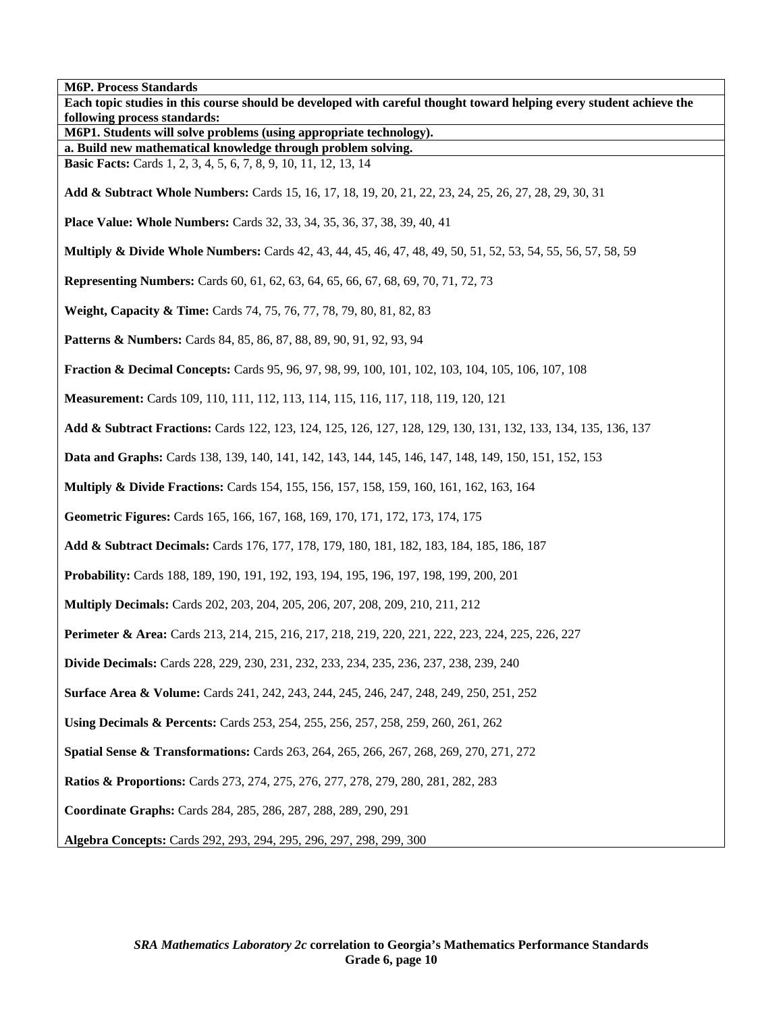**M6P. Process Standards Each topic studies in this course should be developed with careful thought toward helping every student achieve the following process standards: M6P1. Students will solve problems (using appropriate technology). a. Build new mathematical knowledge through problem solving. Basic Facts:** Cards 1, 2, 3, 4, 5, 6, 7, 8, 9, 10, 11, 12, 13, 14 **Add & Subtract Whole Numbers:** Cards 15, 16, 17, 18, 19, 20, 21, 22, 23, 24, 25, 26, 27, 28, 29, 30, 31 **Place Value: Whole Numbers:** Cards 32, 33, 34, 35, 36, 37, 38, 39, 40, 41 **Multiply & Divide Whole Numbers:** Cards 42, 43, 44, 45, 46, 47, 48, 49, 50, 51, 52, 53, 54, 55, 56, 57, 58, 59 **Representing Numbers:** Cards 60, 61, 62, 63, 64, 65, 66, 67, 68, 69, 70, 71, 72, 73 **Weight, Capacity & Time:** Cards 74, 75, 76, 77, 78, 79, 80, 81, 82, 83 **Patterns & Numbers:** Cards 84, 85, 86, 87, 88, 89, 90, 91, 92, 93, 94 **Fraction & Decimal Concepts:** Cards 95, 96, 97, 98, 99, 100, 101, 102, 103, 104, 105, 106, 107, 108 **Measurement:** Cards 109, 110, 111, 112, 113, 114, 115, 116, 117, 118, 119, 120, 121 **Add & Subtract Fractions:** Cards 122, 123, 124, 125, 126, 127, 128, 129, 130, 131, 132, 133, 134, 135, 136, 137 **Data and Graphs:** Cards 138, 139, 140, 141, 142, 143, 144, 145, 146, 147, 148, 149, 150, 151, 152, 153 **Multiply & Divide Fractions:** Cards 154, 155, 156, 157, 158, 159, 160, 161, 162, 163, 164 **Geometric Figures:** Cards 165, 166, 167, 168, 169, 170, 171, 172, 173, 174, 175 **Add & Subtract Decimals:** Cards 176, 177, 178, 179, 180, 181, 182, 183, 184, 185, 186, 187 **Probability:** Cards 188, 189, 190, 191, 192, 193, 194, 195, 196, 197, 198, 199, 200, 201 **Multiply Decimals:** Cards 202, 203, 204, 205, 206, 207, 208, 209, 210, 211, 212 **Perimeter & Area:** Cards 213, 214, 215, 216, 217, 218, 219, 220, 221, 222, 223, 224, 225, 226, 227 **Divide Decimals:** Cards 228, 229, 230, 231, 232, 233, 234, 235, 236, 237, 238, 239, 240 **Surface Area & Volume:** Cards 241, 242, 243, 244, 245, 246, 247, 248, 249, 250, 251, 252 **Using Decimals & Percents:** Cards 253, 254, 255, 256, 257, 258, 259, 260, 261, 262 **Spatial Sense & Transformations:** Cards 263, 264, 265, 266, 267, 268, 269, 270, 271, 272 **Ratios & Proportions:** Cards 273, 274, 275, 276, 277, 278, 279, 280, 281, 282, 283 **Coordinate Graphs:** Cards 284, 285, 286, 287, 288, 289, 290, 291 **Algebra Concepts:** Cards 292, 293, 294, 295, 296, 297, 298, 299, 300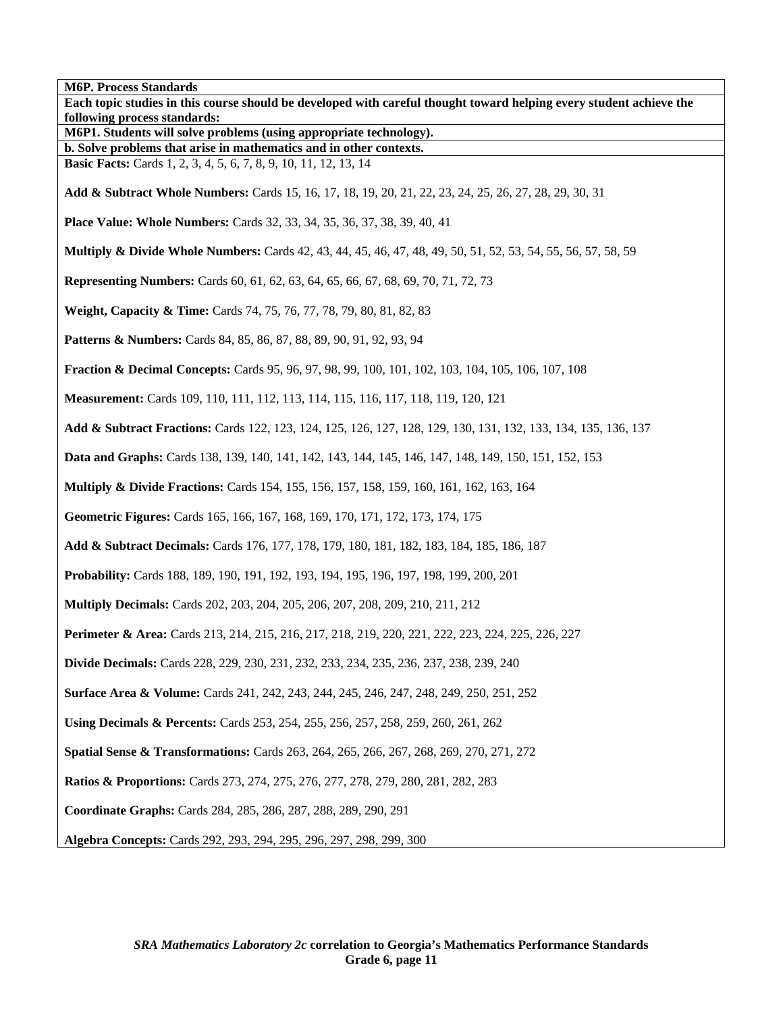**M6P. Process Standards Each topic studies in this course should be developed with careful thought toward helping every student achieve the following process standards: M6P1. Students will solve problems (using appropriate technology). b. Solve problems that arise in mathematics and in other contexts. Basic Facts:** Cards 1, 2, 3, 4, 5, 6, 7, 8, 9, 10, 11, 12, 13, 14 **Add & Subtract Whole Numbers:** Cards 15, 16, 17, 18, 19, 20, 21, 22, 23, 24, 25, 26, 27, 28, 29, 30, 31 **Place Value: Whole Numbers:** Cards 32, 33, 34, 35, 36, 37, 38, 39, 40, 41 **Multiply & Divide Whole Numbers:** Cards 42, 43, 44, 45, 46, 47, 48, 49, 50, 51, 52, 53, 54, 55, 56, 57, 58, 59 **Representing Numbers:** Cards 60, 61, 62, 63, 64, 65, 66, 67, 68, 69, 70, 71, 72, 73 **Weight, Capacity & Time:** Cards 74, 75, 76, 77, 78, 79, 80, 81, 82, 83 **Patterns & Numbers:** Cards 84, 85, 86, 87, 88, 89, 90, 91, 92, 93, 94 **Fraction & Decimal Concepts:** Cards 95, 96, 97, 98, 99, 100, 101, 102, 103, 104, 105, 106, 107, 108 **Measurement:** Cards 109, 110, 111, 112, 113, 114, 115, 116, 117, 118, 119, 120, 121 **Add & Subtract Fractions:** Cards 122, 123, 124, 125, 126, 127, 128, 129, 130, 131, 132, 133, 134, 135, 136, 137 **Data and Graphs:** Cards 138, 139, 140, 141, 142, 143, 144, 145, 146, 147, 148, 149, 150, 151, 152, 153 **Multiply & Divide Fractions:** Cards 154, 155, 156, 157, 158, 159, 160, 161, 162, 163, 164 **Geometric Figures:** Cards 165, 166, 167, 168, 169, 170, 171, 172, 173, 174, 175 **Add & Subtract Decimals:** Cards 176, 177, 178, 179, 180, 181, 182, 183, 184, 185, 186, 187 **Probability:** Cards 188, 189, 190, 191, 192, 193, 194, 195, 196, 197, 198, 199, 200, 201 **Multiply Decimals:** Cards 202, 203, 204, 205, 206, 207, 208, 209, 210, 211, 212 **Perimeter & Area:** Cards 213, 214, 215, 216, 217, 218, 219, 220, 221, 222, 223, 224, 225, 226, 227 **Divide Decimals:** Cards 228, 229, 230, 231, 232, 233, 234, 235, 236, 237, 238, 239, 240 **Surface Area & Volume:** Cards 241, 242, 243, 244, 245, 246, 247, 248, 249, 250, 251, 252 **Using Decimals & Percents:** Cards 253, 254, 255, 256, 257, 258, 259, 260, 261, 262 **Spatial Sense & Transformations:** Cards 263, 264, 265, 266, 267, 268, 269, 270, 271, 272 **Ratios & Proportions:** Cards 273, 274, 275, 276, 277, 278, 279, 280, 281, 282, 283 **Coordinate Graphs:** Cards 284, 285, 286, 287, 288, 289, 290, 291 **Algebra Concepts:** Cards 292, 293, 294, 295, 296, 297, 298, 299, 300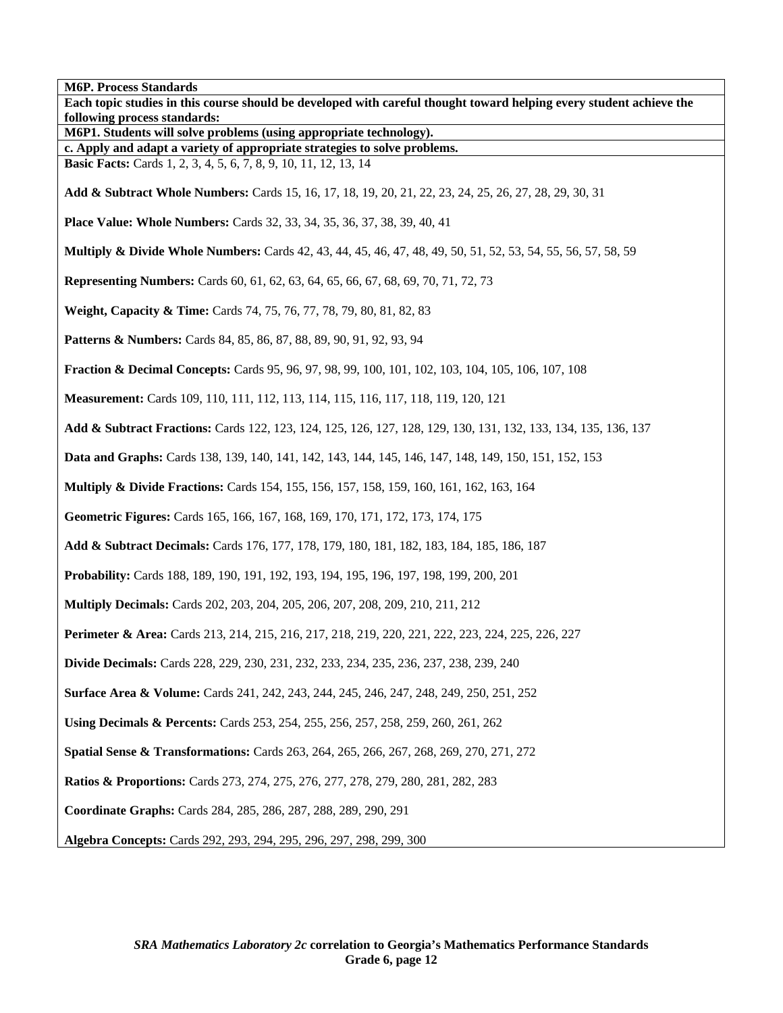**M6P. Process Standards Each topic studies in this course should be developed with careful thought toward helping every student achieve the following process standards: M6P1. Students will solve problems (using appropriate technology). c. Apply and adapt a variety of appropriate strategies to solve problems. Basic Facts:** Cards 1, 2, 3, 4, 5, 6, 7, 8, 9, 10, 11, 12, 13, 14 **Add & Subtract Whole Numbers:** Cards 15, 16, 17, 18, 19, 20, 21, 22, 23, 24, 25, 26, 27, 28, 29, 30, 31 **Place Value: Whole Numbers:** Cards 32, 33, 34, 35, 36, 37, 38, 39, 40, 41 **Multiply & Divide Whole Numbers:** Cards 42, 43, 44, 45, 46, 47, 48, 49, 50, 51, 52, 53, 54, 55, 56, 57, 58, 59 **Representing Numbers:** Cards 60, 61, 62, 63, 64, 65, 66, 67, 68, 69, 70, 71, 72, 73 **Weight, Capacity & Time:** Cards 74, 75, 76, 77, 78, 79, 80, 81, 82, 83 **Patterns & Numbers:** Cards 84, 85, 86, 87, 88, 89, 90, 91, 92, 93, 94 **Fraction & Decimal Concepts:** Cards 95, 96, 97, 98, 99, 100, 101, 102, 103, 104, 105, 106, 107, 108 **Measurement:** Cards 109, 110, 111, 112, 113, 114, 115, 116, 117, 118, 119, 120, 121 **Add & Subtract Fractions:** Cards 122, 123, 124, 125, 126, 127, 128, 129, 130, 131, 132, 133, 134, 135, 136, 137 **Data and Graphs:** Cards 138, 139, 140, 141, 142, 143, 144, 145, 146, 147, 148, 149, 150, 151, 152, 153 **Multiply & Divide Fractions:** Cards 154, 155, 156, 157, 158, 159, 160, 161, 162, 163, 164 **Geometric Figures:** Cards 165, 166, 167, 168, 169, 170, 171, 172, 173, 174, 175 **Add & Subtract Decimals:** Cards 176, 177, 178, 179, 180, 181, 182, 183, 184, 185, 186, 187 **Probability:** Cards 188, 189, 190, 191, 192, 193, 194, 195, 196, 197, 198, 199, 200, 201 **Multiply Decimals:** Cards 202, 203, 204, 205, 206, 207, 208, 209, 210, 211, 212 **Perimeter & Area:** Cards 213, 214, 215, 216, 217, 218, 219, 220, 221, 222, 223, 224, 225, 226, 227 **Divide Decimals:** Cards 228, 229, 230, 231, 232, 233, 234, 235, 236, 237, 238, 239, 240 **Surface Area & Volume:** Cards 241, 242, 243, 244, 245, 246, 247, 248, 249, 250, 251, 252 **Using Decimals & Percents:** Cards 253, 254, 255, 256, 257, 258, 259, 260, 261, 262 **Spatial Sense & Transformations:** Cards 263, 264, 265, 266, 267, 268, 269, 270, 271, 272 **Ratios & Proportions:** Cards 273, 274, 275, 276, 277, 278, 279, 280, 281, 282, 283 **Coordinate Graphs:** Cards 284, 285, 286, 287, 288, 289, 290, 291

**Algebra Concepts:** Cards 292, 293, 294, 295, 296, 297, 298, 299, 300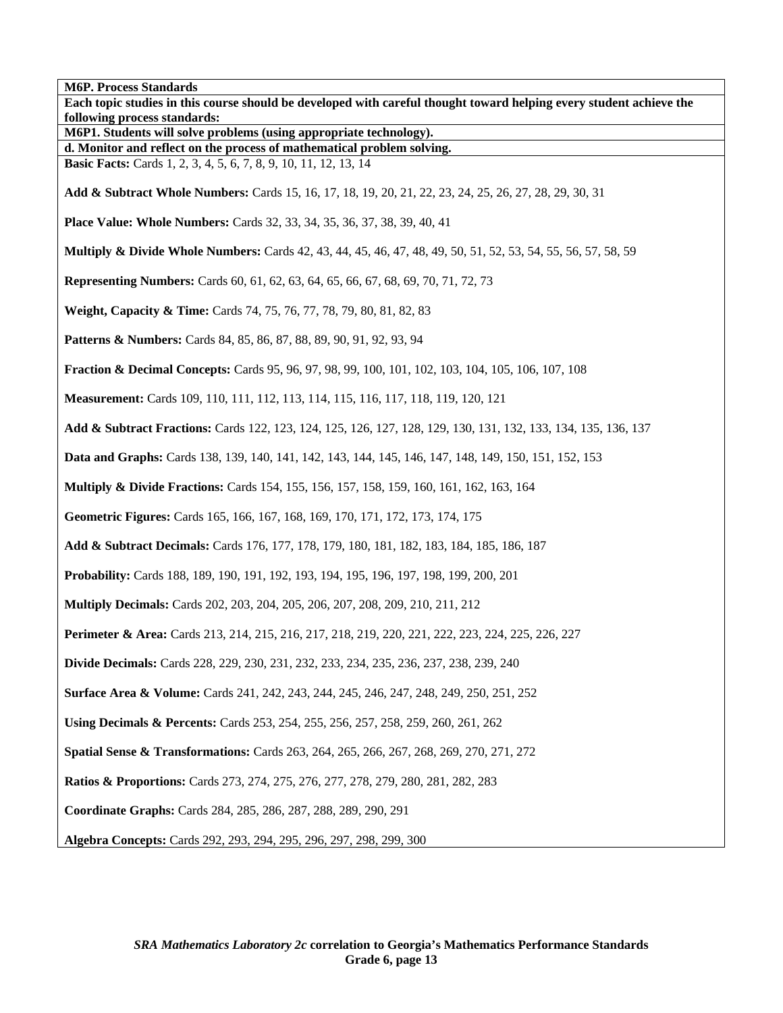**M6P. Process Standards Each topic studies in this course should be developed with careful thought toward helping every student achieve the following process standards: M6P1. Students will solve problems (using appropriate technology). d. Monitor and reflect on the process of mathematical problem solving. Basic Facts:** Cards 1, 2, 3, 4, 5, 6, 7, 8, 9, 10, 11, 12, 13, 14 **Add & Subtract Whole Numbers:** Cards 15, 16, 17, 18, 19, 20, 21, 22, 23, 24, 25, 26, 27, 28, 29, 30, 31 **Place Value: Whole Numbers:** Cards 32, 33, 34, 35, 36, 37, 38, 39, 40, 41 **Multiply & Divide Whole Numbers:** Cards 42, 43, 44, 45, 46, 47, 48, 49, 50, 51, 52, 53, 54, 55, 56, 57, 58, 59 **Representing Numbers:** Cards 60, 61, 62, 63, 64, 65, 66, 67, 68, 69, 70, 71, 72, 73 **Weight, Capacity & Time:** Cards 74, 75, 76, 77, 78, 79, 80, 81, 82, 83 **Patterns & Numbers:** Cards 84, 85, 86, 87, 88, 89, 90, 91, 92, 93, 94 **Fraction & Decimal Concepts:** Cards 95, 96, 97, 98, 99, 100, 101, 102, 103, 104, 105, 106, 107, 108 **Measurement:** Cards 109, 110, 111, 112, 113, 114, 115, 116, 117, 118, 119, 120, 121 **Add & Subtract Fractions:** Cards 122, 123, 124, 125, 126, 127, 128, 129, 130, 131, 132, 133, 134, 135, 136, 137 **Data and Graphs:** Cards 138, 139, 140, 141, 142, 143, 144, 145, 146, 147, 148, 149, 150, 151, 152, 153 **Multiply & Divide Fractions:** Cards 154, 155, 156, 157, 158, 159, 160, 161, 162, 163, 164 **Geometric Figures:** Cards 165, 166, 167, 168, 169, 170, 171, 172, 173, 174, 175 **Add & Subtract Decimals:** Cards 176, 177, 178, 179, 180, 181, 182, 183, 184, 185, 186, 187 **Probability:** Cards 188, 189, 190, 191, 192, 193, 194, 195, 196, 197, 198, 199, 200, 201 **Multiply Decimals:** Cards 202, 203, 204, 205, 206, 207, 208, 209, 210, 211, 212 **Perimeter & Area:** Cards 213, 214, 215, 216, 217, 218, 219, 220, 221, 222, 223, 224, 225, 226, 227 **Divide Decimals:** Cards 228, 229, 230, 231, 232, 233, 234, 235, 236, 237, 238, 239, 240 **Surface Area & Volume:** Cards 241, 242, 243, 244, 245, 246, 247, 248, 249, 250, 251, 252 **Using Decimals & Percents:** Cards 253, 254, 255, 256, 257, 258, 259, 260, 261, 262 **Spatial Sense & Transformations:** Cards 263, 264, 265, 266, 267, 268, 269, 270, 271, 272 **Ratios & Proportions:** Cards 273, 274, 275, 276, 277, 278, 279, 280, 281, 282, 283 **Coordinate Graphs:** Cards 284, 285, 286, 287, 288, 289, 290, 291 **Algebra Concepts:** Cards 292, 293, 294, 295, 296, 297, 298, 299, 300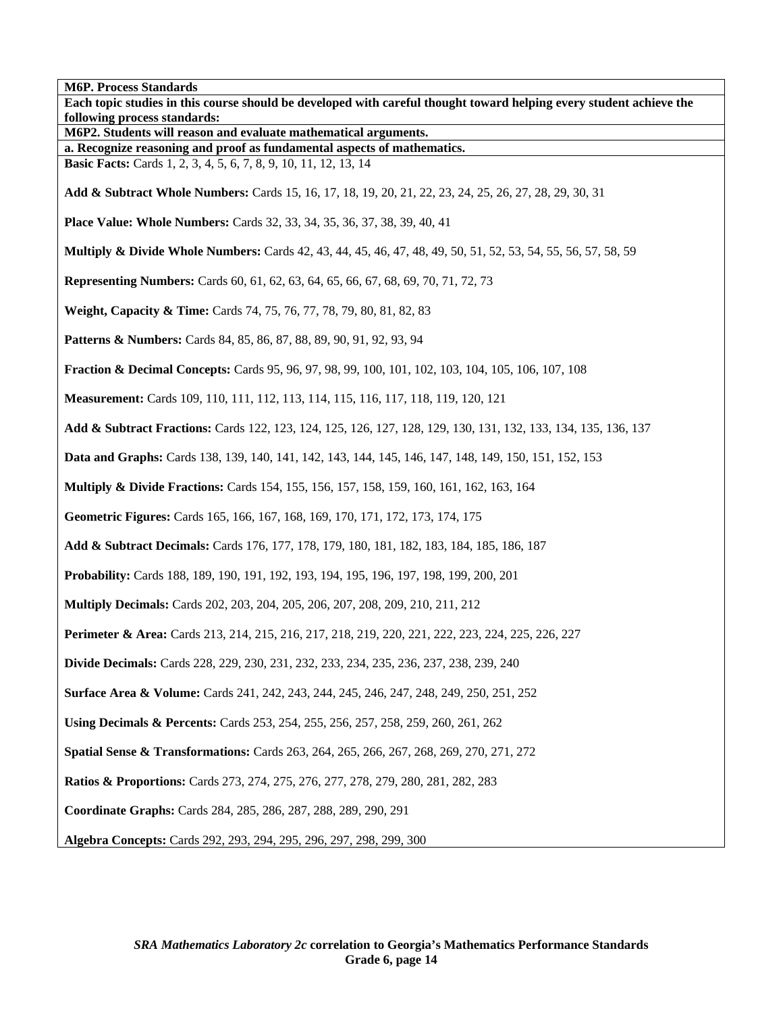**M6P. Process Standards Each topic studies in this course should be developed with careful thought toward helping every student achieve the following process standards: M6P2. Students will reason and evaluate mathematical arguments. a. Recognize reasoning and proof as fundamental aspects of mathematics. Basic Facts:** Cards 1, 2, 3, 4, 5, 6, 7, 8, 9, 10, 11, 12, 13, 14 **Add & Subtract Whole Numbers:** Cards 15, 16, 17, 18, 19, 20, 21, 22, 23, 24, 25, 26, 27, 28, 29, 30, 31 **Place Value: Whole Numbers:** Cards 32, 33, 34, 35, 36, 37, 38, 39, 40, 41 **Multiply & Divide Whole Numbers:** Cards 42, 43, 44, 45, 46, 47, 48, 49, 50, 51, 52, 53, 54, 55, 56, 57, 58, 59 **Representing Numbers:** Cards 60, 61, 62, 63, 64, 65, 66, 67, 68, 69, 70, 71, 72, 73 **Weight, Capacity & Time:** Cards 74, 75, 76, 77, 78, 79, 80, 81, 82, 83 **Patterns & Numbers:** Cards 84, 85, 86, 87, 88, 89, 90, 91, 92, 93, 94 **Fraction & Decimal Concepts:** Cards 95, 96, 97, 98, 99, 100, 101, 102, 103, 104, 105, 106, 107, 108 **Measurement:** Cards 109, 110, 111, 112, 113, 114, 115, 116, 117, 118, 119, 120, 121 **Add & Subtract Fractions:** Cards 122, 123, 124, 125, 126, 127, 128, 129, 130, 131, 132, 133, 134, 135, 136, 137 **Data and Graphs:** Cards 138, 139, 140, 141, 142, 143, 144, 145, 146, 147, 148, 149, 150, 151, 152, 153 **Multiply & Divide Fractions:** Cards 154, 155, 156, 157, 158, 159, 160, 161, 162, 163, 164 **Geometric Figures:** Cards 165, 166, 167, 168, 169, 170, 171, 172, 173, 174, 175 **Add & Subtract Decimals:** Cards 176, 177, 178, 179, 180, 181, 182, 183, 184, 185, 186, 187 **Probability:** Cards 188, 189, 190, 191, 192, 193, 194, 195, 196, 197, 198, 199, 200, 201 **Multiply Decimals:** Cards 202, 203, 204, 205, 206, 207, 208, 209, 210, 211, 212 **Perimeter & Area:** Cards 213, 214, 215, 216, 217, 218, 219, 220, 221, 222, 223, 224, 225, 226, 227 **Divide Decimals:** Cards 228, 229, 230, 231, 232, 233, 234, 235, 236, 237, 238, 239, 240 **Surface Area & Volume:** Cards 241, 242, 243, 244, 245, 246, 247, 248, 249, 250, 251, 252 **Using Decimals & Percents:** Cards 253, 254, 255, 256, 257, 258, 259, 260, 261, 262 **Spatial Sense & Transformations:** Cards 263, 264, 265, 266, 267, 268, 269, 270, 271, 272 **Ratios & Proportions:** Cards 273, 274, 275, 276, 277, 278, 279, 280, 281, 282, 283 **Coordinate Graphs:** Cards 284, 285, 286, 287, 288, 289, 290, 291 **Algebra Concepts:** Cards 292, 293, 294, 295, 296, 297, 298, 299, 300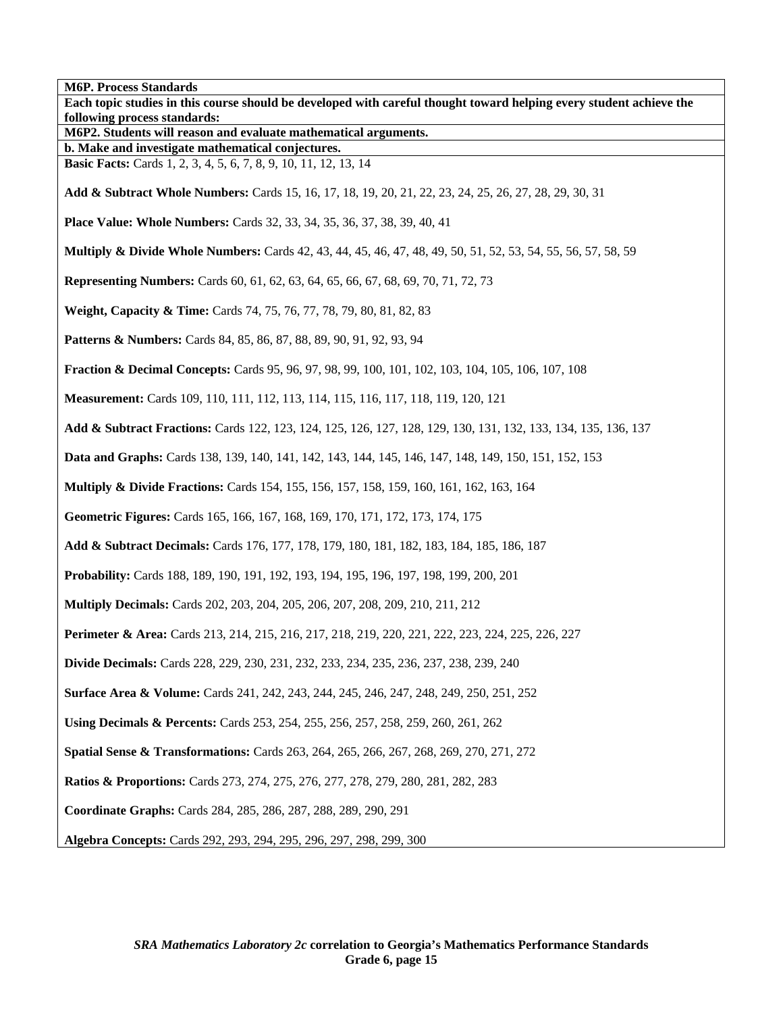**M6P. Process Standards Each topic studies in this course should be developed with careful thought toward helping every student achieve the following process standards: M6P2. Students will reason and evaluate mathematical arguments. b. Make and investigate mathematical conjectures. Basic Facts:** Cards 1, 2, 3, 4, 5, 6, 7, 8, 9, 10, 11, 12, 13, 14 **Add & Subtract Whole Numbers:** Cards 15, 16, 17, 18, 19, 20, 21, 22, 23, 24, 25, 26, 27, 28, 29, 30, 31 **Place Value: Whole Numbers:** Cards 32, 33, 34, 35, 36, 37, 38, 39, 40, 41 **Multiply & Divide Whole Numbers:** Cards 42, 43, 44, 45, 46, 47, 48, 49, 50, 51, 52, 53, 54, 55, 56, 57, 58, 59 **Representing Numbers:** Cards 60, 61, 62, 63, 64, 65, 66, 67, 68, 69, 70, 71, 72, 73 **Weight, Capacity & Time:** Cards 74, 75, 76, 77, 78, 79, 80, 81, 82, 83 **Patterns & Numbers:** Cards 84, 85, 86, 87, 88, 89, 90, 91, 92, 93, 94 **Fraction & Decimal Concepts:** Cards 95, 96, 97, 98, 99, 100, 101, 102, 103, 104, 105, 106, 107, 108 **Measurement:** Cards 109, 110, 111, 112, 113, 114, 115, 116, 117, 118, 119, 120, 121 **Add & Subtract Fractions:** Cards 122, 123, 124, 125, 126, 127, 128, 129, 130, 131, 132, 133, 134, 135, 136, 137 **Data and Graphs:** Cards 138, 139, 140, 141, 142, 143, 144, 145, 146, 147, 148, 149, 150, 151, 152, 153 **Multiply & Divide Fractions:** Cards 154, 155, 156, 157, 158, 159, 160, 161, 162, 163, 164 **Geometric Figures:** Cards 165, 166, 167, 168, 169, 170, 171, 172, 173, 174, 175 **Add & Subtract Decimals:** Cards 176, 177, 178, 179, 180, 181, 182, 183, 184, 185, 186, 187 **Probability:** Cards 188, 189, 190, 191, 192, 193, 194, 195, 196, 197, 198, 199, 200, 201 **Multiply Decimals:** Cards 202, 203, 204, 205, 206, 207, 208, 209, 210, 211, 212 **Perimeter & Area:** Cards 213, 214, 215, 216, 217, 218, 219, 220, 221, 222, 223, 224, 225, 226, 227 **Divide Decimals:** Cards 228, 229, 230, 231, 232, 233, 234, 235, 236, 237, 238, 239, 240 **Surface Area & Volume:** Cards 241, 242, 243, 244, 245, 246, 247, 248, 249, 250, 251, 252 **Using Decimals & Percents:** Cards 253, 254, 255, 256, 257, 258, 259, 260, 261, 262 **Spatial Sense & Transformations:** Cards 263, 264, 265, 266, 267, 268, 269, 270, 271, 272 **Ratios & Proportions:** Cards 273, 274, 275, 276, 277, 278, 279, 280, 281, 282, 283 **Coordinate Graphs:** Cards 284, 285, 286, 287, 288, 289, 290, 291 **Algebra Concepts:** Cards 292, 293, 294, 295, 296, 297, 298, 299, 300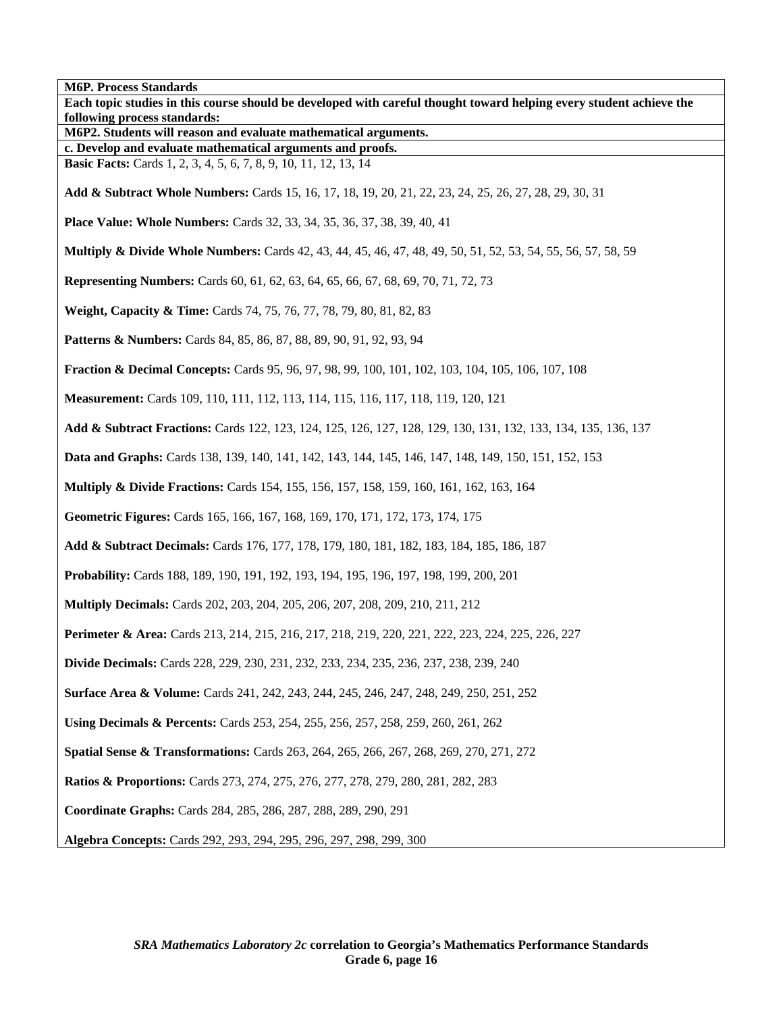**M6P. Process Standards Each topic studies in this course should be developed with careful thought toward helping every student achieve the following process standards: M6P2. Students will reason and evaluate mathematical arguments. c. Develop and evaluate mathematical arguments and proofs. Basic Facts:** Cards 1, 2, 3, 4, 5, 6, 7, 8, 9, 10, 11, 12, 13, 14 **Add & Subtract Whole Numbers:** Cards 15, 16, 17, 18, 19, 20, 21, 22, 23, 24, 25, 26, 27, 28, 29, 30, 31 **Place Value: Whole Numbers:** Cards 32, 33, 34, 35, 36, 37, 38, 39, 40, 41 **Multiply & Divide Whole Numbers:** Cards 42, 43, 44, 45, 46, 47, 48, 49, 50, 51, 52, 53, 54, 55, 56, 57, 58, 59 **Representing Numbers:** Cards 60, 61, 62, 63, 64, 65, 66, 67, 68, 69, 70, 71, 72, 73 **Weight, Capacity & Time:** Cards 74, 75, 76, 77, 78, 79, 80, 81, 82, 83 **Patterns & Numbers:** Cards 84, 85, 86, 87, 88, 89, 90, 91, 92, 93, 94 **Fraction & Decimal Concepts:** Cards 95, 96, 97, 98, 99, 100, 101, 102, 103, 104, 105, 106, 107, 108 **Measurement:** Cards 109, 110, 111, 112, 113, 114, 115, 116, 117, 118, 119, 120, 121 **Add & Subtract Fractions:** Cards 122, 123, 124, 125, 126, 127, 128, 129, 130, 131, 132, 133, 134, 135, 136, 137 **Data and Graphs:** Cards 138, 139, 140, 141, 142, 143, 144, 145, 146, 147, 148, 149, 150, 151, 152, 153 **Multiply & Divide Fractions:** Cards 154, 155, 156, 157, 158, 159, 160, 161, 162, 163, 164 **Geometric Figures:** Cards 165, 166, 167, 168, 169, 170, 171, 172, 173, 174, 175 **Add & Subtract Decimals:** Cards 176, 177, 178, 179, 180, 181, 182, 183, 184, 185, 186, 187 **Probability:** Cards 188, 189, 190, 191, 192, 193, 194, 195, 196, 197, 198, 199, 200, 201 **Multiply Decimals:** Cards 202, 203, 204, 205, 206, 207, 208, 209, 210, 211, 212 **Perimeter & Area:** Cards 213, 214, 215, 216, 217, 218, 219, 220, 221, 222, 223, 224, 225, 226, 227 **Divide Decimals:** Cards 228, 229, 230, 231, 232, 233, 234, 235, 236, 237, 238, 239, 240 **Surface Area & Volume:** Cards 241, 242, 243, 244, 245, 246, 247, 248, 249, 250, 251, 252 **Using Decimals & Percents:** Cards 253, 254, 255, 256, 257, 258, 259, 260, 261, 262 **Spatial Sense & Transformations:** Cards 263, 264, 265, 266, 267, 268, 269, 270, 271, 272 **Ratios & Proportions:** Cards 273, 274, 275, 276, 277, 278, 279, 280, 281, 282, 283 **Coordinate Graphs:** Cards 284, 285, 286, 287, 288, 289, 290, 291 **Algebra Concepts:** Cards 292, 293, 294, 295, 296, 297, 298, 299, 300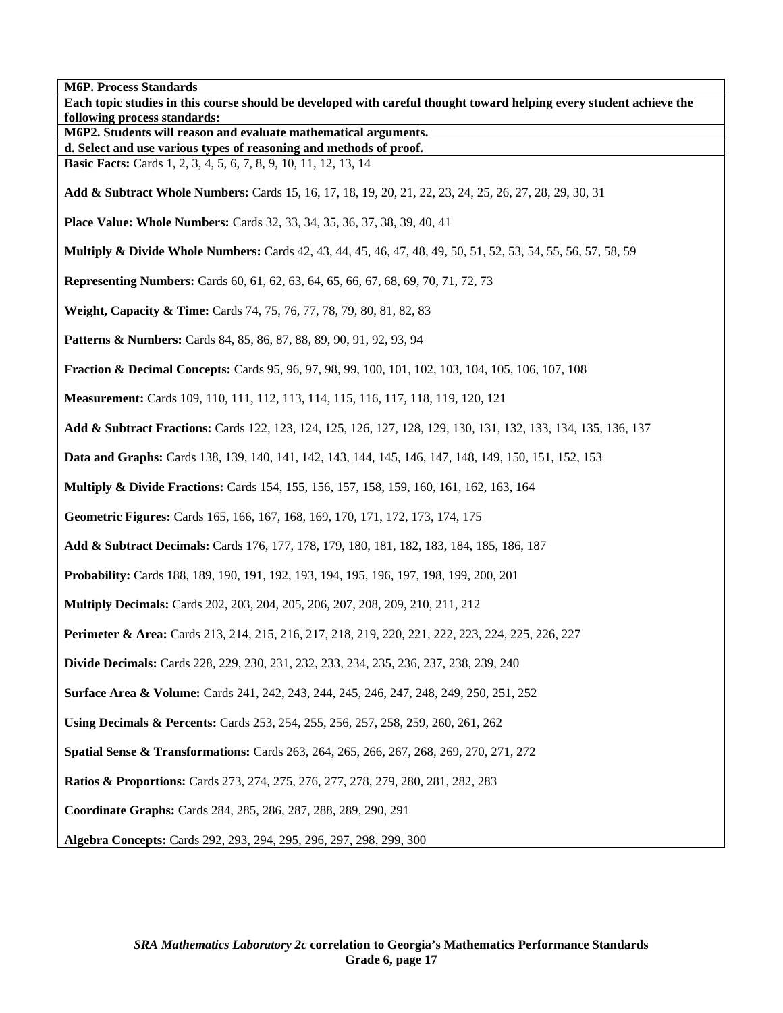**M6P. Process Standards** 

| ivior. Ffocess Standarus<br>Each topic studies in this course should be developed with careful thought toward helping every student achieve the |
|-------------------------------------------------------------------------------------------------------------------------------------------------|
| following process standards:<br>M6P2. Students will reason and evaluate mathematical arguments.                                                 |
| d. Select and use various types of reasoning and methods of proof.                                                                              |
| <b>Basic Facts:</b> Cards 1, 2, 3, 4, 5, 6, 7, 8, 9, 10, 11, 12, 13, 14                                                                         |
| Add & Subtract Whole Numbers: Cards 15, 16, 17, 18, 19, 20, 21, 22, 23, 24, 25, 26, 27, 28, 29, 30, 31                                          |
| Place Value: Whole Numbers: Cards 32, 33, 34, 35, 36, 37, 38, 39, 40, 41                                                                        |
| <b>Multiply &amp; Divide Whole Numbers:</b> Cards 42, 43, 44, 45, 46, 47, 48, 49, 50, 51, 52, 53, 54, 55, 56, 57, 58, 59                        |
| <b>Representing Numbers:</b> Cards 60, 61, 62, 63, 64, 65, 66, 67, 68, 69, 70, 71, 72, 73                                                       |
| Weight, Capacity & Time: Cards 74, 75, 76, 77, 78, 79, 80, 81, 82, 83                                                                           |
| <b>Patterns &amp; Numbers:</b> Cards 84, 85, 86, 87, 88, 89, 90, 91, 92, 93, 94                                                                 |
| <b>Fraction &amp; Decimal Concepts:</b> Cards 95, 96, 97, 98, 99, 100, 101, 102, 103, 104, 105, 106, 107, 108                                   |
| Measurement: Cards 109, 110, 111, 112, 113, 114, 115, 116, 117, 118, 119, 120, 121                                                              |
| Add & Subtract Fractions: Cards 122, 123, 124, 125, 126, 127, 128, 129, 130, 131, 132, 133, 134, 135, 136, 137                                  |
| Data and Graphs: Cards 138, 139, 140, 141, 142, 143, 144, 145, 146, 147, 148, 149, 150, 151, 152, 153                                           |
| <b>Multiply &amp; Divide Fractions:</b> Cards 154, 155, 156, 157, 158, 159, 160, 161, 162, 163, 164                                             |
| Geometric Figures: Cards 165, 166, 167, 168, 169, 170, 171, 172, 173, 174, 175                                                                  |
| Add & Subtract Decimals: Cards 176, 177, 178, 179, 180, 181, 182, 183, 184, 185, 186, 187                                                       |
| Probability: Cards 188, 189, 190, 191, 192, 193, 194, 195, 196, 197, 198, 199, 200, 201                                                         |
| Multiply Decimals: Cards 202, 203, 204, 205, 206, 207, 208, 209, 210, 211, 212                                                                  |
| Perimeter & Area: Cards 213, 214, 215, 216, 217, 218, 219, 220, 221, 222, 223, 224, 225, 226, 227                                               |
| Divide Decimals: Cards 228, 229, 230, 231, 232, 233, 234, 235, 236, 237, 238, 239, 240                                                          |
| <b>Surface Area &amp; Volume:</b> Cards 241, 242, 243, 244, 245, 246, 247, 248, 249, 250, 251, 252                                              |
| Using Decimals & Percents: Cards 253, 254, 255, 256, 257, 258, 259, 260, 261, 262                                                               |
| <b>Spatial Sense &amp; Transformations:</b> Cards 263, 264, 265, 266, 267, 268, 269, 270, 271, 272                                              |
| <b>Ratios &amp; Proportions:</b> Cards 273, 274, 275, 276, 277, 278, 279, 280, 281, 282, 283                                                    |
| Coordinate Graphs: Cards 284, 285, 286, 287, 288, 289, 290, 291                                                                                 |
| Algebra Concepts: Cards 292, 293, 294, 295, 296, 297, 298, 299, 300                                                                             |

٦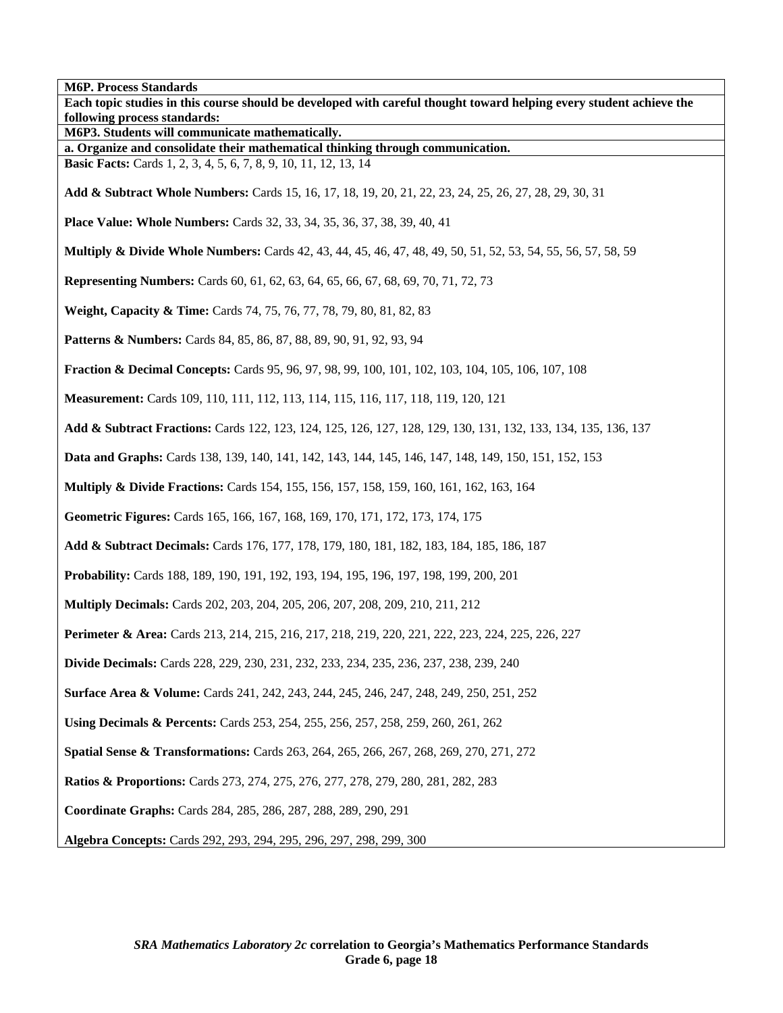**M6P. Process Standards Each topic studies in this course should be developed with careful thought toward helping every student achieve the following process standards: M6P3. Students will communicate mathematically. a. Organize and consolidate their mathematical thinking through communication. Basic Facts:** Cards 1, 2, 3, 4, 5, 6, 7, 8, 9, 10, 11, 12, 13, 14 **Add & Subtract Whole Numbers:** Cards 15, 16, 17, 18, 19, 20, 21, 22, 23, 24, 25, 26, 27, 28, 29, 30, 31 **Place Value: Whole Numbers:** Cards 32, 33, 34, 35, 36, 37, 38, 39, 40, 41 **Multiply & Divide Whole Numbers:** Cards 42, 43, 44, 45, 46, 47, 48, 49, 50, 51, 52, 53, 54, 55, 56, 57, 58, 59 **Representing Numbers:** Cards 60, 61, 62, 63, 64, 65, 66, 67, 68, 69, 70, 71, 72, 73 **Weight, Capacity & Time:** Cards 74, 75, 76, 77, 78, 79, 80, 81, 82, 83 **Patterns & Numbers:** Cards 84, 85, 86, 87, 88, 89, 90, 91, 92, 93, 94 **Fraction & Decimal Concepts:** Cards 95, 96, 97, 98, 99, 100, 101, 102, 103, 104, 105, 106, 107, 108 **Measurement:** Cards 109, 110, 111, 112, 113, 114, 115, 116, 117, 118, 119, 120, 121 **Add & Subtract Fractions:** Cards 122, 123, 124, 125, 126, 127, 128, 129, 130, 131, 132, 133, 134, 135, 136, 137 **Data and Graphs:** Cards 138, 139, 140, 141, 142, 143, 144, 145, 146, 147, 148, 149, 150, 151, 152, 153 **Multiply & Divide Fractions:** Cards 154, 155, 156, 157, 158, 159, 160, 161, 162, 163, 164 **Geometric Figures:** Cards 165, 166, 167, 168, 169, 170, 171, 172, 173, 174, 175 **Add & Subtract Decimals:** Cards 176, 177, 178, 179, 180, 181, 182, 183, 184, 185, 186, 187 **Probability:** Cards 188, 189, 190, 191, 192, 193, 194, 195, 196, 197, 198, 199, 200, 201 **Multiply Decimals:** Cards 202, 203, 204, 205, 206, 207, 208, 209, 210, 211, 212 **Perimeter & Area:** Cards 213, 214, 215, 216, 217, 218, 219, 220, 221, 222, 223, 224, 225, 226, 227 **Divide Decimals:** Cards 228, 229, 230, 231, 232, 233, 234, 235, 236, 237, 238, 239, 240 **Surface Area & Volume:** Cards 241, 242, 243, 244, 245, 246, 247, 248, 249, 250, 251, 252 **Using Decimals & Percents:** Cards 253, 254, 255, 256, 257, 258, 259, 260, 261, 262 **Spatial Sense & Transformations:** Cards 263, 264, 265, 266, 267, 268, 269, 270, 271, 272 **Ratios & Proportions:** Cards 273, 274, 275, 276, 277, 278, 279, 280, 281, 282, 283 **Coordinate Graphs:** Cards 284, 285, 286, 287, 288, 289, 290, 291 **Algebra Concepts:** Cards 292, 293, 294, 295, 296, 297, 298, 299, 300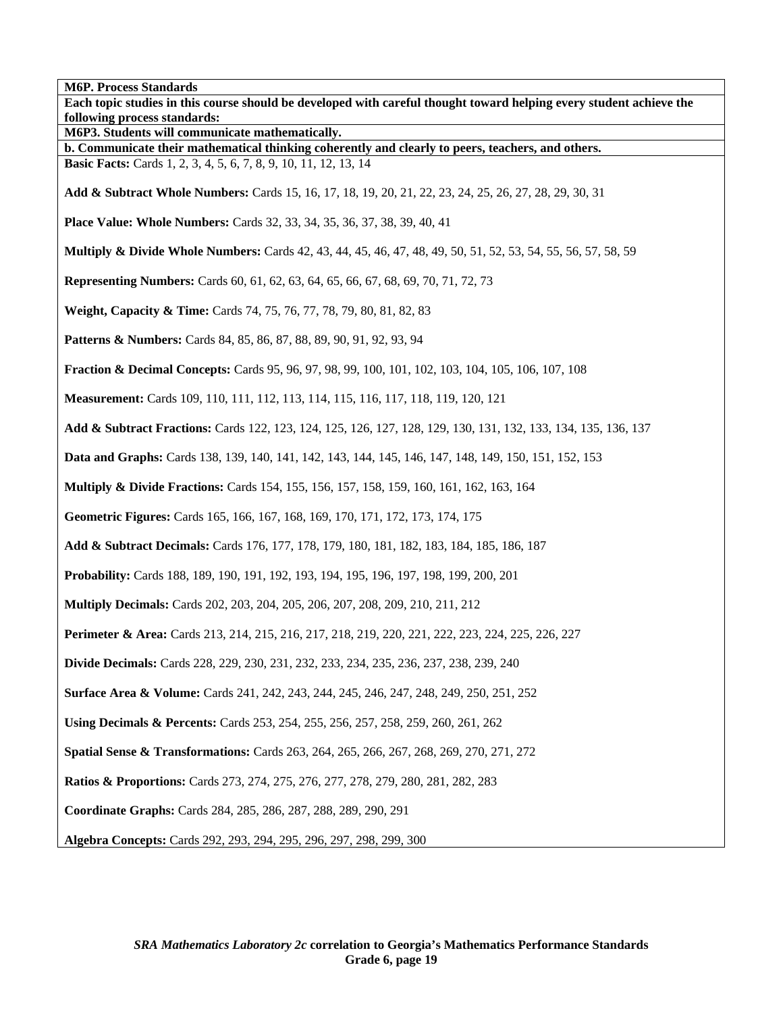**M6P. Process Standards Each topic studies in this course should be developed with careful thought toward helping every student achieve the following process standards: M6P3. Students will communicate mathematically. b. Communicate their mathematical thinking coherently and clearly to peers, teachers, and others. Basic Facts:** Cards 1, 2, 3, 4, 5, 6, 7, 8, 9, 10, 11, 12, 13, 14 **Add & Subtract Whole Numbers:** Cards 15, 16, 17, 18, 19, 20, 21, 22, 23, 24, 25, 26, 27, 28, 29, 30, 31 **Place Value: Whole Numbers:** Cards 32, 33, 34, 35, 36, 37, 38, 39, 40, 41 **Multiply & Divide Whole Numbers:** Cards 42, 43, 44, 45, 46, 47, 48, 49, 50, 51, 52, 53, 54, 55, 56, 57, 58, 59 **Representing Numbers:** Cards 60, 61, 62, 63, 64, 65, 66, 67, 68, 69, 70, 71, 72, 73 **Weight, Capacity & Time:** Cards 74, 75, 76, 77, 78, 79, 80, 81, 82, 83 **Patterns & Numbers:** Cards 84, 85, 86, 87, 88, 89, 90, 91, 92, 93, 94 **Fraction & Decimal Concepts:** Cards 95, 96, 97, 98, 99, 100, 101, 102, 103, 104, 105, 106, 107, 108 **Measurement:** Cards 109, 110, 111, 112, 113, 114, 115, 116, 117, 118, 119, 120, 121 **Add & Subtract Fractions:** Cards 122, 123, 124, 125, 126, 127, 128, 129, 130, 131, 132, 133, 134, 135, 136, 137 **Data and Graphs:** Cards 138, 139, 140, 141, 142, 143, 144, 145, 146, 147, 148, 149, 150, 151, 152, 153 **Multiply & Divide Fractions:** Cards 154, 155, 156, 157, 158, 159, 160, 161, 162, 163, 164 **Geometric Figures:** Cards 165, 166, 167, 168, 169, 170, 171, 172, 173, 174, 175 **Add & Subtract Decimals:** Cards 176, 177, 178, 179, 180, 181, 182, 183, 184, 185, 186, 187 **Probability:** Cards 188, 189, 190, 191, 192, 193, 194, 195, 196, 197, 198, 199, 200, 201 **Multiply Decimals:** Cards 202, 203, 204, 205, 206, 207, 208, 209, 210, 211, 212 **Perimeter & Area:** Cards 213, 214, 215, 216, 217, 218, 219, 220, 221, 222, 223, 224, 225, 226, 227 **Divide Decimals:** Cards 228, 229, 230, 231, 232, 233, 234, 235, 236, 237, 238, 239, 240 **Surface Area & Volume:** Cards 241, 242, 243, 244, 245, 246, 247, 248, 249, 250, 251, 252 **Using Decimals & Percents:** Cards 253, 254, 255, 256, 257, 258, 259, 260, 261, 262 **Spatial Sense & Transformations:** Cards 263, 264, 265, 266, 267, 268, 269, 270, 271, 272 **Ratios & Proportions:** Cards 273, 274, 275, 276, 277, 278, 279, 280, 281, 282, 283 **Coordinate Graphs:** Cards 284, 285, 286, 287, 288, 289, 290, 291 **Algebra Concepts:** Cards 292, 293, 294, 295, 296, 297, 298, 299, 300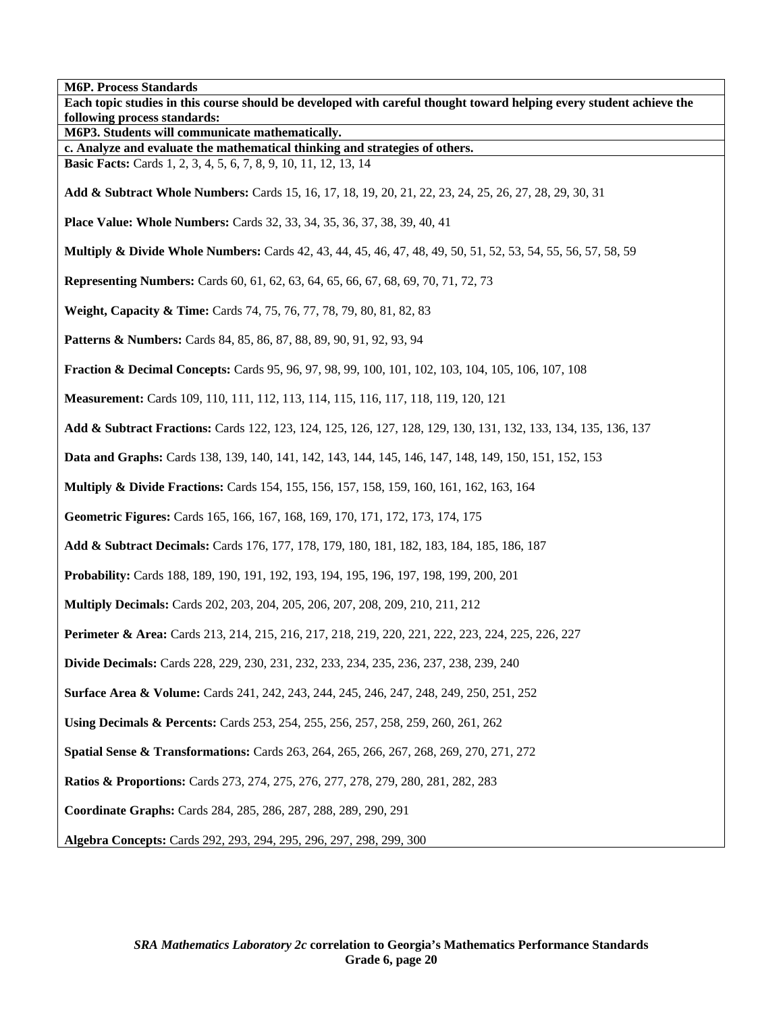**M6P. Process Standards Each topic studies in this course should be developed with careful thought toward helping every student achieve the following process standards: M6P3. Students will communicate mathematically. c. Analyze and evaluate the mathematical thinking and strategies of others. Basic Facts:** Cards 1, 2, 3, 4, 5, 6, 7, 8, 9, 10, 11, 12, 13, 14 **Add & Subtract Whole Numbers:** Cards 15, 16, 17, 18, 19, 20, 21, 22, 23, 24, 25, 26, 27, 28, 29, 30, 31 **Place Value: Whole Numbers:** Cards 32, 33, 34, 35, 36, 37, 38, 39, 40, 41 **Multiply & Divide Whole Numbers:** Cards 42, 43, 44, 45, 46, 47, 48, 49, 50, 51, 52, 53, 54, 55, 56, 57, 58, 59 **Representing Numbers:** Cards 60, 61, 62, 63, 64, 65, 66, 67, 68, 69, 70, 71, 72, 73 **Weight, Capacity & Time:** Cards 74, 75, 76, 77, 78, 79, 80, 81, 82, 83 **Patterns & Numbers:** Cards 84, 85, 86, 87, 88, 89, 90, 91, 92, 93, 94 **Fraction & Decimal Concepts:** Cards 95, 96, 97, 98, 99, 100, 101, 102, 103, 104, 105, 106, 107, 108 **Measurement:** Cards 109, 110, 111, 112, 113, 114, 115, 116, 117, 118, 119, 120, 121 **Add & Subtract Fractions:** Cards 122, 123, 124, 125, 126, 127, 128, 129, 130, 131, 132, 133, 134, 135, 136, 137 **Data and Graphs:** Cards 138, 139, 140, 141, 142, 143, 144, 145, 146, 147, 148, 149, 150, 151, 152, 153 **Multiply & Divide Fractions:** Cards 154, 155, 156, 157, 158, 159, 160, 161, 162, 163, 164 **Geometric Figures:** Cards 165, 166, 167, 168, 169, 170, 171, 172, 173, 174, 175 **Add & Subtract Decimals:** Cards 176, 177, 178, 179, 180, 181, 182, 183, 184, 185, 186, 187 **Probability:** Cards 188, 189, 190, 191, 192, 193, 194, 195, 196, 197, 198, 199, 200, 201 **Multiply Decimals:** Cards 202, 203, 204, 205, 206, 207, 208, 209, 210, 211, 212 **Perimeter & Area:** Cards 213, 214, 215, 216, 217, 218, 219, 220, 221, 222, 223, 224, 225, 226, 227 **Divide Decimals:** Cards 228, 229, 230, 231, 232, 233, 234, 235, 236, 237, 238, 239, 240 **Surface Area & Volume:** Cards 241, 242, 243, 244, 245, 246, 247, 248, 249, 250, 251, 252 **Using Decimals & Percents:** Cards 253, 254, 255, 256, 257, 258, 259, 260, 261, 262 **Spatial Sense & Transformations:** Cards 263, 264, 265, 266, 267, 268, 269, 270, 271, 272 **Ratios & Proportions:** Cards 273, 274, 275, 276, 277, 278, 279, 280, 281, 282, 283 **Coordinate Graphs:** Cards 284, 285, 286, 287, 288, 289, 290, 291 **Algebra Concepts:** Cards 292, 293, 294, 295, 296, 297, 298, 299, 300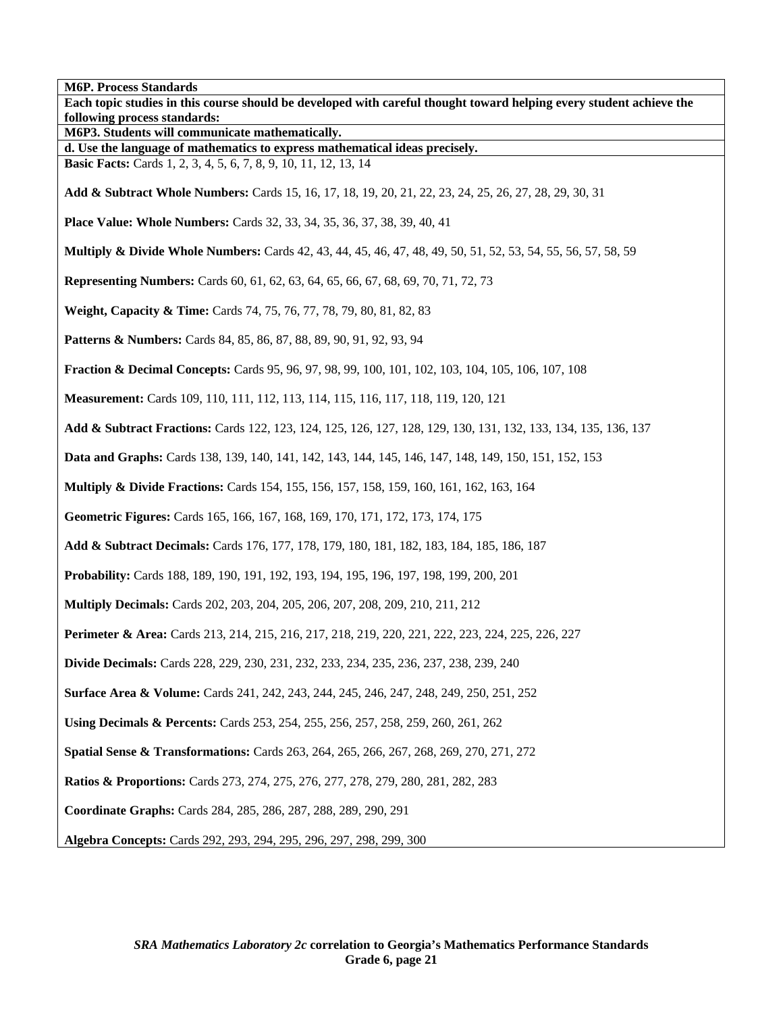**M6P. Process Standards Each topic studies in this course should be developed with careful thought toward helping every student achieve the following process standards: M6P3. Students will communicate mathematically. d. Use the language of mathematics to express mathematical ideas precisely. Basic Facts:** Cards 1, 2, 3, 4, 5, 6, 7, 8, 9, 10, 11, 12, 13, 14 **Add & Subtract Whole Numbers:** Cards 15, 16, 17, 18, 19, 20, 21, 22, 23, 24, 25, 26, 27, 28, 29, 30, 31 **Place Value: Whole Numbers:** Cards 32, 33, 34, 35, 36, 37, 38, 39, 40, 41 **Multiply & Divide Whole Numbers:** Cards 42, 43, 44, 45, 46, 47, 48, 49, 50, 51, 52, 53, 54, 55, 56, 57, 58, 59 **Representing Numbers:** Cards 60, 61, 62, 63, 64, 65, 66, 67, 68, 69, 70, 71, 72, 73 **Weight, Capacity & Time:** Cards 74, 75, 76, 77, 78, 79, 80, 81, 82, 83 **Patterns & Numbers:** Cards 84, 85, 86, 87, 88, 89, 90, 91, 92, 93, 94 **Fraction & Decimal Concepts:** Cards 95, 96, 97, 98, 99, 100, 101, 102, 103, 104, 105, 106, 107, 108 **Measurement:** Cards 109, 110, 111, 112, 113, 114, 115, 116, 117, 118, 119, 120, 121 **Add & Subtract Fractions:** Cards 122, 123, 124, 125, 126, 127, 128, 129, 130, 131, 132, 133, 134, 135, 136, 137 **Data and Graphs:** Cards 138, 139, 140, 141, 142, 143, 144, 145, 146, 147, 148, 149, 150, 151, 152, 153 **Multiply & Divide Fractions:** Cards 154, 155, 156, 157, 158, 159, 160, 161, 162, 163, 164 **Geometric Figures:** Cards 165, 166, 167, 168, 169, 170, 171, 172, 173, 174, 175 **Add & Subtract Decimals:** Cards 176, 177, 178, 179, 180, 181, 182, 183, 184, 185, 186, 187 **Probability:** Cards 188, 189, 190, 191, 192, 193, 194, 195, 196, 197, 198, 199, 200, 201 **Multiply Decimals:** Cards 202, 203, 204, 205, 206, 207, 208, 209, 210, 211, 212 **Perimeter & Area:** Cards 213, 214, 215, 216, 217, 218, 219, 220, 221, 222, 223, 224, 225, 226, 227 **Divide Decimals:** Cards 228, 229, 230, 231, 232, 233, 234, 235, 236, 237, 238, 239, 240 **Surface Area & Volume:** Cards 241, 242, 243, 244, 245, 246, 247, 248, 249, 250, 251, 252 **Using Decimals & Percents:** Cards 253, 254, 255, 256, 257, 258, 259, 260, 261, 262 **Spatial Sense & Transformations:** Cards 263, 264, 265, 266, 267, 268, 269, 270, 271, 272 **Ratios & Proportions:** Cards 273, 274, 275, 276, 277, 278, 279, 280, 281, 282, 283 **Coordinate Graphs:** Cards 284, 285, 286, 287, 288, 289, 290, 291 **Algebra Concepts:** Cards 292, 293, 294, 295, 296, 297, 298, 299, 300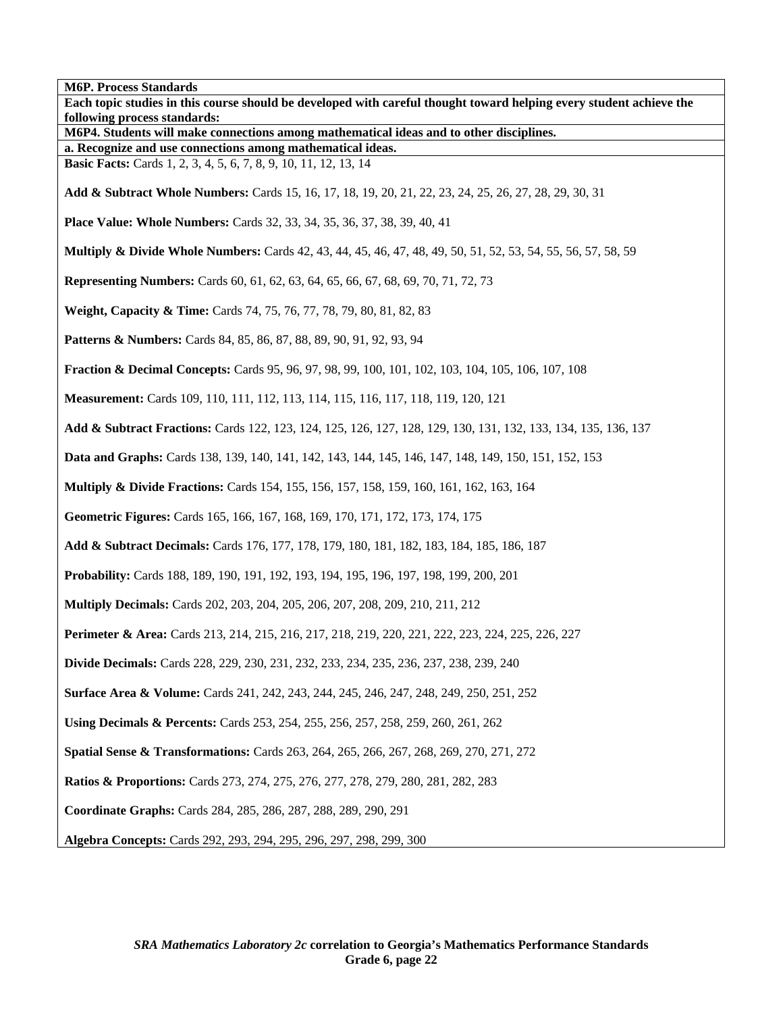**M6P. Process Standards Each topic studies in this course should be developed with careful thought toward helping every student achieve the following process standards: M6P4. Students will make connections among mathematical ideas and to other disciplines. a. Recognize and use connections among mathematical ideas. Basic Facts:** Cards 1, 2, 3, 4, 5, 6, 7, 8, 9, 10, 11, 12, 13, 14 **Add & Subtract Whole Numbers:** Cards 15, 16, 17, 18, 19, 20, 21, 22, 23, 24, 25, 26, 27, 28, 29, 30, 31 **Place Value: Whole Numbers:** Cards 32, 33, 34, 35, 36, 37, 38, 39, 40, 41 **Multiply & Divide Whole Numbers:** Cards 42, 43, 44, 45, 46, 47, 48, 49, 50, 51, 52, 53, 54, 55, 56, 57, 58, 59 **Representing Numbers:** Cards 60, 61, 62, 63, 64, 65, 66, 67, 68, 69, 70, 71, 72, 73 **Weight, Capacity & Time:** Cards 74, 75, 76, 77, 78, 79, 80, 81, 82, 83 **Patterns & Numbers:** Cards 84, 85, 86, 87, 88, 89, 90, 91, 92, 93, 94 **Fraction & Decimal Concepts:** Cards 95, 96, 97, 98, 99, 100, 101, 102, 103, 104, 105, 106, 107, 108 **Measurement:** Cards 109, 110, 111, 112, 113, 114, 115, 116, 117, 118, 119, 120, 121 **Add & Subtract Fractions:** Cards 122, 123, 124, 125, 126, 127, 128, 129, 130, 131, 132, 133, 134, 135, 136, 137 **Data and Graphs:** Cards 138, 139, 140, 141, 142, 143, 144, 145, 146, 147, 148, 149, 150, 151, 152, 153 **Multiply & Divide Fractions:** Cards 154, 155, 156, 157, 158, 159, 160, 161, 162, 163, 164 **Geometric Figures:** Cards 165, 166, 167, 168, 169, 170, 171, 172, 173, 174, 175 **Add & Subtract Decimals:** Cards 176, 177, 178, 179, 180, 181, 182, 183, 184, 185, 186, 187 **Probability:** Cards 188, 189, 190, 191, 192, 193, 194, 195, 196, 197, 198, 199, 200, 201 **Multiply Decimals:** Cards 202, 203, 204, 205, 206, 207, 208, 209, 210, 211, 212 **Perimeter & Area:** Cards 213, 214, 215, 216, 217, 218, 219, 220, 221, 222, 223, 224, 225, 226, 227 **Divide Decimals:** Cards 228, 229, 230, 231, 232, 233, 234, 235, 236, 237, 238, 239, 240 **Surface Area & Volume:** Cards 241, 242, 243, 244, 245, 246, 247, 248, 249, 250, 251, 252 **Using Decimals & Percents:** Cards 253, 254, 255, 256, 257, 258, 259, 260, 261, 262 **Spatial Sense & Transformations:** Cards 263, 264, 265, 266, 267, 268, 269, 270, 271, 272 **Ratios & Proportions:** Cards 273, 274, 275, 276, 277, 278, 279, 280, 281, 282, 283 **Coordinate Graphs:** Cards 284, 285, 286, 287, 288, 289, 290, 291 **Algebra Concepts:** Cards 292, 293, 294, 295, 296, 297, 298, 299, 300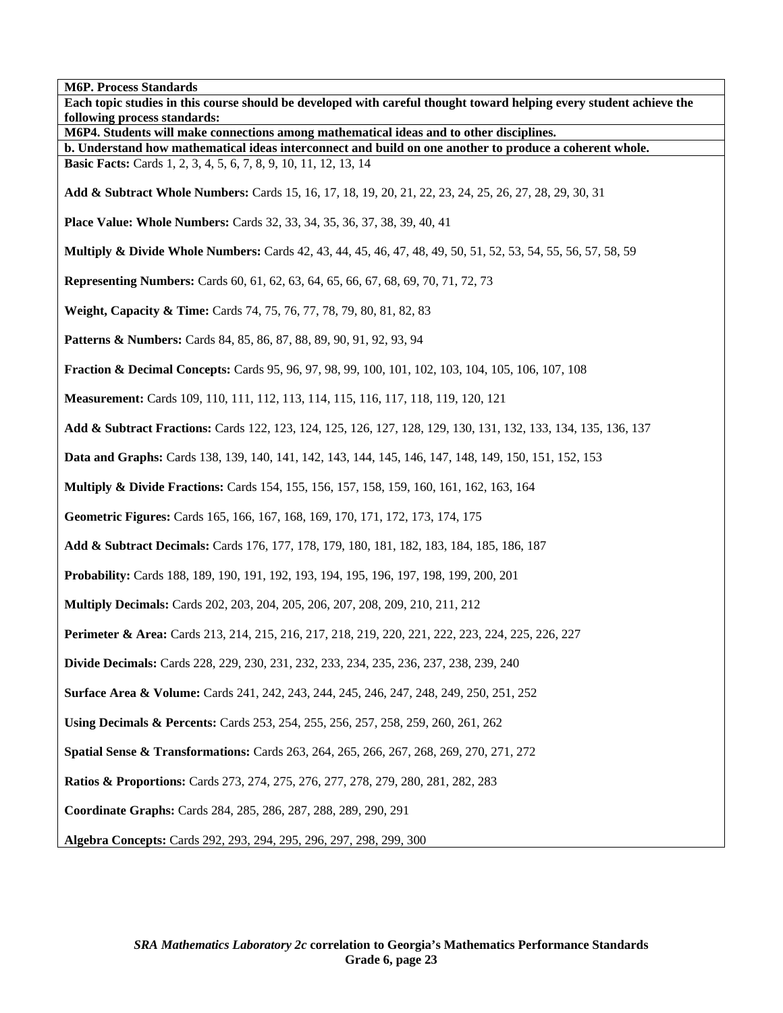**M6P. Process Standards Each topic studies in this course should be developed with careful thought toward helping every student achieve the following process standards: M6P4. Students will make connections among mathematical ideas and to other disciplines. b. Understand how mathematical ideas interconnect and build on one another to produce a coherent whole. Basic Facts:** Cards 1, 2, 3, 4, 5, 6, 7, 8, 9, 10, 11, 12, 13, 14 **Add & Subtract Whole Numbers:** Cards 15, 16, 17, 18, 19, 20, 21, 22, 23, 24, 25, 26, 27, 28, 29, 30, 31 **Place Value: Whole Numbers:** Cards 32, 33, 34, 35, 36, 37, 38, 39, 40, 41 **Multiply & Divide Whole Numbers:** Cards 42, 43, 44, 45, 46, 47, 48, 49, 50, 51, 52, 53, 54, 55, 56, 57, 58, 59 **Representing Numbers:** Cards 60, 61, 62, 63, 64, 65, 66, 67, 68, 69, 70, 71, 72, 73 **Weight, Capacity & Time:** Cards 74, 75, 76, 77, 78, 79, 80, 81, 82, 83 **Patterns & Numbers:** Cards 84, 85, 86, 87, 88, 89, 90, 91, 92, 93, 94 **Fraction & Decimal Concepts:** Cards 95, 96, 97, 98, 99, 100, 101, 102, 103, 104, 105, 106, 107, 108 **Measurement:** Cards 109, 110, 111, 112, 113, 114, 115, 116, 117, 118, 119, 120, 121 **Add & Subtract Fractions:** Cards 122, 123, 124, 125, 126, 127, 128, 129, 130, 131, 132, 133, 134, 135, 136, 137 **Data and Graphs:** Cards 138, 139, 140, 141, 142, 143, 144, 145, 146, 147, 148, 149, 150, 151, 152, 153 **Multiply & Divide Fractions:** Cards 154, 155, 156, 157, 158, 159, 160, 161, 162, 163, 164 **Geometric Figures:** Cards 165, 166, 167, 168, 169, 170, 171, 172, 173, 174, 175 **Add & Subtract Decimals:** Cards 176, 177, 178, 179, 180, 181, 182, 183, 184, 185, 186, 187 **Probability:** Cards 188, 189, 190, 191, 192, 193, 194, 195, 196, 197, 198, 199, 200, 201 **Multiply Decimals:** Cards 202, 203, 204, 205, 206, 207, 208, 209, 210, 211, 212 **Perimeter & Area:** Cards 213, 214, 215, 216, 217, 218, 219, 220, 221, 222, 223, 224, 225, 226, 227 **Divide Decimals:** Cards 228, 229, 230, 231, 232, 233, 234, 235, 236, 237, 238, 239, 240 **Surface Area & Volume:** Cards 241, 242, 243, 244, 245, 246, 247, 248, 249, 250, 251, 252 **Using Decimals & Percents:** Cards 253, 254, 255, 256, 257, 258, 259, 260, 261, 262 **Spatial Sense & Transformations:** Cards 263, 264, 265, 266, 267, 268, 269, 270, 271, 272 **Ratios & Proportions:** Cards 273, 274, 275, 276, 277, 278, 279, 280, 281, 282, 283 **Coordinate Graphs:** Cards 284, 285, 286, 287, 288, 289, 290, 291

**Algebra Concepts:** Cards 292, 293, 294, 295, 296, 297, 298, 299, 300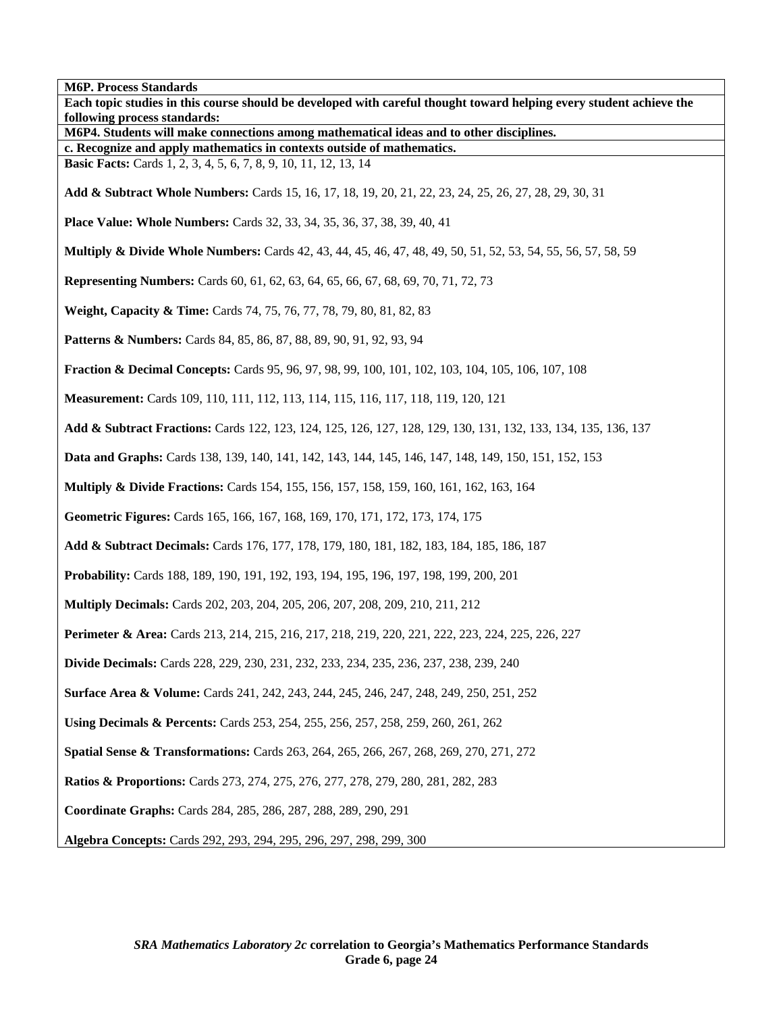**M6P. Process Standards Each topic studies in this course should be developed with careful thought toward helping every student achieve the following process standards: M6P4. Students will make connections among mathematical ideas and to other disciplines. c. Recognize and apply mathematics in contexts outside of mathematics. Basic Facts:** Cards 1, 2, 3, 4, 5, 6, 7, 8, 9, 10, 11, 12, 13, 14 **Add & Subtract Whole Numbers:** Cards 15, 16, 17, 18, 19, 20, 21, 22, 23, 24, 25, 26, 27, 28, 29, 30, 31 **Place Value: Whole Numbers:** Cards 32, 33, 34, 35, 36, 37, 38, 39, 40, 41 **Multiply & Divide Whole Numbers:** Cards 42, 43, 44, 45, 46, 47, 48, 49, 50, 51, 52, 53, 54, 55, 56, 57, 58, 59 **Representing Numbers:** Cards 60, 61, 62, 63, 64, 65, 66, 67, 68, 69, 70, 71, 72, 73 **Weight, Capacity & Time:** Cards 74, 75, 76, 77, 78, 79, 80, 81, 82, 83 **Patterns & Numbers:** Cards 84, 85, 86, 87, 88, 89, 90, 91, 92, 93, 94 **Fraction & Decimal Concepts:** Cards 95, 96, 97, 98, 99, 100, 101, 102, 103, 104, 105, 106, 107, 108 **Measurement:** Cards 109, 110, 111, 112, 113, 114, 115, 116, 117, 118, 119, 120, 121 **Add & Subtract Fractions:** Cards 122, 123, 124, 125, 126, 127, 128, 129, 130, 131, 132, 133, 134, 135, 136, 137 **Data and Graphs:** Cards 138, 139, 140, 141, 142, 143, 144, 145, 146, 147, 148, 149, 150, 151, 152, 153 **Multiply & Divide Fractions:** Cards 154, 155, 156, 157, 158, 159, 160, 161, 162, 163, 164 **Geometric Figures:** Cards 165, 166, 167, 168, 169, 170, 171, 172, 173, 174, 175 **Add & Subtract Decimals:** Cards 176, 177, 178, 179, 180, 181, 182, 183, 184, 185, 186, 187 **Probability:** Cards 188, 189, 190, 191, 192, 193, 194, 195, 196, 197, 198, 199, 200, 201 **Multiply Decimals:** Cards 202, 203, 204, 205, 206, 207, 208, 209, 210, 211, 212 **Perimeter & Area:** Cards 213, 214, 215, 216, 217, 218, 219, 220, 221, 222, 223, 224, 225, 226, 227 **Divide Decimals:** Cards 228, 229, 230, 231, 232, 233, 234, 235, 236, 237, 238, 239, 240 **Surface Area & Volume:** Cards 241, 242, 243, 244, 245, 246, 247, 248, 249, 250, 251, 252 **Using Decimals & Percents:** Cards 253, 254, 255, 256, 257, 258, 259, 260, 261, 262 **Spatial Sense & Transformations:** Cards 263, 264, 265, 266, 267, 268, 269, 270, 271, 272 **Ratios & Proportions:** Cards 273, 274, 275, 276, 277, 278, 279, 280, 281, 282, 283 **Coordinate Graphs:** Cards 284, 285, 286, 287, 288, 289, 290, 291 **Algebra Concepts:** Cards 292, 293, 294, 295, 296, 297, 298, 299, 300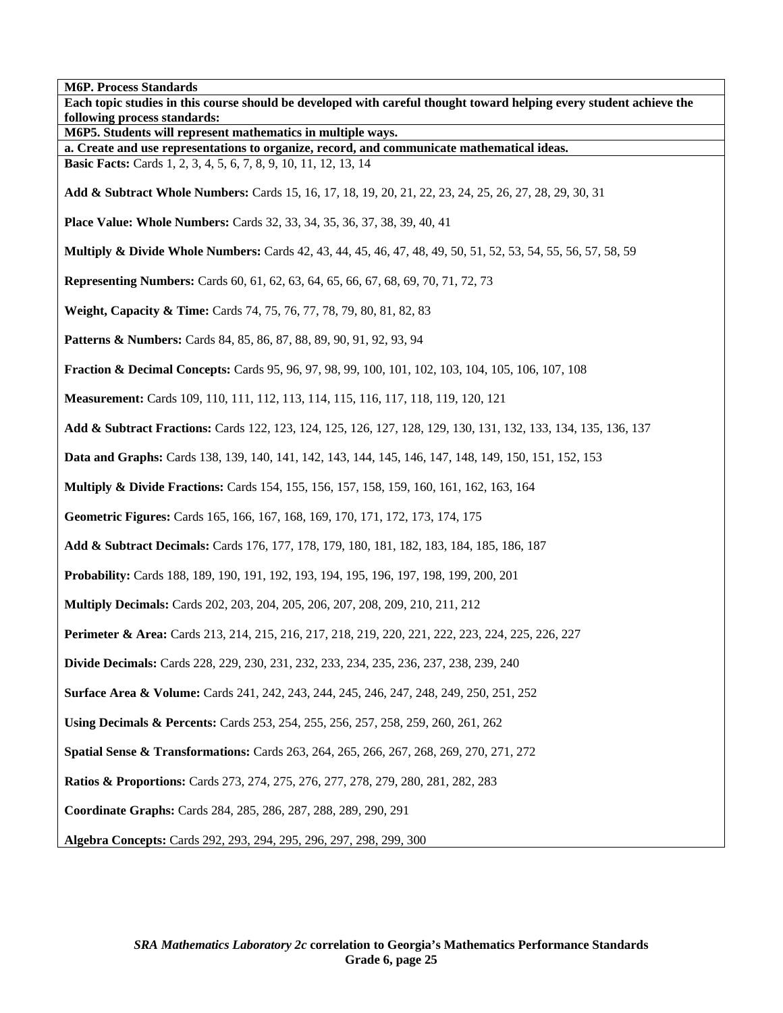**M6P. Process Standards Each topic studies in this course should be developed with careful thought toward helping every student achieve the following process standards: M6P5. Students will represent mathematics in multiple ways. a. Create and use representations to organize, record, and communicate mathematical ideas. Basic Facts:** Cards 1, 2, 3, 4, 5, 6, 7, 8, 9, 10, 11, 12, 13, 14 **Add & Subtract Whole Numbers:** Cards 15, 16, 17, 18, 19, 20, 21, 22, 23, 24, 25, 26, 27, 28, 29, 30, 31 **Place Value: Whole Numbers:** Cards 32, 33, 34, 35, 36, 37, 38, 39, 40, 41 **Multiply & Divide Whole Numbers:** Cards 42, 43, 44, 45, 46, 47, 48, 49, 50, 51, 52, 53, 54, 55, 56, 57, 58, 59 **Representing Numbers:** Cards 60, 61, 62, 63, 64, 65, 66, 67, 68, 69, 70, 71, 72, 73 **Weight, Capacity & Time:** Cards 74, 75, 76, 77, 78, 79, 80, 81, 82, 83 **Patterns & Numbers:** Cards 84, 85, 86, 87, 88, 89, 90, 91, 92, 93, 94 **Fraction & Decimal Concepts:** Cards 95, 96, 97, 98, 99, 100, 101, 102, 103, 104, 105, 106, 107, 108 **Measurement:** Cards 109, 110, 111, 112, 113, 114, 115, 116, 117, 118, 119, 120, 121 **Add & Subtract Fractions:** Cards 122, 123, 124, 125, 126, 127, 128, 129, 130, 131, 132, 133, 134, 135, 136, 137 **Data and Graphs:** Cards 138, 139, 140, 141, 142, 143, 144, 145, 146, 147, 148, 149, 150, 151, 152, 153 **Multiply & Divide Fractions:** Cards 154, 155, 156, 157, 158, 159, 160, 161, 162, 163, 164 **Geometric Figures:** Cards 165, 166, 167, 168, 169, 170, 171, 172, 173, 174, 175 **Add & Subtract Decimals:** Cards 176, 177, 178, 179, 180, 181, 182, 183, 184, 185, 186, 187 **Probability:** Cards 188, 189, 190, 191, 192, 193, 194, 195, 196, 197, 198, 199, 200, 201 **Multiply Decimals:** Cards 202, 203, 204, 205, 206, 207, 208, 209, 210, 211, 212 **Perimeter & Area:** Cards 213, 214, 215, 216, 217, 218, 219, 220, 221, 222, 223, 224, 225, 226, 227 **Divide Decimals:** Cards 228, 229, 230, 231, 232, 233, 234, 235, 236, 237, 238, 239, 240 **Surface Area & Volume:** Cards 241, 242, 243, 244, 245, 246, 247, 248, 249, 250, 251, 252 **Using Decimals & Percents:** Cards 253, 254, 255, 256, 257, 258, 259, 260, 261, 262 **Spatial Sense & Transformations:** Cards 263, 264, 265, 266, 267, 268, 269, 270, 271, 272 **Ratios & Proportions:** Cards 273, 274, 275, 276, 277, 278, 279, 280, 281, 282, 283 **Coordinate Graphs:** Cards 284, 285, 286, 287, 288, 289, 290, 291 **Algebra Concepts:** Cards 292, 293, 294, 295, 296, 297, 298, 299, 300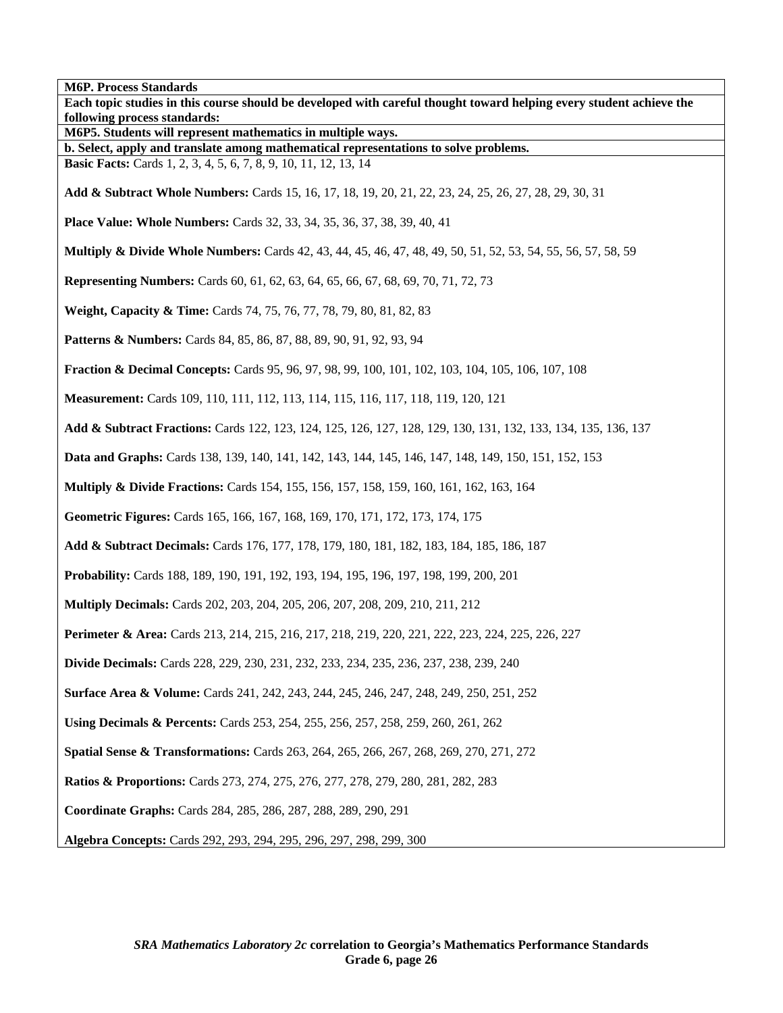**M6P. Process Standards Each topic studies in this course should be developed with careful thought toward helping every student achieve the following process standards: M6P5. Students will represent mathematics in multiple ways. b. Select, apply and translate among mathematical representations to solve problems. Basic Facts:** Cards 1, 2, 3, 4, 5, 6, 7, 8, 9, 10, 11, 12, 13, 14 **Add & Subtract Whole Numbers:** Cards 15, 16, 17, 18, 19, 20, 21, 22, 23, 24, 25, 26, 27, 28, 29, 30, 31 **Place Value: Whole Numbers:** Cards 32, 33, 34, 35, 36, 37, 38, 39, 40, 41 **Multiply & Divide Whole Numbers:** Cards 42, 43, 44, 45, 46, 47, 48, 49, 50, 51, 52, 53, 54, 55, 56, 57, 58, 59 **Representing Numbers:** Cards 60, 61, 62, 63, 64, 65, 66, 67, 68, 69, 70, 71, 72, 73 **Weight, Capacity & Time:** Cards 74, 75, 76, 77, 78, 79, 80, 81, 82, 83 **Patterns & Numbers:** Cards 84, 85, 86, 87, 88, 89, 90, 91, 92, 93, 94 **Fraction & Decimal Concepts:** Cards 95, 96, 97, 98, 99, 100, 101, 102, 103, 104, 105, 106, 107, 108 **Measurement:** Cards 109, 110, 111, 112, 113, 114, 115, 116, 117, 118, 119, 120, 121 **Add & Subtract Fractions:** Cards 122, 123, 124, 125, 126, 127, 128, 129, 130, 131, 132, 133, 134, 135, 136, 137 **Data and Graphs:** Cards 138, 139, 140, 141, 142, 143, 144, 145, 146, 147, 148, 149, 150, 151, 152, 153 **Multiply & Divide Fractions:** Cards 154, 155, 156, 157, 158, 159, 160, 161, 162, 163, 164 **Geometric Figures:** Cards 165, 166, 167, 168, 169, 170, 171, 172, 173, 174, 175 **Add & Subtract Decimals:** Cards 176, 177, 178, 179, 180, 181, 182, 183, 184, 185, 186, 187 **Probability:** Cards 188, 189, 190, 191, 192, 193, 194, 195, 196, 197, 198, 199, 200, 201 **Multiply Decimals:** Cards 202, 203, 204, 205, 206, 207, 208, 209, 210, 211, 212 **Perimeter & Area:** Cards 213, 214, 215, 216, 217, 218, 219, 220, 221, 222, 223, 224, 225, 226, 227 **Divide Decimals:** Cards 228, 229, 230, 231, 232, 233, 234, 235, 236, 237, 238, 239, 240 **Surface Area & Volume:** Cards 241, 242, 243, 244, 245, 246, 247, 248, 249, 250, 251, 252 **Using Decimals & Percents:** Cards 253, 254, 255, 256, 257, 258, 259, 260, 261, 262 **Spatial Sense & Transformations:** Cards 263, 264, 265, 266, 267, 268, 269, 270, 271, 272 **Ratios & Proportions:** Cards 273, 274, 275, 276, 277, 278, 279, 280, 281, 282, 283 **Coordinate Graphs:** Cards 284, 285, 286, 287, 288, 289, 290, 291 **Algebra Concepts:** Cards 292, 293, 294, 295, 296, 297, 298, 299, 300